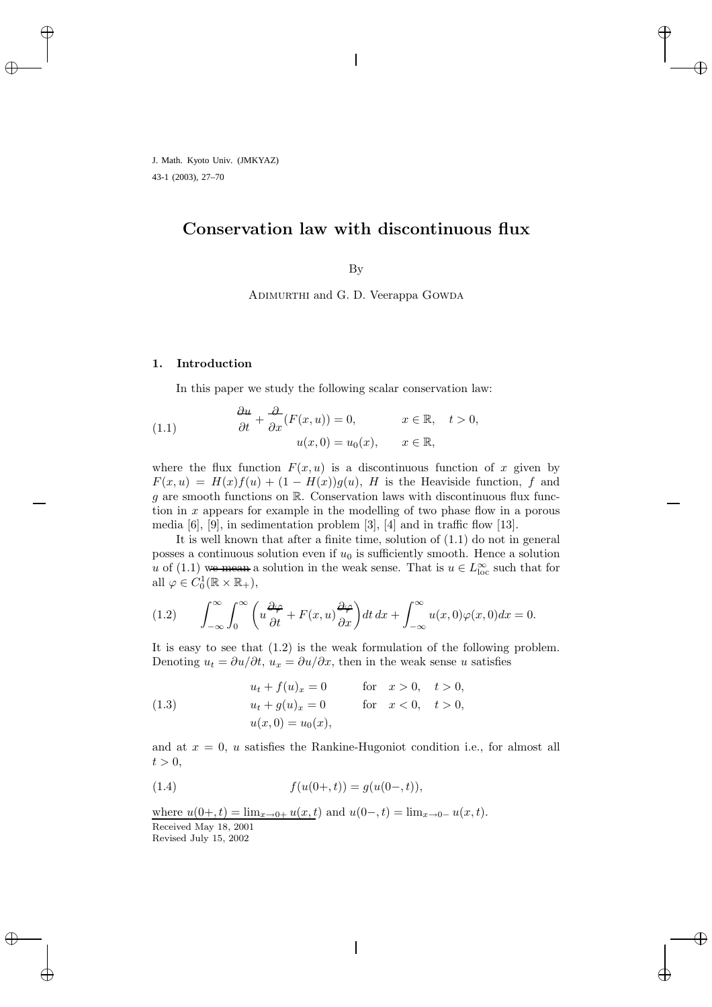# **Conservation law with discontinuous flux**

By

Adimurthi and G. D. Veerappa Gowda

### **1. Introduction**

In this paper we study the following scalar conservation law:

(1.1) 
$$
\begin{aligned}\n\frac{\partial u}{\partial t} + \frac{\partial}{\partial x}(F(x, u)) &= 0, & x \in \mathbb{R}, & t > 0, \\
u(x, 0) &= u_0(x), & x \in \mathbb{R},\n\end{aligned}
$$

where the flux function  $F(x, u)$  is a discontinuous function of x given by  $F(x, u) = H(x)f(u) + (1 - H(x))g(u)$ , H is the Heaviside function, f and g are smooth functions on  $\mathbb{R}$ . Conservation laws with discontinuous flux function in  $x$  appears for example in the modelling of two phase flow in a porous media [6], [9], in sedimentation problem [3], [4] and in traffic flow [13].

It is well known that after a finite time, solution of (1.1) do not in general posses a continuous solution even if  $u_0$  is sufficiently smooth. Hence a solution u of  $(1.1)$  we mean a solution in the weak sense. That is  $u \in L^{\infty}_{loc}$  such that for all  $\varphi \in C_0^1(\mathbb{R} \times \mathbb{R}_+),$ 

(1.2) 
$$
\int_{-\infty}^{\infty} \int_{0}^{\infty} \left( u \frac{\partial \varphi}{\partial t} + F(x, u) \frac{\partial \varphi}{\partial x} \right) dt dx + \int_{-\infty}^{\infty} u(x, 0) \varphi(x, 0) dx = 0.
$$

It is easy to see that (1.2) is the weak formulation of the following problem. Denoting  $u_t = \partial u / \partial t$ ,  $u_x = \partial u / \partial x$ , then in the weak sense u satisfies

(1.3) 
$$
u_t + f(u)_x = 0 \quad \text{for} \quad x > 0, \quad t > 0,
$$

$$
u_t + g(u)_x = 0 \quad \text{for} \quad x < 0, \quad t > 0,
$$

$$
u(x, 0) = u_0(x),
$$

and at  $x = 0$ , u satisfies the Rankine-Hugoniot condition i.e., for almost all  $t > 0$ ,

(1.4) 
$$
f(u(0+,t)) = g(u(0-,t)),
$$

where  $u(0+, t) = \lim_{x\to 0+} u(x, t)$  and  $u(0-, t) = \lim_{x\to 0-} u(x, t)$ . Received May 18, 2001 Revised July 15, 2002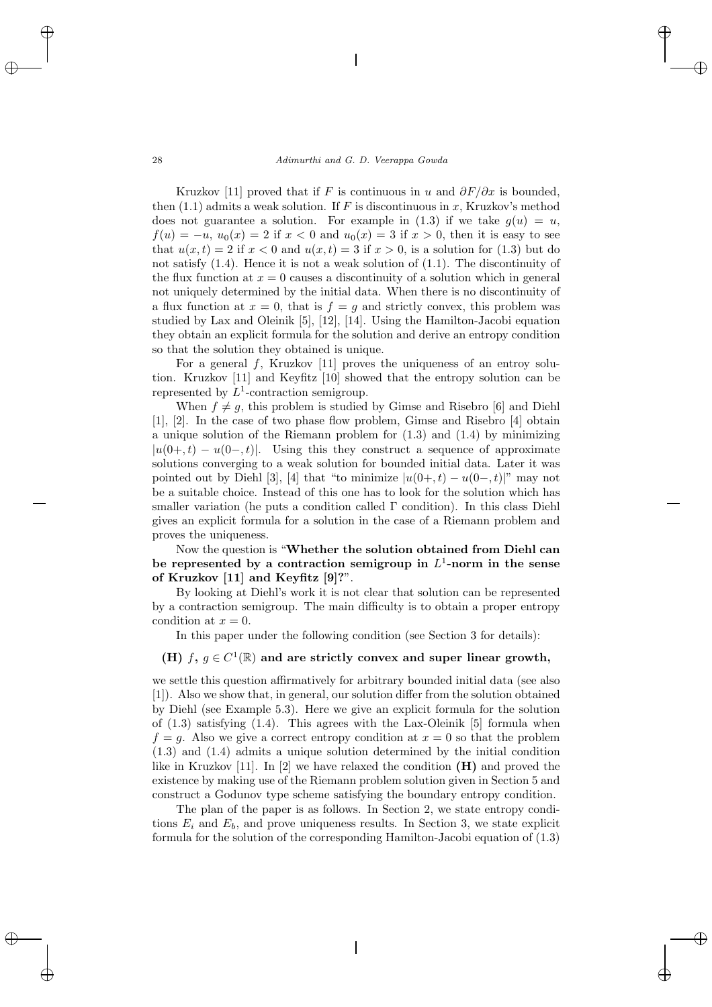Kruzkov [11] proved that if F is continuous in u and  $\partial F/\partial x$  is bounded, then  $(1.1)$  admits a weak solution. If F is discontinuous in x, Kruzkov's method does not guarantee a solution. For example in  $(1.3)$  if we take  $g(u) = u$ ,  $f(u) = -u$ ,  $u_0(x) = 2$  if  $x < 0$  and  $u_0(x) = 3$  if  $x > 0$ , then it is easy to see that  $u(x,t) = 2$  if  $x < 0$  and  $u(x,t) = 3$  if  $x > 0$ , is a solution for (1.3) but do not satisfy (1.4). Hence it is not a weak solution of (1.1). The discontinuity of the flux function at  $x = 0$  causes a discontinuity of a solution which in general not uniquely determined by the initial data. When there is no discontinuity of a flux function at  $x = 0$ , that is  $f = q$  and strictly convex, this problem was studied by Lax and Oleinik [5], [12], [14]. Using the Hamilton-Jacobi equation they obtain an explicit formula for the solution and derive an entropy condition so that the solution they obtained is unique.

For a general f, Kruzkov [11] proves the uniqueness of an entroy solution. Kruzkov [11] and Keyfitz [10] showed that the entropy solution can be represented by  $L^1$ -contraction semigroup.

When  $f \neq g$ , this problem is studied by Gimse and Risebro [6] and Diehl [1], [2]. In the case of two phase flow problem, Gimse and Risebro [4] obtain a unique solution of the Riemann problem for (1.3) and (1.4) by minimizing  $|u(0+, t) - u(0-, t)|$ . Using this they construct a sequence of approximate solutions converging to a weak solution for bounded initial data. Later it was pointed out by Diehl [3], [4] that "to minimize  $|u(0+, t) - u(0-, t)|$ " may not be a suitable choice. Instead of this one has to look for the solution which has smaller variation (he puts a condition called  $\Gamma$  condition). In this class Diehl gives an explicit formula for a solution in the case of a Riemann problem and proves the uniqueness.

Now the question is "**Whether the solution obtained from Diehl can** be represented by a contraction semigroup in  $L^1$ -norm in the sense **of Kruzkov [11] and Keyfitz [9]?**".

By looking at Diehl's work it is not clear that solution can be represented by a contraction semigroup. The main difficulty is to obtain a proper entropy condition at  $x = 0$ .

In this paper under the following condition (see Section 3 for details):

## **(H)**  $f, g \in C^1(\mathbb{R})$  and are strictly convex and super linear growth,

we settle this question affirmatively for arbitrary bounded initial data (see also [1]). Also we show that, in general, our solution differ from the solution obtained by Diehl (see Example 5.3). Here we give an explicit formula for the solution of  $(1.3)$  satisfying  $(1.4)$ . This agrees with the Lax-Oleinik [5] formula when  $f = g$ . Also we give a correct entropy condition at  $x = 0$  so that the problem (1.3) and (1.4) admits a unique solution determined by the initial condition like in Kruzkov [11]. In [2] we have relaxed the condition **(H)** and proved the existence by making use of the Riemann problem solution given in Section 5 and construct a Godunov type scheme satisfying the boundary entropy condition.

The plan of the paper is as follows. In Section 2, we state entropy conditions  $E_i$  and  $E_b$ , and prove uniqueness results. In Section 3, we state explicit formula for the solution of the corresponding Hamilton-Jacobi equation of (1.3)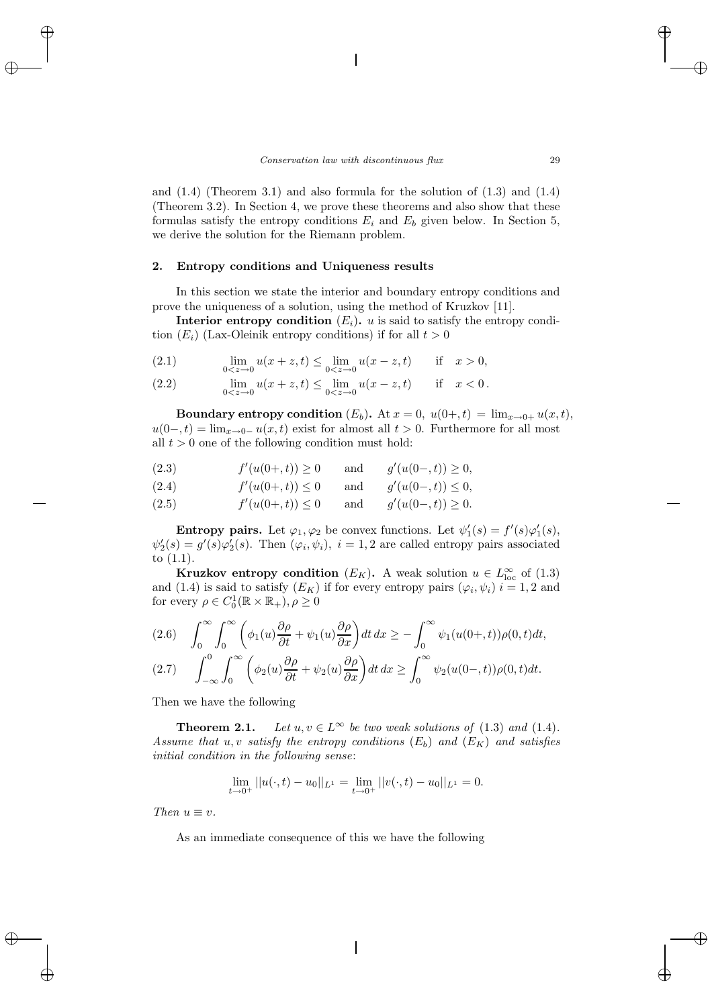and  $(1.4)$  (Theorem 3.1) and also formula for the solution of  $(1.3)$  and  $(1.4)$ (Theorem 3.2). In Section 4, we prove these theorems and also show that these formulas satisfy the entropy conditions  $E_i$  and  $E_b$  given below. In Section 5, we derive the solution for the Riemann problem.

#### **2. Entropy conditions and Uniqueness results**

In this section we state the interior and boundary entropy conditions and prove the uniqueness of a solution, using the method of Kruzkov [11].

**Interior entropy condition**  $(E_i)$ , u is said to satisfy the entropy condition  $(E_i)$  (Lax-Oleinik entropy conditions) if for all  $t > 0$ 

(2.1) 
$$
\lim_{0 < z \to 0} u(x + z, t) \le \lim_{0 < z \to 0} u(x - z, t) \quad \text{if} \quad x > 0,
$$

(2.2) 
$$
\lim_{0 < z \to 0} u(x+z, t) \leq \lim_{0 < z \to 0} u(x-z, t) \quad \text{if} \quad x < 0.
$$

**Boundary entropy condition**  $(E_b)$ . At  $x = 0$ ,  $u(0+, t) = \lim_{x\to 0+} u(x, t)$ ,  $u(0-, t) = \lim_{x\to 0^-} u(x, t)$  exist for almost all  $t > 0$ . Furthermore for all most all  $t > 0$  one of the following condition must hold:

(2.3) 
$$
f'(u(0+,t)) \ge 0
$$
 and  $g'(u(0-,t)) \ge 0$ ,

(2.4) 
$$
f'(u(0+,t)) \le 0
$$
 and  $g'(u(0-,t)) \le 0$ ,

(2.5) 
$$
f'(u(0+,t)) \le 0
$$
 and  $g'(u(0-,t)) \ge 0$ .

**Entropy pairs.** Let  $\varphi_1, \varphi_2$  be convex functions. Let  $\psi'_1(s) = f'(s)\varphi'_1(s)$ ,  $\psi_2'(s) = g'(s)\varphi_2'(s)$ . Then  $(\varphi_i, \psi_i)$ ,  $i = 1, 2$  are called entropy pairs associated to (1.1).

**Kruzkov entropy condition**  $(E_K)$ . A weak solution  $u \in L^{\infty}_{loc}$  of (1.3) and (1.4) is said to satisfy  $(E_K)$  if for every entropy pairs  $(\varphi_i, \psi_i)$   $i = 1, 2$  and for every  $\rho \in C_0^1(\mathbb{R} \times \mathbb{R}_+), \rho \ge 0$ 

(2.6) 
$$
\int_0^{\infty} \int_0^{\infty} \left( \phi_1(u) \frac{\partial \rho}{\partial t} + \psi_1(u) \frac{\partial \rho}{\partial x} \right) dt dx \ge -\int_0^{\infty} \psi_1(u(0+,t)) \rho(0,t) dt,
$$
  
(2.7) 
$$
\int_{-\infty}^0 \int_0^{\infty} \left( \phi_2(u) \frac{\partial \rho}{\partial t} + \psi_2(u) \frac{\partial \rho}{\partial x} \right) dt dx \ge \int_0^{\infty} \psi_2(u(0-,t)) \rho(0,t) dt.
$$

Then we have the following

**Theorem 2.1.** *Let*  $u, v \in L^{\infty}$  *be two weak solutions of* (1.3) *and* (1.4)*. Assume that*  $u, v$  *satisfy the entropy conditions*  $(E_b)$  *and*  $(E_K)$  *and satisfies initial condition in the following sense*:

$$
\lim_{t \to 0^+} ||u(\cdot, t) - u_0||_{L^1} = \lim_{t \to 0^+} ||v(\cdot, t) - u_0||_{L^1} = 0.
$$

*Then*  $u \equiv v$ .

As an immediate consequence of this we have the following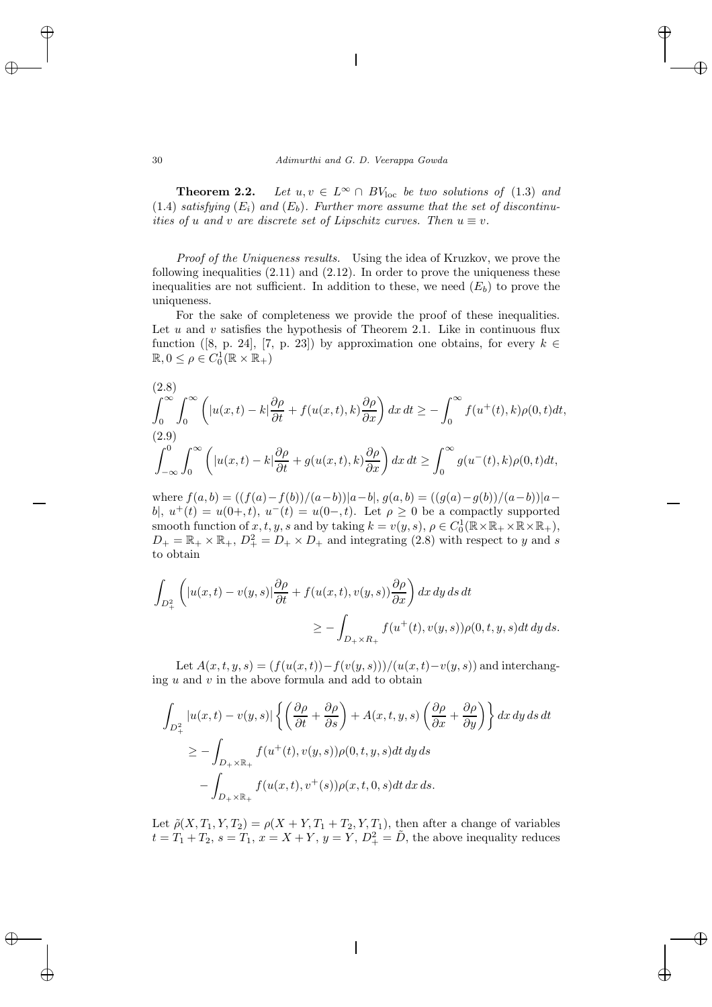**Theorem 2.2.** *Let*  $u, v \in L^{\infty} \cap BV_{loc}$  *be two solutions of* (1.3) *and*  $(1.4)$  *satisfying*  $(E_i)$  *and*  $(E_b)$ *. Further more assume that the set of discontinuities of* u and v are discrete set of Lipschitz curves. Then  $u \equiv v$ .

*Proof of the Uniqueness results.* Using the idea of Kruzkov, we prove the following inequalities  $(2.11)$  and  $(2.12)$ . In order to prove the uniqueness these inequalities are not sufficient. In addition to these, we need  $(E_b)$  to prove the uniqueness.

For the sake of completeness we provide the proof of these inequalities. Let  $u$  and  $v$  satisfies the hypothesis of Theorem 2.1. Like in continuous flux function ([8, p. 24], [7, p. 23]) by approximation one obtains, for every  $k \in$  $\mathbb{R}, 0 \leq \rho \in C_0^1(\mathbb{R} \times \mathbb{R}_+)$ 

(2.8)  
\n
$$
\int_0^\infty \int_0^\infty \left( |u(x,t) - k| \frac{\partial \rho}{\partial t} + f(u(x,t), k) \frac{\partial \rho}{\partial x} \right) dx dt \ge - \int_0^\infty f(u^+(t), k) \rho(0, t) dt,
$$
\n(2.9)  
\n
$$
\int_{-\infty}^0 \int_0^\infty \left( |u(x,t) - k| \frac{\partial \rho}{\partial t} + g(u(x,t), k) \frac{\partial \rho}{\partial x} \right) dx dt \ge \int_0^\infty g(u^-(t), k) \rho(0, t) dt,
$$

where  $f(a, b) = ((f(a) - f(b))/(a - b))(a - b), g(a, b) = ((g(a) - g(b))/(a - b))(a - b)$ b|,  $u^+(t) = u(0+,t)$ ,  $u^-(t) = u(0-,t)$ . Let  $\rho \geq 0$  be a compactly supported smooth function of  $x, t, y, s$  and by taking  $k = v(y, s), \rho \in C_0^1(\mathbb{R} \times \mathbb{R}_+ \times \mathbb{R} \times \mathbb{R}_+),$  $D_+ = \mathbb{R}_+ \times \mathbb{R}_+$ ,  $D_+^2 = D_+ \times D_+$  and integrating (2.8) with respect to y and s to obtain

$$
\int_{D_+^2} \left( |u(x,t) - v(y,s)| \frac{\partial \rho}{\partial t} + f(u(x,t), v(y,s)) \frac{\partial \rho}{\partial x} \right) dx dy ds dt
$$
  

$$
\geq - \int_{D_+ \times R_+} f(u^+(t), v(y,s)) \rho(0, t, y, s) dt dy ds.
$$

Let  $A(x, t, y, s) = (f(u(x, t)) - f(v(y, s)))/(u(x, t) - v(y, s))$  and interchanging  $u$  and  $v$  in the above formula and add to obtain

$$
\int_{D_+^2} |u(x,t) - v(y,s)| \left\{ \left( \frac{\partial \rho}{\partial t} + \frac{\partial \rho}{\partial s} \right) + A(x,t,y,s) \left( \frac{\partial \rho}{\partial x} + \frac{\partial \rho}{\partial y} \right) \right\} dx dy ds dt
$$
  
\n
$$
\geq - \int_{D_+ \times \mathbb{R}_+} f(u^+(t), v(y,s)) \rho(0,t,y,s) dt dy ds
$$
  
\n
$$
- \int_{D_+ \times \mathbb{R}_+} f(u(x,t), v^+(s)) \rho(x,t,0,s) dt dx ds.
$$

Let  $\tilde{\rho}(X,T_1,Y,T_2) = \rho(X+Y,T_1+T_2,Y,T_1)$ , then after a change of variables  $t = T_1 + T_2, s = T_1, x = X + Y, y = Y, D<sub>+</sub><sup>2</sup> = \tilde{D}$ , the above inequality reduces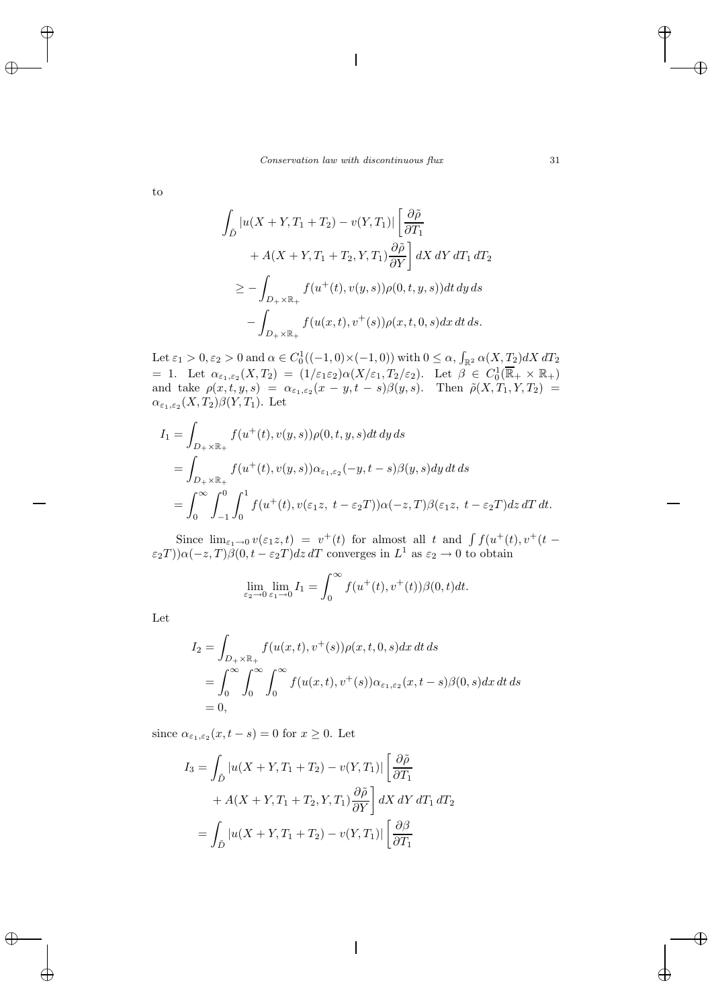to

$$
\int_{\tilde{D}} |u(X+Y,T_1+T_2) - v(Y,T_1)| \left[ \frac{\partial \tilde{\rho}}{\partial T_1} + A(X+Y,T_1+T_2,Y,T_1) \frac{\partial \tilde{\rho}}{\partial Y} \right] dX dY dT_1 dT_2
$$
  
\n
$$
\geq - \int_{D_+ \times \mathbb{R}_+} f(u^+(t), v(y,s)) \rho(0,t,y,s)) dt dy ds
$$
  
\n
$$
- \int_{D_+ \times \mathbb{R}_+} f(u(x,t), v^+(s)) \rho(x,t,0,s) dx dt ds.
$$

Let  $\varepsilon_1 > 0, \varepsilon_2 > 0$  and  $\alpha \in C_0^1((-1,0) \times (-1,0))$  with  $0 \leq \alpha$ ,  $\int_{\mathbb{R}^2} \alpha(X, T_2) dX dT_2$ = 1. Let  $\alpha_{\varepsilon_1,\varepsilon_2}(X,T_2) = (1/\varepsilon_1\varepsilon_2)\alpha(X/\varepsilon_1,T_2/\varepsilon_2)$ . Let  $\beta \in C_0^1(\overline{\mathbb{R}}_+ \times \mathbb{R}_+)$ and take  $\rho(x, t, y, s) = \alpha_{\varepsilon_1, \varepsilon_2}(x - y, t - s) \beta(y, s)$ . Then  $\tilde{\rho}(X, T_1, Y, T_2)$  $\alpha_{\varepsilon_1,\varepsilon_2}(X,T_2)\beta(Y,T_1)$ . Let

$$
I_1 = \int_{D_+ \times \mathbb{R}_+} f(u^+(t), v(y, s)) \rho(0, t, y, s) dt dy ds
$$
  
= 
$$
\int_{D_+ \times \mathbb{R}_+} f(u^+(t), v(y, s)) \alpha_{\varepsilon_1, \varepsilon_2}(-y, t - s) \beta(y, s) dy dt ds
$$
  
= 
$$
\int_0^\infty \int_{-1}^0 \int_0^1 f(u^+(t), v(\varepsilon_1 z, t - \varepsilon_2 T)) \alpha(-z, T) \beta(\varepsilon_1 z, t - \varepsilon_2 T) dz dT dt.
$$

Since  $\lim_{\varepsilon_1\to 0} v(\varepsilon_1 z,t) = v^+(t)$  for almost all t and  $\int f(u^+(t), v^+(t))$  $(\varepsilon_2 T)\alpha(-z, T)\beta(0, t - \varepsilon_2 T)dz dT$  converges in  $L^1$  as  $\varepsilon_2 \to 0$  to obtain

$$
\lim_{\varepsilon_2 \to 0} \lim_{\varepsilon_1 \to 0} I_1 = \int_0^\infty f(u^+(t), v^+(t)) \beta(0, t) dt.
$$

Let

$$
I_2 = \int_{D_+ \times \mathbb{R}_+} f(u(x,t), v^+(s)) \rho(x,t,0,s) dx dt ds
$$
  
= 
$$
\int_0^\infty \int_0^\infty \int_0^\infty f(u(x,t), v^+(s)) \alpha_{\varepsilon_1, \varepsilon_2}(x,t-s) \beta(0,s) dx dt ds
$$
  
= 0,

since  $\alpha_{\varepsilon_1,\varepsilon_2}(x,t-s)=0$  for  $x\geq 0$ . Let

$$
I_3 = \int_{\tilde{D}} |u(X+Y,T_1+T_2) - v(Y,T_1)| \left[ \frac{\partial \tilde{\rho}}{\partial T_1} + A(X+Y,T_1+T_2,Y,T_1) \frac{\partial \tilde{\rho}}{\partial Y} \right] dX dY dT_1 dT_2
$$
  
= 
$$
\int_{\tilde{D}} |u(X+Y,T_1+T_2) - v(Y,T_1)| \left[ \frac{\partial \beta}{\partial T_1} \right]
$$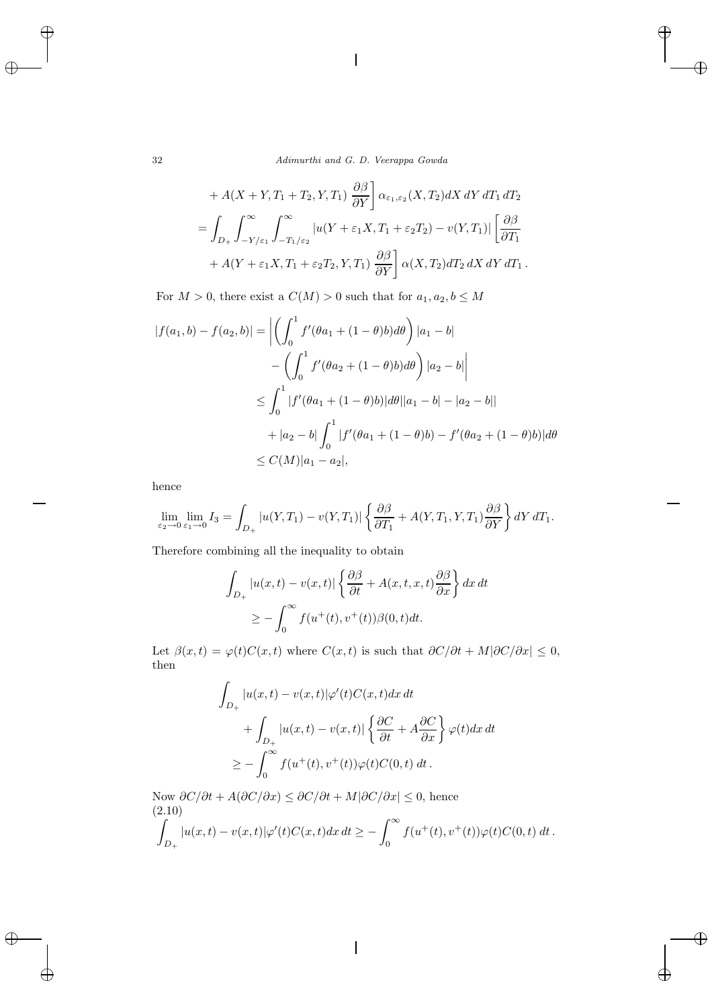32 *Adimurthi and G. D. Veerappa Gowda*

+ 
$$
A(X + Y, T_1 + T_2, Y, T_1) \frac{\partial \beta}{\partial Y} \alpha_{\epsilon_1, \epsilon_2}(X, T_2) dX dY dT_1 dT_2
$$
  
\n=
$$
\int_{D_+} \int_{-Y/\epsilon_1}^{\infty} \int_{-T_1/\epsilon_2}^{\infty} |u(Y + \epsilon_1 X, T_1 + \epsilon_2 T_2) - v(Y, T_1)| \left[ \frac{\partial \beta}{\partial T_1} + A(Y + \epsilon_1 X, T_1 + \epsilon_2 T_2, Y, T_1) \frac{\partial \beta}{\partial Y} \right] \alpha(X, T_2) dT_2 dX dY dT_1.
$$

For  $M>0,$  there exist a  $C(M)>0$  such that for  $a_1,a_2,b\leq M$ 

$$
|f(a_1, b) - f(a_2, b)| = \left| \left( \int_0^1 f'(\theta a_1 + (1 - \theta)b) d\theta \right) |a_1 - b| \right|
$$
  

$$
- \left( \int_0^1 f'(\theta a_2 + (1 - \theta)b) d\theta \right) |a_2 - b|
$$
  

$$
\leq \int_0^1 |f'(\theta a_1 + (1 - \theta)b)| d\theta ||a_1 - b| - |a_2 - b|
$$
  

$$
+ |a_2 - b| \int_0^1 |f'(\theta a_1 + (1 - \theta)b) - f'(\theta a_2 + (1 - \theta)b)| d\theta
$$
  

$$
\leq C(M) |a_1 - a_2|,
$$

hence

$$
\lim_{\varepsilon_2 \to 0} \lim_{\varepsilon_1 \to 0} I_3 = \int_{D_+} |u(Y, T_1) - v(Y, T_1)| \left\{ \frac{\partial \beta}{\partial T_1} + A(Y, T_1, Y, T_1) \frac{\partial \beta}{\partial Y} \right\} dY dT_1.
$$

Therefore combining all the inequality to obtain

$$
\int_{D_+} |u(x,t) - v(x,t)| \left\{ \frac{\partial \beta}{\partial t} + A(x,t,x,t) \frac{\partial \beta}{\partial x} \right\} dx dt
$$
  
\n
$$
\geq - \int_0^\infty f(u^+(t), v^+(t)) \beta(0,t) dt.
$$

Let  $\beta(x,t) = \varphi(t)C(x,t)$  where  $C(x,t)$  is such that  $\partial C/\partial t + M|\partial C/\partial x| \leq 0$ , then

$$
\int_{D_+} |u(x,t) - v(x,t)| \varphi'(t) C(x,t) dx dt
$$
  
+ 
$$
\int_{D_+} |u(x,t) - v(x,t)| \left\{ \frac{\partial C}{\partial t} + A \frac{\partial C}{\partial x} \right\} \varphi(t) dx dt
$$
  

$$
\geq - \int_0^\infty f(u^+(t), v^+(t)) \varphi(t) C(0,t) dt.
$$

Now  $\partial C/\partial t + A(\partial C/\partial x) \leq \partial C/\partial t + M|\partial C/\partial x| \leq 0$ , hence (2.10)

$$
\int_{D_+} |u(x,t) - v(x,t)| \varphi'(t) C(x,t) dx dt \geq - \int_0^\infty f(u^+(t), v^+(t)) \varphi(t) C(0,t) dt.
$$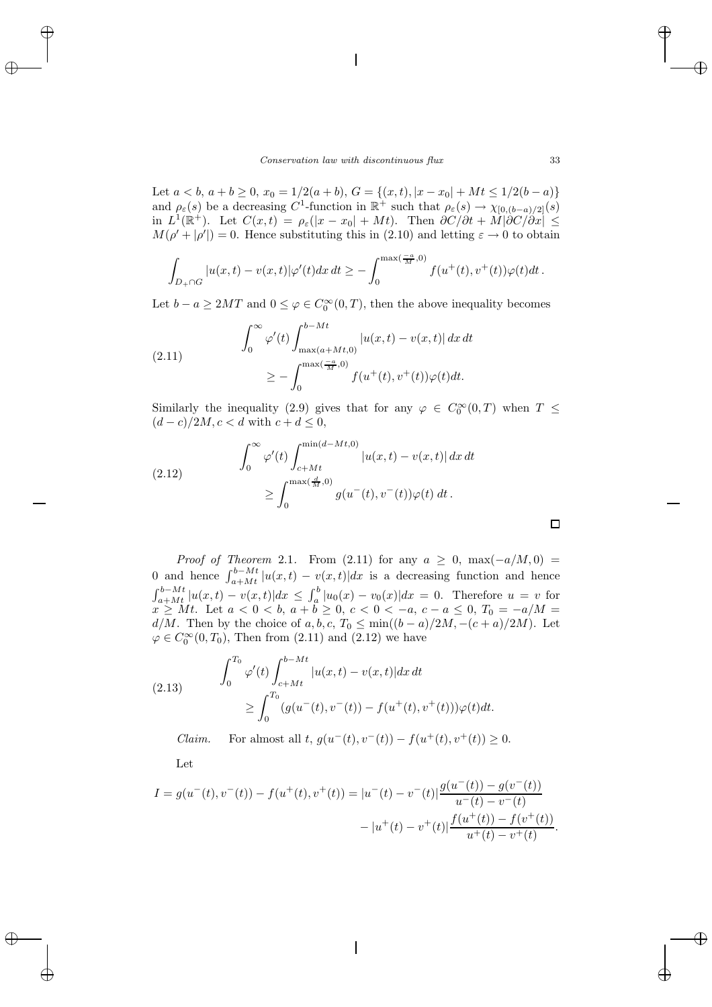Let  $a < b$ ,  $a + b \ge 0$ ,  $x_0 = 1/2(a + b)$ ,  $G = \{(x, t), |x - x_0| + Mt \le 1/2(b - a)\}\$ and  $\rho_{\varepsilon}(s)$  be a decreasing C<sup>1</sup>-function in  $\mathbb{R}^+$  such that  $\rho_{\varepsilon}(s) \to \chi_{[0,(b-a)/2]}(s)$ in  $L^1(\mathbb{R}^+)$ . Let  $C(x,t) = \rho_{\varepsilon}(|x-x_0|+Mt)$ . Then  $\partial C/\partial t + M|\partial C/\partial x| \leq$  $M(\rho' + |\rho'|) = 0$ . Hence substituting this in (2.10) and letting  $\varepsilon \to 0$  to obtain

$$
\int_{D_{+}\cap G} |u(x,t)-v(x,t)|\varphi'(t)dx dt \geq -\int_0^{\max(\frac{-a}{M},0)} f(u^+(t),v^+(t))\varphi(t)dt.
$$

Let  $b - a \ge 2MT$  and  $0 \le \varphi \in C_0^{\infty}(0,T)$ , then the above inequality becomes

(2.11) 
$$
\int_0^{\infty} \varphi'(t) \int_{\max(a+Mt,0)}^{b-Mt} |u(x,t) - v(x,t)| dx dt
$$

$$
\geq - \int_0^{\max(\frac{-a}{M},0)} f(u^+(t), v^+(t)) \varphi(t) dt.
$$

Similarly the inequality (2.9) gives that for any  $\varphi \in C_0^{\infty}(0,T)$  when  $T \leq$  $(d-c)/2M$ ,  $c < d$  with  $c+d \leq 0$ ,

(2.12) 
$$
\int_0^{\infty} \varphi'(t) \int_{c+Mt}^{\min(d-Mt,0)} |u(x,t) - v(x,t)| dx dt
$$

$$
\geq \int_0^{\max(\frac{d}{M},0)} g(u^-(t), v^-(t)) \varphi(t) dt.
$$

*Proof of Theorem* 2.1. From (2.11) for any  $a \geq 0$ , max $(-a/M, 0)$ 0 and hence  $\int_{a+Mt}^{b-Mt} |u(x,t) - v(x,t)| dx$  is a decreasing function and hence  $\int_{a+Mt}^{b-Mt} |u(x,t) - v(x,t)| dx \leq \int_a^b |u_0(x) - v_0(x)| dx = 0$ . Therefore  $u = v$  for  $x \geq Mt$ . Let  $a < 0 < b$ ,  $a + b \geq 0$ ,  $c < 0 < -a$ ,  $c - a \leq 0$ ,  $T_0 = -a/M =$  $d/M$ . Then by the choice of  $a, b, c, T_0 \leq \min((b-a)/2M, -(c+a)/2M)$ . Let  $\varphi \in C_0^{\infty}(0,T_0)$ , Then from  $(2.11)$  and  $(2.12)$  we have

(2.13) 
$$
\int_0^{T_0} \varphi'(t) \int_{c+Mt}^{b-Mt} |u(x,t) - v(x,t)| dx dt
$$

$$
\geq \int_0^{T_0} (g(u^-(t), v^-(t)) - f(u^+(t), v^+(t))) \varphi(t) dt.
$$

*Claim.* For almost all t,  $q(u^-(t), v^-(t)) - f(u^+(t), v^+(t)) \geq 0$ .

Let

$$
I = g(u^-(t), v^-(t)) - f(u^+(t), v^+(t)) = |u^-(t) - v^-(t)| \frac{g(u^-(t)) - g(v^-(t))}{u^-(t) - v^-(t)} - |u^+(t) - v^+(t)| \frac{f(u^+(t)) - f(v^+(t))}{u^+(t) - v^+(t)}.
$$

 $\Box$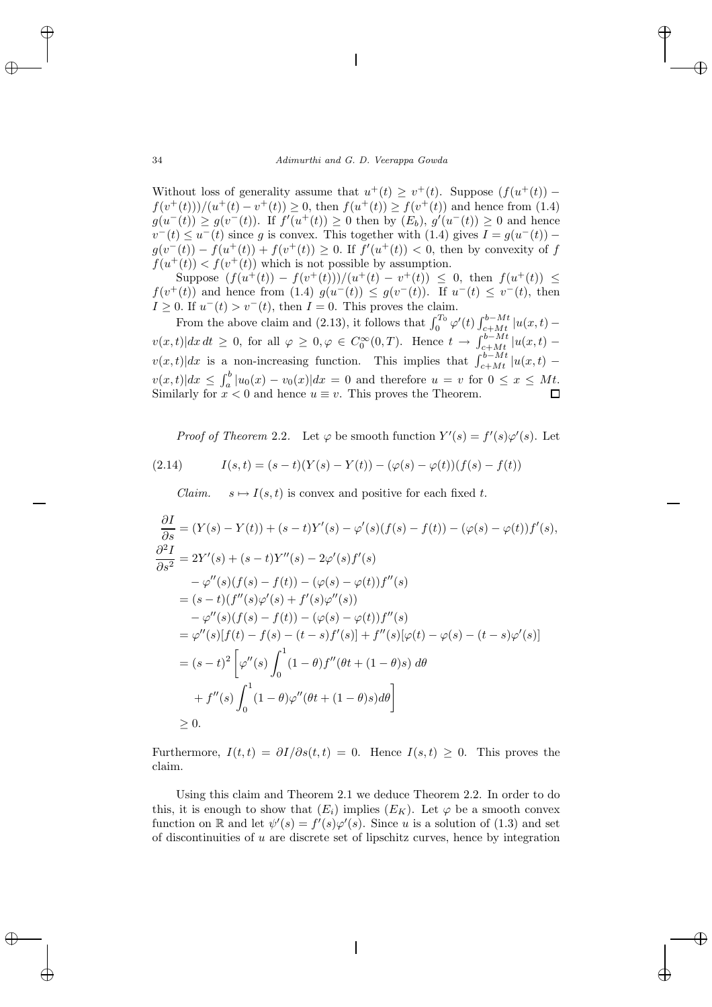Without loss of generality assume that  $u^+(t) > v^+(t)$ . Suppose  $(f(u^+(t))$  $f(v^+(t)))/(u^+(t)-v^+(t)) \geq 0$ , then  $f(u^+(t)) \geq f(v^+(t))$  and hence from (1.4)  $g(u^{-}(t)) \ge g(v^{-}(t))$ . If  $f'(u^{+}(t)) \ge 0$  then by  $(E_b)$ ,  $g'(u^{-}(t)) \ge 0$  and hence  $v^-(t) \le u^-(t)$  since g is convex. This together with (1.4) gives  $I = g(u^-(t))$  –  $g(v^-(t)) - f(u^+(t)) + f(v^+(t)) \geq 0$ . If  $f'(u^+(t)) < 0$ , then by convexity of f  $f(u^+(t)) < f(v^+(t))$  which is not possible by assumption.

Suppose  $(f(u^+(t)) - f(v^+(t)))/(u^+(t) - v^+(t)) \leq 0$ , then  $f(u^+(t)) \leq 0$  $f(v^+(t))$  and hence from (1.4)  $g(u^-(t)) \leq g(v^-(t))$ . If  $u^-(t) \leq v^-(t)$ , then  $I \geq 0$ . If  $u^-(t) > v^-(t)$ , then  $I = 0$ . This proves the claim.

From the above claim and (2.13), it follows that  $\int_0^{T_0} \varphi'(t) \int_{c+Mt}^{b-Mt} |u(x,t)$  $v(x,t)|dx dt \geq 0$ , for all  $\varphi \geq 0, \varphi \in C_0^{\infty}(0,T)$ . Hence  $t \to \int_{c+Mt}^{b-Mt} |u(x,t)$  $v(x,t)|dx$  is a non-increasing function. This implies that  $\int_{c+Mt}^{b-Mt} |u(x,t)$  $v(x,t)|dx \leq \int_a^b |u_0(x) - v_0(x)|dx = 0$  and therefore  $u = v$  for  $0 \leq x \leq Mt$ . Similarly for  $x < 0$  and hence  $u \equiv v$ . This proves the Theorem.

*Proof of Theorem* 2.2. Let  $\varphi$  be smooth function  $Y'(s) = f'(s)\varphi'(s)$ . Let (2.14)  $I(s, t) = (s - t)(Y(s) - Y(t)) - (\varphi(s) - \varphi(t))(f(s) - f(t))$ 

*Claim.*  $s \mapsto I(s,t)$  is convex and positive for each fixed t.

$$
\frac{\partial I}{\partial s} = (Y(s) - Y(t)) + (s - t)Y'(s) - \varphi'(s)(f(s) - f(t)) - (\varphi(s) - \varphi(t))f'(s),\n\frac{\partial^2 I}{\partial s^2} = 2Y'(s) + (s - t)Y''(s) - 2\varphi'(s)f'(s)\n- \varphi''(s)(f(s) - f(t)) - (\varphi(s) - \varphi(t))f''(s)\n= (s - t)(f''(s)\varphi'(s) + f'(s)\varphi''(s))\n- \varphi''(s)(f(s) - f(t)) - (\varphi(s) - \varphi(t))f''(s)\n= \varphi''(s)[f(t) - f(s) - (t - s)f'(s)] + f''(s)[\varphi(t) - \varphi(s) - (t - s)\varphi'(s)]\n= (s - t)^2 \left[\varphi''(s) \int_0^1 (1 - \theta)f''(\theta t + (1 - \theta)s) d\theta\right]\n+ f''(s) \int_0^1 (1 - \theta)\varphi''(\theta t + (1 - \theta)s) d\theta\right]\n\ge 0.
$$

Furthermore,  $I(t, t) = \partial I/\partial s(t, t) = 0$ . Hence  $I(s, t) \geq 0$ . This proves the claim.

Using this claim and Theorem 2.1 we deduce Theorem 2.2. In order to do this, it is enough to show that  $(E_i)$  implies  $(E_K)$ . Let  $\varphi$  be a smooth convex function on R and let  $\psi'(s) = f'(s)\varphi'(s)$ . Since u is a solution of (1.3) and set of discontinuities of  $u$  are discrete set of lipschitz curves, hence by integration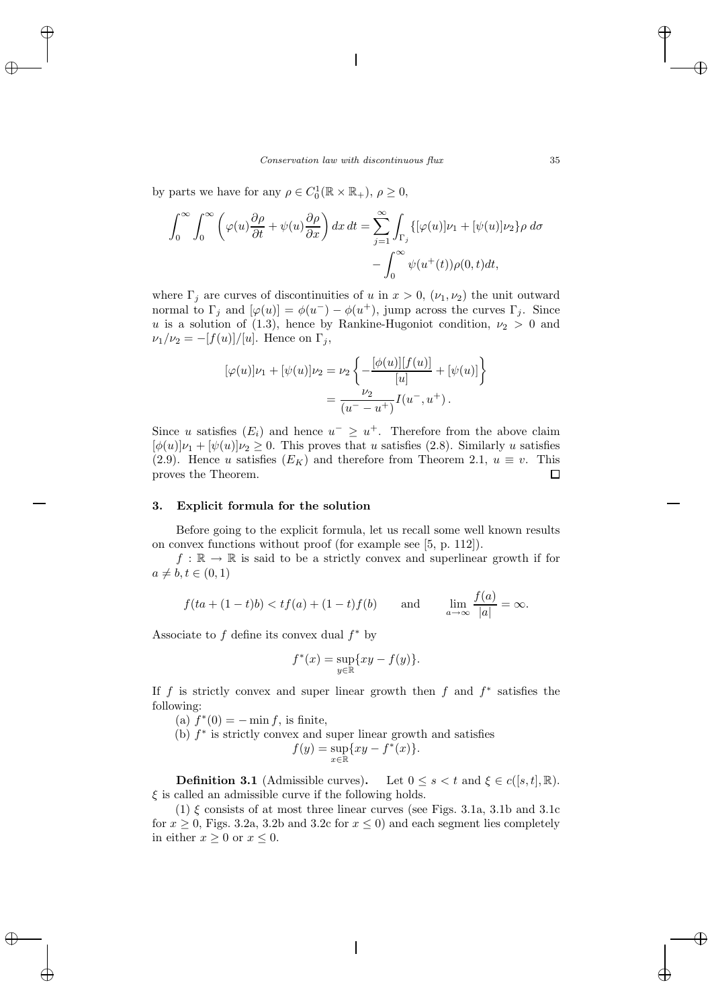by parts we have for any  $\rho \in C_0^1(\mathbb{R} \times \mathbb{R}_+), \rho \ge 0$ ,

$$
\int_0^\infty \int_0^\infty \left( \varphi(u) \frac{\partial \rho}{\partial t} + \psi(u) \frac{\partial \rho}{\partial x} \right) dx dt = \sum_{j=1}^\infty \int_{\Gamma_j} \{ [\varphi(u)] \nu_1 + [\psi(u)] \nu_2 \} \rho d\sigma - \int_0^\infty \psi(u^+(t)) \rho(0, t) dt,
$$

where  $\Gamma_i$  are curves of discontinuities of u in  $x > 0$ ,  $(\nu_1, \nu_2)$  the unit outward normal to  $\Gamma_i$  and  $[\varphi(u)] = \varphi(u^-) - \varphi(u^+),$  jump across the curves  $\Gamma_i$ . Since u is a solution of (1.3), hence by Rankine-Hugoniot condition,  $\nu_2 > 0$  and  $\nu_1/\nu_2 = -[f(u)]/[u]$ . Hence on  $\Gamma_i$ ,

$$
[\varphi(u)]\nu_1 + [\psi(u)]\nu_2 = \nu_2 \left\{ -\frac{[\phi(u)][f(u)]}{[u]} + [\psi(u)] \right\}
$$
  
= 
$$
\frac{\nu_2}{(u^- - u^+)} I(u^-, u^+).
$$

Since u satisfies  $(E_i)$  and hence  $u^- \geq u^+$ . Therefore from the above claim  $[\phi(u)]\nu_1 + [\psi(u)]\nu_2 \geq 0$ . This proves that u satisfies (2.8). Similarly u satisfies (2.9). Hence u satisfies  $(E_K)$  and therefore from Theorem 2.1,  $u \equiv v$ . This proves the Theorem. 口

#### **3. Explicit formula for the solution**

Before going to the explicit formula, let us recall some well known results on convex functions without proof (for example see [5, p. 112]).

 $f : \mathbb{R} \to \mathbb{R}$  is said to be a strictly convex and superlinear growth if for  $a \neq b, t \in (0,1)$ 

$$
f(ta + (1-t)b) < tf(a) + (1-t)f(b) \qquad \text{and} \qquad \lim_{a \to \infty} \frac{f(a)}{|a|} = \infty.
$$

Associate to f define its convex dual  $f^*$  by

$$
f^*(x) = \sup_{y \in \mathbb{R}} \{ xy - f(y) \}.
$$

If f is strictly convex and super linear growth then f and  $f^*$  satisfies the following:

(a)  $f^*(0) = - \min f$ , is finite,

(b)  $f^*$  is strictly convex and super linear growth and satisfies

$$
f(y) = \sup_{x \in \mathbb{R}} \{ xy - f^*(x) \}.
$$

**Definition 3.1** (Admissible curves). Let  $0 \leq s \leq t$  and  $\xi \in c([s, t], \mathbb{R})$ .  $\xi$  is called an admissible curve if the following holds.

(1)  $\xi$  consists of at most three linear curves (see Figs. 3.1a, 3.1b and 3.1c for  $x \ge 0$ , Figs. 3.2a, 3.2b and 3.2c for  $x \le 0$ ) and each segment lies completely in either  $x \geq 0$  or  $x \leq 0$ .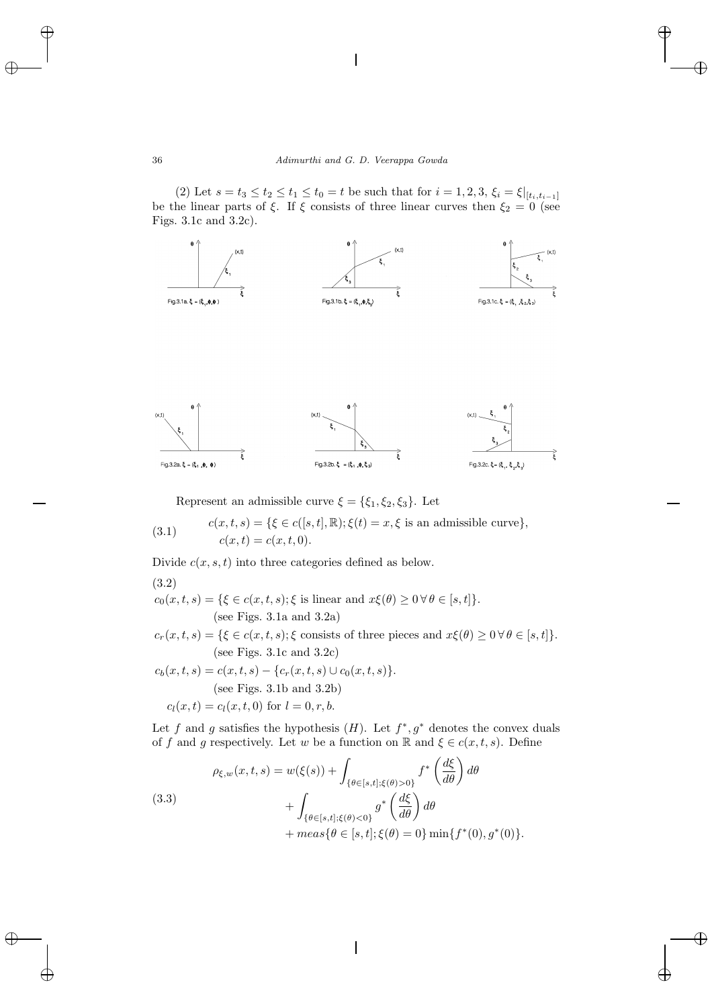(2) Let  $s = t_3 \le t_2 \le t_1 \le t_0 = t$  be such that for  $i = 1, 2, 3, \xi_i = \xi|_{[t_i, t_{i-1}]}$ be the linear parts of  $\xi$ . If  $\xi$  consists of three linear curves then  $\xi_2 = 0$  (see Figs. 3.1c and 3.2c).



Represent an admissible curve  $\xi = {\xi_1, \xi_2, \xi_3}$ . Let

(3.1) 
$$
c(x,t,s) = \{\xi \in c([s,t], \mathbb{R}); \xi(t) = x, \xi \text{ is an admissible curve}\},\
$$

$$
c(x,t) = c(x,t,0).
$$

Divide  $c(x, s, t)$  into three categories defined as below.

 $c_0(x, t, s) = \{ \xi \in c(x, t, s); \xi \text{ is linear and } x\xi(\theta) \geq 0 \,\forall \,\theta \in [s, t] \}.$ (see Figs. 3.1a and 3.2a)  $c_r(x, t, s) = {\xi \in c(x, t, s); \xi \text{ consists of three pieces and } x\xi(\theta) \geq 0 \,\forall \,\theta \in [s, t]}.$ (see Figs. 3.1c and 3.2c)  $c_b(x, t, s) = c(x, t, s) - \{c_r(x, t, s) \cup c_0(x, t, s)\}.$ (see Figs. 3.1b and 3.2b)  $c_l(x, t) = c_l(x, t, 0)$  for  $l = 0, r, b$ . (3.2)

Let f and g satisfies the hypothesis  $(H)$ . Let  $f^*, g^*$  denotes the convex duals of f and g respectively. Let w be a function on R and  $\xi \in c(x, t, s)$ . Define

(3.3)  

$$
\rho_{\xi,w}(x,t,s) = w(\xi(s)) + \int_{\{\theta \in [s,t]; \xi(\theta) > 0\}} f^* \left(\frac{d\xi}{d\theta}\right) d\theta + \int_{\{\theta \in [s,t]; \xi(\theta) < 0\}} g^* \left(\frac{d\xi}{d\theta}\right) d\theta + \max{\{\theta \in [s,t]; \xi(\theta) = 0\}} \min{\{f^*(0), g^*(0)\}}.
$$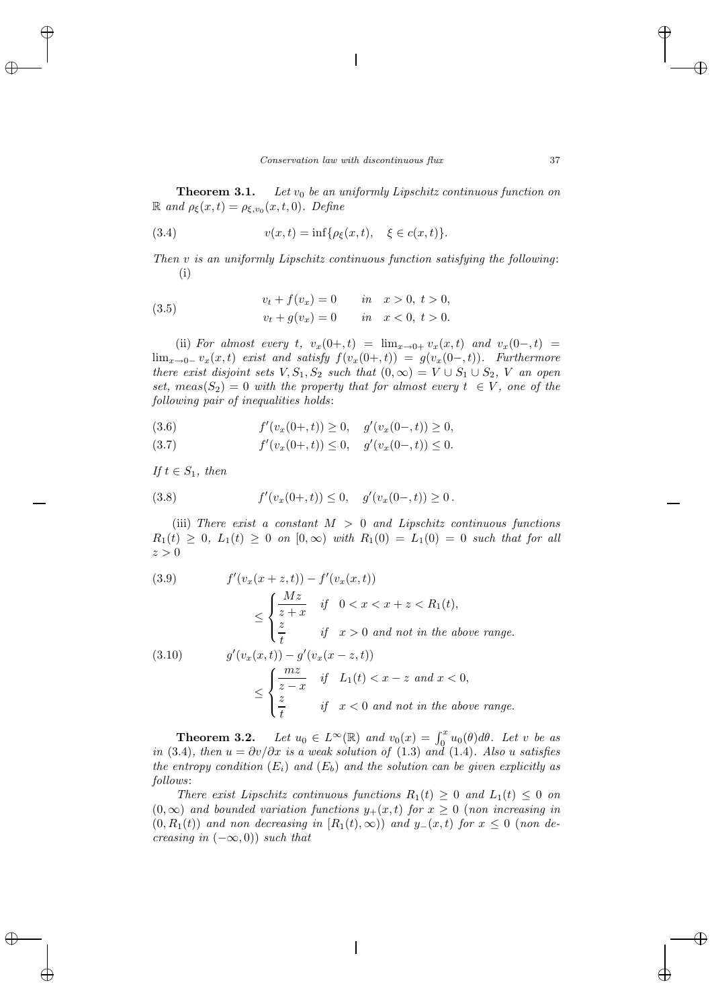**Theorem 3.1.** *Let*  $v_0$  *be an uniformly Lipschitz continuous function on*  $\mathbb{R}$  *and*  $\rho_{\xi}(x,t) = \rho_{\xi,v_0}(x,t,0)$ *. Define* 

(3.4) 
$$
v(x,t) = \inf \{ \rho_{\xi}(x,t), \xi \in c(x,t) \}.
$$

*Then* v *is an uniformly Lipschitz continuous function satisfying the following*: (i)

(3.5) 
$$
v_t + f(v_x) = 0 \t\t in \t x > 0, t > 0,\n v_t + g(v_x) = 0 \t\t in \t x < 0, t > 0.
$$

(ii) *For almost every* t,  $v_x(0+,t) = \lim_{x\to 0+} v_x(x,t)$  *and*  $v_x(0-,t) =$  $\lim_{x\to 0^-} v_x(x,t)$  *exist and satisfy*  $f(v_x(0+,t)) = g(v_x(0-,t))$ *. Furthermore there exist disjoint sets*  $V, S_1, S_2$  *such that*  $(0, \infty) = V \cup S_1 \cup S_2$ , V *an open set,*  $meas(S_2)=0$  *with the property that for almost every*  $t \in V$ *, one of the following pair of inequalities holds*:

(3.6) 
$$
f'(v_x(0+,t)) \ge 0, \quad g'(v_x(0-,t)) \ge 0,
$$

$$
(3.7) \t f'(v_x(0+,t)) \le 0, \t g'(v_x(0-,t)) \le 0.
$$

*If*  $t \in S_1$ *, then* 

(3.8) 
$$
f'(v_x(0+,t)) \le 0, \quad g'(v_x(0-,t)) \ge 0.
$$

(iii) *There exist a constant* M > 0 *and Lipschitz continuous functions*  $R_1(t) \geq 0$ ,  $L_1(t) \geq 0$  on  $[0, \infty)$  with  $R_1(0) = L_1(0) = 0$  such that for all  $z > 0$ 

(3.9) 
$$
f'(v_x(x+z,t)) - f'(v_x(x,t))
$$

$$
\leq \begin{cases} \frac{Mz}{z+x} & \text{if } 0 < x < x+z < R_1(t), \\ \frac{z}{t} & \text{if } x > 0 \text{ and not in the above range.} \end{cases}
$$
  
(3.10) 
$$
g'(v_x(x,t)) - g'(v_x(x-z,t))
$$

$$
\leq \begin{cases} \frac{mz}{z-x} & \text{if } L_1(t) < x-z \text{ and } x < 0, \\ \frac{z}{t} & \text{if } x < 0 \text{ and not in the above range.} \end{cases}
$$

**Theorem 3.2.** *Let*  $u_0 \in L^{\infty}(\mathbb{R})$  *and*  $v_0(x) = \int_0^x u_0(\theta) d\theta$ *. Let* v *be as in* (3.4)*, then*  $u = \partial v / \partial x$  *is a weak solution of* (1.3) *and* (1.4)*. Also* u *satisfies the entropy condition*  $(E_i)$  *and*  $(E_b)$  *and the solution can be given explicitly as follows*:

*There exist Lipschitz continuous functions*  $R_1(t) \geq 0$  *and*  $L_1(t) \leq 0$  *on*  $(0, \infty)$  *and bounded variation functions*  $y_+(x, t)$  *for*  $x \geq 0$  (*non increasing in*  $(0, R_1(t))$  *and non decreasing in*  $[R_1(t), \infty))$  *and*  $y_-(x,t)$  *for*  $x \le 0$  (*non decreasing in*  $(-\infty, 0)$ *) such that*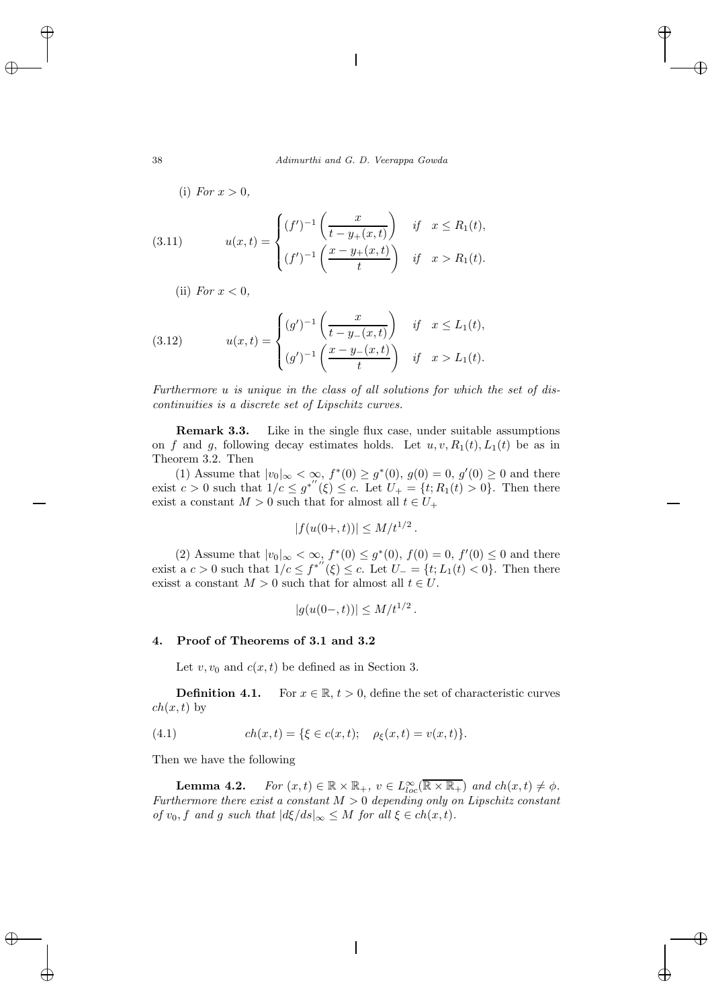(i) *For*  $x > 0$ ,

(3.11) 
$$
u(x,t) = \begin{cases} (f')^{-1} \left( \frac{x}{t - y_+(x,t)} \right) & \text{if } x \le R_1(t), \\ (f')^{-1} \left( \frac{x - y_+(x,t)}{t} \right) & \text{if } x > R_1(t). \end{cases}
$$

(ii) *For*  $x < 0$ *,* 

(3.12) 
$$
u(x,t) = \begin{cases} (g')^{-1} \left( \frac{x}{t - y_-(x,t)} \right) & \text{if } x \le L_1(t), \\ (g')^{-1} \left( \frac{x - y_-(x,t)}{t} \right) & \text{if } x > L_1(t). \end{cases}
$$

*Furthermore* u *is unique in the class of all solutions for which the set of discontinuities is a discrete set of Lipschitz curves.*

**Remark 3.3.** Like in the single flux case, under suitable assumptions on f and g, following decay estimates holds. Let  $u, v, R_1(t), L_1(t)$  be as in Theorem 3.2. Then

(1) Assume that  $|v_0|_{\infty} < \infty$ ,  $f^*(0) \ge g^*(0)$ ,  $g(0) = 0$ ,  $g'(0) \ge 0$  and there exist  $c > 0$  such that  $1/c \le g^{*''}(\xi) \le c$ . Let  $U_+ = \{t; R_1(t) > 0\}$ . Then there exist a constant  $M > 0$  such that for almost all  $t \in U_+$ 

$$
|f(u(0+,t))| \le M/t^{1/2}.
$$

(2) Assume that  $|v_0|_{\infty} < \infty$ ,  $f^*(0) \leq g^*(0)$ ,  $f(0) = 0$ ,  $f'(0) \leq 0$  and there exist a  $c > 0$  such that  $1/c \le f^{*'(\xi)} \le c$ . Let  $U_{-} = \{t; L_1(t) < 0\}$ . Then there exisst a constant  $M > 0$  such that for almost all  $t \in U$ .

$$
|g(u(0-,t))| \le M/t^{1/2}.
$$

#### **4. Proof of Theorems of 3.1 and 3.2**

Let  $v, v_0$  and  $c(x, t)$  be defined as in Section 3.

**Definition 4.1.** For  $x \in \mathbb{R}$ ,  $t > 0$ , define the set of characteristic curves  $ch(x, t)$  by

(4.1) 
$$
ch(x,t) = \{ \xi \in c(x,t); \quad \rho_{\xi}(x,t) = v(x,t) \}.
$$

Then we have the following

**Lemma 4.2.** *For*  $(x,t) \in \mathbb{R} \times \mathbb{R}_+$ ,  $v \in L_{loc}^{\infty}(\overline{\mathbb{R} \times \mathbb{R}_+})$  *and*  $ch(x,t) \neq \phi$ . *Furthermore there exist a constant* M > 0 *depending only on Lipschitz constant of*  $v_0, f$  *and*  $g$  *such that*  $|d\xi/ds|_{\infty} \leq M$  *for all*  $\xi \in ch(x, t)$ *.*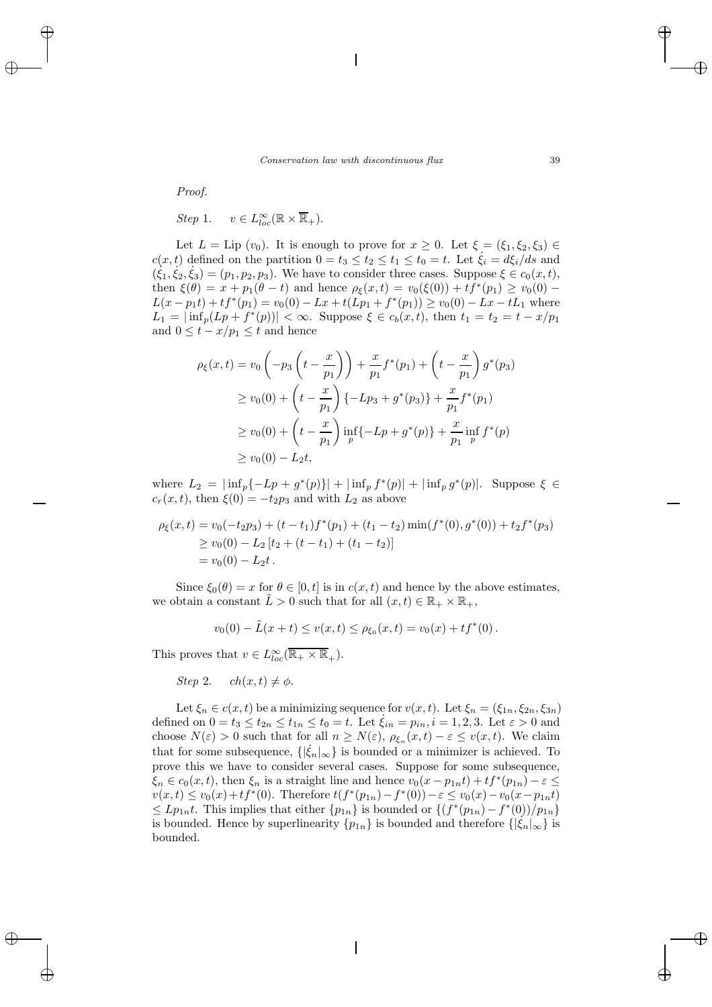*Proof.*

*Step* 1.  $v \in L^{\infty}_{loc}(\mathbb{R} \times \overline{\mathbb{R}}_+).$ 

Let  $L = \text{Lip}(v_0)$ . It is enough to prove for  $x \geq 0$ . Let  $\xi = (\xi_1, \xi_2, \xi_3) \in$  $c(x,t)$  defined on the partition  $0 = t_3 \le t_2 \le t_1 \le t_0 = t$ . Let  $\dot{\xi}_i = d\xi_i/ds$  and  $(\dot{\xi}_1, \dot{\xi}_2, \dot{\xi}_3)=(p_1, p_2, p_3)$ . We have to consider three cases. Suppose  $\xi \in c_0(x, t)$ , then  $\xi(\theta) = x + p_1(\theta - t)$  and hence  $\rho_{\xi}(x, t) = v_0(\xi(0)) + tf^*(p_1) \ge v_0(0)$  –  $L(x - p_1t) + tf^*(p_1) = v_0(0) - Lx + t(Lp_1 + f^*(p_1)) \ge v_0(0) - Lx - tL_1$  where  $L_1 = |\inf_p (L_p + f^*(p))| < \infty$ . Suppose  $\xi \in c_b(x, t)$ , then  $t_1 = t_2 = t - x/p_1$ and  $0 \leq t - x/p_1 \leq t$  and hence

$$
\rho_{\xi}(x,t) = v_0 \left( -p_3 \left( t - \frac{x}{p_1} \right) \right) + \frac{x}{p_1} f^*(p_1) + \left( t - \frac{x}{p_1} \right) g^*(p_3)
$$
\n
$$
\ge v_0(0) + \left( t - \frac{x}{p_1} \right) \{-Lp_3 + g^*(p_3) \} + \frac{x}{p_1} f^*(p_1)
$$
\n
$$
\ge v_0(0) + \left( t - \frac{x}{p_1} \right) \inf_{p} \{-Lp + g^*(p) \} + \frac{x}{p_1} \inf_{p} f^*(p)
$$
\n
$$
\ge v_0(0) - L_2 t,
$$

where  $L_2 = |\inf_p{-Lp + g^*(p)}| + |\inf_p f^*(p)| + |\inf_p g^*(p)|$ . Suppose  $\xi \in$  $c_r(x, t)$ , then  $\xi(0) = -t_2p_3$  and with  $L_2$  as above

$$
\rho_{\xi}(x,t) = v_0(-t_2p_3) + (t - t_1)f^*(p_1) + (t_1 - t_2)\min(f^*(0), g^*(0)) + t_2f^*(p_3)
$$
  
\n
$$
\ge v_0(0) - L_2[t_2 + (t - t_1) + (t_1 - t_2)]
$$
  
\n
$$
= v_0(0) - L_2t.
$$

Since  $\xi_0(\theta) = x$  for  $\theta \in [0, t]$  is in  $c(x, t)$  and hence by the above estimates, we obtain a constant  $\tilde{L} > 0$  such that for all  $(x, t) \in \mathbb{R}_+ \times \mathbb{R}_+$ ,

$$
v_0(0) - \tilde{L}(x+t) \le v(x,t) \le \rho_{\xi_0}(x,t) = v_0(x) + t f^*(0).
$$

This proves that  $v \in L^{\infty}_{loc}(\overline{\mathbb{R}_+ \times \mathbb{R}_+}).$ 

*Step* 2.  $ch(x,t) \neq \phi$ .

Let  $\xi_n \in c(x,t)$  be a minimizing sequence for  $v(x,t)$ . Let  $\xi_n = (\xi_{1n}, \xi_{2n}, \xi_{3n})$ defined on  $0 = t_3 \le t_{2n} \le t_{1n} \le t_0 = t$ . Let  $\xi_{in} = p_{in}$ ,  $i = 1, 2, 3$ . Let  $\varepsilon > 0$  and choose  $N(\varepsilon) > 0$  such that for all  $n \geq N(\varepsilon)$ ,  $\rho_{\xi_n}(x,t) - \varepsilon \leq v(x,t)$ . We claim that for some subsequence,  $\{|\dot{\xi}_n|_{\infty}\}$  is bounded or a minimizer is achieved. To prove this we have to consider several cases. Suppose for some subsequence,  $\xi_n \in c_0(x, t)$ , then  $\xi_n$  is a straight line and hence  $v_0(x - p_{1n}t) + tf^*(p_{1n}) - \varepsilon \leq$  $v(x, t) \le v_0(x) + tf^*(0)$ . Therefore  $t(f^*(p_{1n}) - f^*(0)) - \varepsilon \le v_0(x) - v_0(x-p_{1n}t)$  $\leq L p_{1n} t$ . This implies that either  $\{p_{1n}\}\$ is bounded or  $\{(f^*(p_{1n}) - f^*(0))/p_{1n}\}\$ is bounded. Hence by superlinearity  $\{p_{1n}\}\$ is bounded and therefore  $\{|\xi_n|_{\infty}\}\$ is bounded.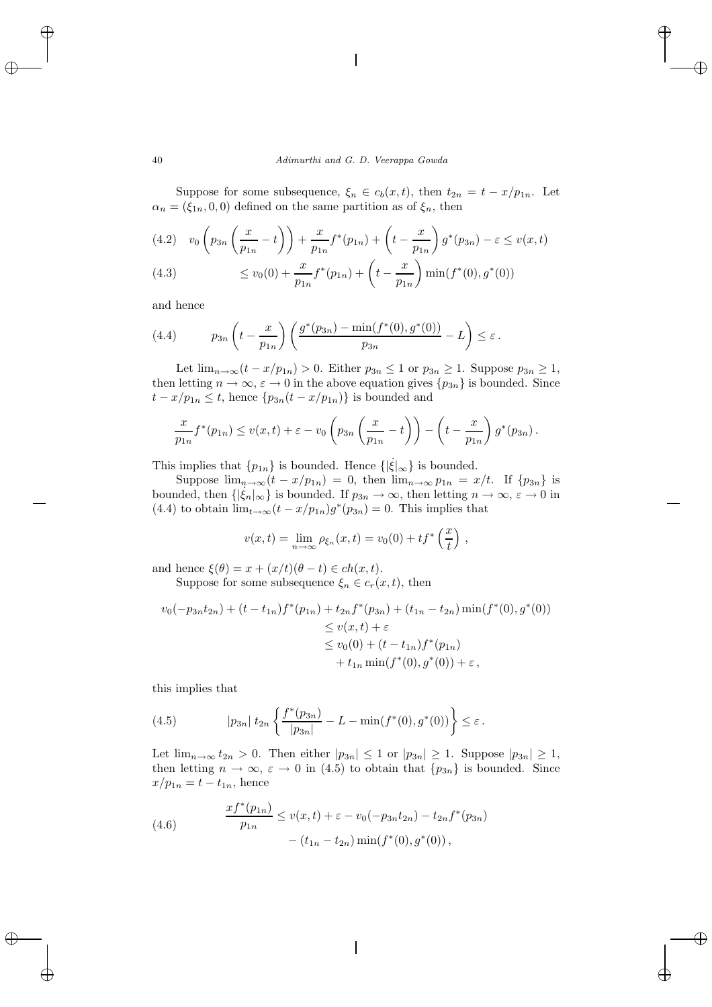Suppose for some subsequence,  $\xi_n \in c_b(x, t)$ , then  $t_{2n} = t - x/p_{1n}$ . Let  $\alpha_n = (\xi_{1n}, 0, 0)$  defined on the same partition as of  $\xi_n$ , then

(4.2) 
$$
v_0 \left(p_{3n} \left(\frac{x}{p_{1n}} - t\right)\right) + \frac{x}{p_{1n}} f^*(p_{1n}) + \left(t - \frac{x}{p_{1n}}\right) g^*(p_{3n}) - \varepsilon \le v(x, t)
$$
  
(4.3)  $\le v_0(0) + \frac{x}{p_{1n}} f^*(p_{1n}) + \left(t - \frac{x}{p_{1n}}\right) \min(f^*(0), g^*(0))$ 

and hence

(4.4) 
$$
p_{3n}\left(t - \frac{x}{p_{1n}}\right)\left(\frac{g^*(p_{3n}) - \min(f^*(0), g^*(0))}{p_{3n}} - L\right) \leq \varepsilon.
$$

Let  $\lim_{n\to\infty}(t-x/p_{1n})>0$ . Either  $p_{3n}\leq 1$  or  $p_{3n}\geq 1$ . Suppose  $p_{3n}\geq 1$ , then letting  $n \to \infty$ ,  $\varepsilon \to 0$  in the above equation gives  $\{p_{3n}\}\$ is bounded. Since  $t - x/p_{1n} \leq t$ , hence  $\{p_{3n}(t - x/p_{1n})\}$  is bounded and

$$
\frac{x}{p_{1n}}f^*(p_{1n}) \le v(x,t) + \varepsilon - v_0\left(p_{3n}\left(\frac{x}{p_{1n}} - t\right)\right) - \left(t - \frac{x}{p_{1n}}\right)g^*(p_{3n}).
$$

This implies that  $\{p_{1n}\}\$ is bounded. Hence  $\{\left|\dot{\xi}\right|_{\infty}\}\$ is bounded.

Suppose  $\lim_{n\to\infty}(t-x/p_{1n})=0$ , then  $\lim_{n\to\infty}p_{1n}=x/t$ . If  $\{p_{3n}\}\$ is bounded, then  $\{|\xi_n|_{\infty}\}\$ is bounded. If  $p_{3n} \to \infty$ , then letting  $n \to \infty$ ,  $\varepsilon \to 0$  in (4.4) to obtain  $\lim_{t\to\infty}(t-x/p_{1n})g^*(p_{3n})=0$ . This implies that

$$
v(x,t) = \lim_{n \to \infty} \rho_{\xi_n}(x,t) = v_0(0) + tf^* \left(\frac{x}{t}\right),
$$

and hence  $\xi(\theta) = x + (x/t)(\theta - t) \in ch(x, t)$ .

Suppose for some subsequence  $\xi_n \in c_r(x, t)$ , then

$$
v_0(-p_{3n}t_{2n}) + (t - t_{1n})f^*(p_{1n}) + t_{2n}f^*(p_{3n}) + (t_{1n} - t_{2n})\min(f^*(0), g^*(0))
$$
  
\n
$$
\leq v(x, t) + \varepsilon
$$
  
\n
$$
\leq v_0(0) + (t - t_{1n})f^*(p_{1n})
$$
  
\n
$$
+ t_{1n}\min(f^*(0), g^*(0)) + \varepsilon,
$$

this implies that

(4.5) 
$$
|p_{3n}| \ t_{2n} \left\{ \frac{f^*(p_{3n})}{|p_{3n}|} - L - \min(f^*(0), g^*(0)) \right\} \leq \varepsilon.
$$

Let  $\lim_{n\to\infty} t_{2n} > 0$ . Then either  $|p_{3n}| \leq 1$  or  $|p_{3n}| \geq 1$ . Suppose  $|p_{3n}| \geq 1$ , then letting  $n \to \infty$ ,  $\varepsilon \to 0$  in (4.5) to obtain that  $\{p_{3n}\}\$ is bounded. Since  $x/p_{1n} = t - t_{1n}$ , hence

(4.6) 
$$
\frac{xf^*(p_{1n})}{p_{1n}} \le v(x,t) + \varepsilon - v_0(-p_{3n}t_{2n}) - t_{2n}f^*(p_{3n}) - (t_{1n} - t_{2n})\min(f^*(0), g^*(0)),
$$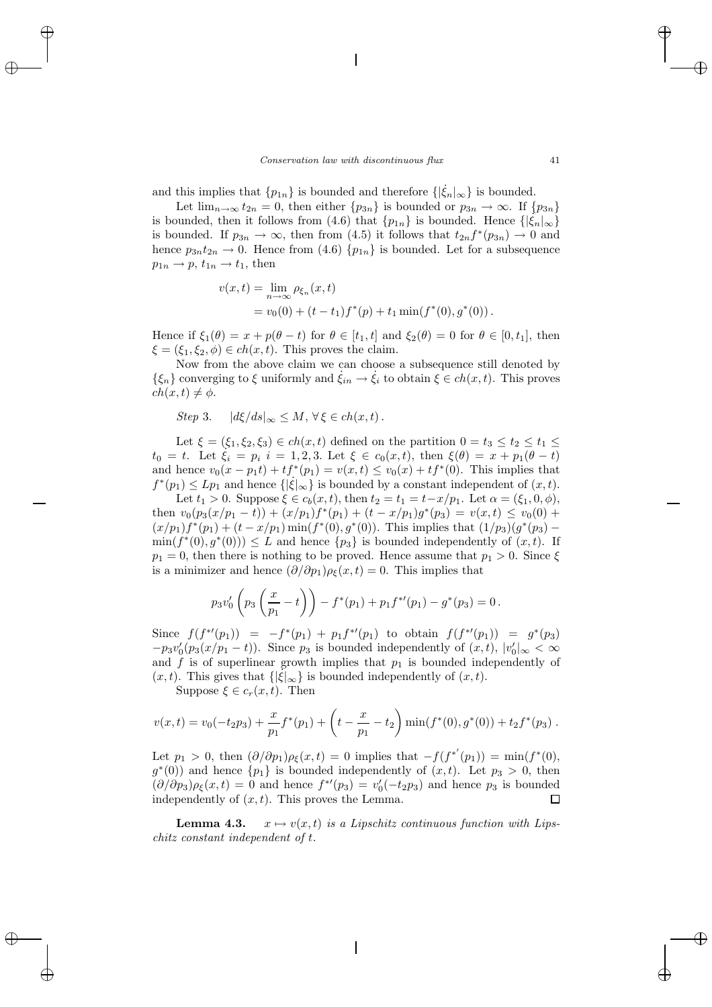and this implies that  $\{p_{1n}\}\$ is bounded and therefore  $\{\vert \dot{\xi}_n \vert_{\infty}\}\$ is bounded.

Let  $\lim_{n\to\infty} t_{2n} = 0$ , then either  $\{p_{3n}\}\$ is bounded or  $p_{3n} \to \infty$ . If  $\{p_{3n}\}\$ is bounded, then it follows from (4.6) that  $\{p_{1n}\}\$ is bounded. Hence  $\{\left|\xi_n\right|_{\infty}\}\$ is bounded. If  $p_{3n} \to \infty$ , then from (4.5) it follows that  $t_{2n}f^*(p_{3n}) \to 0$  and hence  $p_{3n}t_{2n} \to 0$ . Hence from (4.6)  $\{p_{1n}\}\$ is bounded. Let for a subsequence  $p_{1n} \rightarrow p$ ,  $t_{1n} \rightarrow t_1$ , then

$$
v(x,t) = \lim_{n \to \infty} \rho_{\xi_n}(x,t)
$$
  
=  $v_0(0) + (t - t_1)f^*(p) + t_1 \min(f^*(0), g^*(0)).$ 

Hence if  $\xi_1(\theta) = x + p(\theta - t)$  for  $\theta \in [t_1, t]$  and  $\xi_2(\theta) = 0$  for  $\theta \in [0, t_1]$ , then  $\xi = (\xi_1, \xi_2, \phi) \in ch(x, t)$ . This proves the claim.

Now from the above claim we can choose a subsequence still denoted by  $\{\xi_n\}$  converging to  $\xi$  uniformly and  $\xi_{in} \to \xi_i$  to obtain  $\xi \in ch(x, t)$ . This proves  $ch(x, t) \neq \phi.$ 

Step 3. 
$$
|d\xi/ds|_{\infty} \leq M, \forall \xi \in ch(x, t)
$$
.

Let  $\xi = (\xi_1, \xi_2, \xi_3) \in ch(x, t)$  defined on the partition  $0 = t_3 \le t_2 \le t_1 \le$  $t_0 = t$ . Let  $\xi_i = p_i$   $i = 1, 2, 3$ . Let  $\xi \in c_0(x, t)$ , then  $\xi(\theta) = x + p_1(\theta - t)$ and hence  $v_0(x - p_1t) + tf^*(p_1) = v(x, t) \le v_0(x) + tf^*(0)$ . This implies that  $f^*(p_1) \leq Lp_1$  and hence  $\{|\xi|_{\infty}\}\$ is bounded by a constant independent of  $(x, t)$ .

Let  $t_1 > 0$ . Suppose  $\xi \in c_b(x, t)$ , then  $t_2 = t_1 = t - x/p_1$ . Let  $\alpha = (\xi_1, 0, \phi)$ , then  $v_0(p_3(x/p_1-t)) + (x/p_1)f^*(p_1) + (t - x/p_1)g^*(p_3) = v(x,t) \le v_0(0) +$  $(x/p_1)f^*(p_1)+(t-x/p_1)\min(f^*(0),g^*(0)).$  This implies that  $(1/p_3)(g^*(p_3) \min(f^*(0), g^*(0)) \leq L$  and hence  $\{p_3\}$  is bounded independently of  $(x, t)$ . If  $p_1 = 0$ , then there is nothing to be proved. Hence assume that  $p_1 > 0$ . Since  $\xi$ is a minimizer and hence  $(\partial/\partial p_1)\rho_{\xi}(x,t) = 0$ . This implies that

$$
p_3v'_0\left(p_3\left(\frac{x}{p_1}-t\right)\right)-f^*(p_1)+p_1f^{*\prime}(p_1)-g^*(p_3)=0.
$$

Since  $f(f^{*'}(p_1)) = -f^{*}(p_1) + p_1f^{*'}(p_1)$  to obtain  $f(f^{*'}(p_1)) = g^{*}(p_3)$  $-p_3v'_0(p_3(x/p_1-t))$ . Since  $p_3$  is bounded independently of  $(x,t)$ ,  $|v'_0|_{\infty} < \infty$ and f is of superlinear growth implies that  $p_1$  is bounded independently of  $(x, t)$ . This gives that  $\{|\dot{\xi}|_{\infty}\}$  is bounded independently of  $(x, t)$ .

Suppose  $\xi \in c_r(x, t)$ . Then

$$
v(x,t) = v_0(-t_2p_3) + \frac{x}{p_1}f^*(p_1) + \left(t - \frac{x}{p_1} - t_2\right) \min(f^*(0), g^*(0)) + t_2f^*(p_3).
$$

Let  $p_1 > 0$ , then  $(\partial/\partial p_1)\rho_{\xi}(x,t) = 0$  implies that  $-f(f^{*'}(p_1)) = \min(f^*(0),$  $g^*(0)$  and hence  $\{p_1\}$  is bounded independently of  $(x, t)$ . Let  $p_3 > 0$ , then  $(\partial/\partial p_3)\rho_{\xi}(x,t) = 0$  and hence  $f^{*\prime}(p_3) = v'_0(-t_2p_3)$  and hence  $p_3$  is bounded independently of  $(x, t)$ . This proves the Lemma.

**Lemma 4.3.**  $x \mapsto v(x,t)$  *is a Lipschitz continuous function with Lipschitz constant independent of* t*.*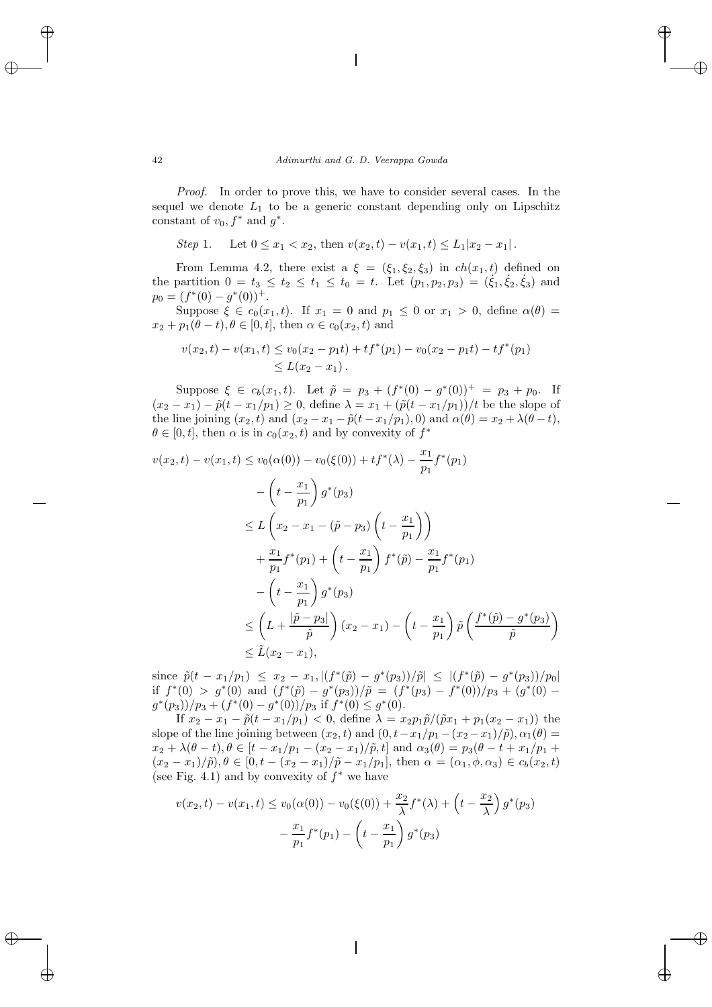*Proof.* In order to prove this, we have to consider several cases. In the sequel we denote  $L_1$  to be a generic constant depending only on Lipschitz constant of  $v_0$ ,  $f^*$  and  $q^*$ .

*Step* 1. Let  $0 \leq x_1 < x_2$ , then  $v(x_2, t) - v(x_1, t) \leq L_1 |x_2 - x_1|$ .

From Lemma 4.2, there exist a  $\xi = (\xi_1, \xi_2, \xi_3)$  in  $ch(x_1, t)$  defined on the partition  $0 = t_3 \le t_2 \le t_1 \le t_0 = t$ . Let  $(p_1, p_2, p_3) = (\xi_1, \xi_2, \xi_3)$  and  $p_0 = (f^*(0) - q^*(0))^+$ .

Suppose  $\xi \in c_0(x_1, t)$ . If  $x_1 = 0$  and  $p_1 \leq 0$  or  $x_1 > 0$ , define  $\alpha(\theta) =$  $x_2 + p_1(\theta - t), \theta \in [0, t],$  then  $\alpha \in c_0(x_2, t)$  and

$$
v(x_2, t) - v(x_1, t) \le v_0(x_2 - p_1t) + tf^*(p_1) - v_0(x_2 - p_1t) - tf^*(p_1)
$$
  
\$\le L(x\_2 - x\_1)\$.

Suppose  $\xi \in c_b(x_1, t)$ . Let  $\tilde{p} = p_3 + (f^*(0) - g^*(0))^+ = p_3 + p_0$ . If  $(x_2 - x_1) - \tilde{p}(t - x_1/p_1) \ge 0$ , define  $\lambda = x_1 + (\tilde{p}(t - x_1/p_1))/t$  be the slope of the line joining  $(x_2, t)$  and  $(x_2 - x_1 - \tilde{p}(t - x_1/p_1), 0)$  and  $\alpha(\theta) = x_2 + \lambda(\theta - t)$ ,  $\theta \in [0, t]$ , then  $\alpha$  is in  $c_0(x_2, t)$  and by convexity of  $f^*$ 

$$
v(x_2, t) - v(x_1, t) \le v_0(\alpha(0)) - v_0(\xi(0)) + tf^*(\lambda) - \frac{x_1}{p_1}f^*(p_1)
$$
  

$$
- \left(t - \frac{x_1}{p_1}\right)g^*(p_3)
$$
  

$$
\le L\left(x_2 - x_1 - (\tilde{p} - p_3)\left(t - \frac{x_1}{p_1}\right)\right)
$$
  

$$
+ \frac{x_1}{p_1}f^*(p_1) + \left(t - \frac{x_1}{p_1}\right)f^*(\tilde{p}) - \frac{x_1}{p_1}f^*(p_1)
$$
  

$$
- \left(t - \frac{x_1}{p_1}\right)g^*(p_3)
$$
  

$$
\le \left(L + \frac{|\tilde{p} - p_3|}{\tilde{p}}\right)(x_2 - x_1) - \left(t - \frac{x_1}{p_1}\right)\tilde{p}\left(\frac{f^*(\tilde{p}) - g^*(p_3)}{\tilde{p}}\right)
$$
  

$$
\le \tilde{L}(x_2 - x_1),
$$

since  $\tilde{p}(t - x_1/p_1) \leq x_2 - x_1, |(f^*(\tilde{p}) - g^*(p_3))/\tilde{p}| \leq |(f^*(\tilde{p}) - g^*(p_3))/p_0|$ if  $f^*(0) > g^*(0)$  and  $(f^*(\tilde{p}) - g^*(p_3))/\tilde{p} = (f^*(p_3) - f^*(0))/p_3 + (g^*(0) (g^*(p_3))/p_3 + (f^*(0) - g^*(0))/p_3$  if  $f^*(0) \leq g^*(0)$ .

If  $x_2 - x_1 - \tilde{p}(t - x_1/p_1) < 0$ , define  $\lambda = x_2 p_1 \tilde{p}/(\tilde{p}x_1 + p_1(x_2 - x_1))$  the slope of the line joining between  $(x_2, t)$  and  $(0, t-x_1/p_1 - (x_2 - x_1)/\tilde{p})$ ,  $\alpha_1(\theta) =$  $x_2 + \lambda(\theta - t), \theta \in [t - x_1/p_1 - (x_2 - x_1)/\tilde{p}, t]$  and  $\alpha_3(\theta) = p_3(\theta - t + x_1/p_1 + t_2)$  $(x_2 - x_1)/\tilde{p}, \theta \in [0, t - (x_2 - x_1)/\tilde{p} - x_1/p_1],$  then  $\alpha = (\alpha_1, \phi, \alpha_3) \in c_b(x_2, t)$ (see Fig. 4.1) and by convexity of  $f^*$  we have

$$
v(x_2, t) - v(x_1, t) \le v_0(\alpha(0)) - v_0(\xi(0)) + \frac{x_2}{\lambda} f^*(\lambda) + \left(t - \frac{x_2}{\lambda}\right) g^*(p_3) - \frac{x_1}{p_1} f^*(p_1) - \left(t - \frac{x_1}{p_1}\right) g^*(p_3)
$$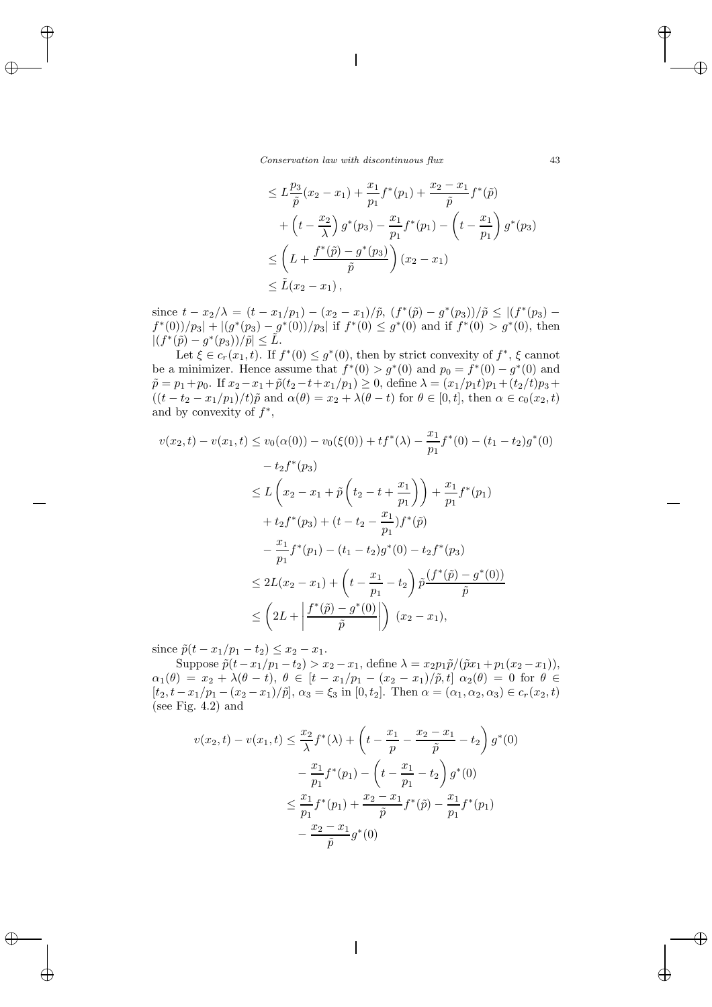*Conservation law with discontinuous flux* 43

$$
\leq L \frac{p_3}{\tilde{p}} (x_2 - x_1) + \frac{x_1}{p_1} f^*(p_1) + \frac{x_2 - x_1}{\tilde{p}} f^*(\tilde{p})
$$
  
+  $\left(t - \frac{x_2}{\lambda}\right) g^*(p_3) - \frac{x_1}{p_1} f^*(p_1) - \left(t - \frac{x_1}{p_1}\right) g^*(p_3)$   

$$
\leq \left(L + \frac{f^*(\tilde{p}) - g^*(p_3)}{\tilde{p}}\right) (x_2 - x_1)
$$
  

$$
\leq \tilde{L}(x_2 - x_1),
$$

since  $t - x_2/\lambda = (t - x_1/p_1) - (x_2 - x_1)/\tilde{p}$ ,  $(f^*(\tilde{p}) - g^*(p_3))/\tilde{p} \le |(f^*(p_3)$  $f^{*}(0)/p_{3}|+|(g^{*}(p_{3})-g^{*}(0))/p_{3}|$  if  $f^{*}(0) \leq g^{*}(0)$  and if  $f^{*}(0) > g^{*}(0)$ , then  $|(f^*(\tilde{p}) - g^*(p_3))/\tilde{p}| \leq \tilde{L}.$ 

Let  $\xi \in c_r(x_1, t)$ . If  $f^*(0) \leq q^*(0)$ , then by strict convexity of  $f^*$ ,  $\xi$  cannot be a minimizer. Hence assume that  $f^*(0) > q^*(0)$  and  $p_0 = f^*(0) - q^*(0)$  and  $\tilde{p} = p_1 + p_0$ . If  $x_2 - x_1 + \tilde{p}(t_2 - t + x_1/p_1) \geq 0$ , define  $\lambda = (x_1/p_1t)p_1 + (t_2/t)p_3 +$  $((t - t<sub>2</sub> - x<sub>1</sub>/p<sub>1</sub>)/t)\tilde{p}$  and  $\alpha(\theta) = x_2 + \lambda(\theta - t)$  for  $\theta \in [0, t]$ , then  $\alpha \in c_0(x_2, t)$ and by convexity of  $f^*$ ,

$$
v(x_2, t) - v(x_1, t) \le v_0(\alpha(0)) - v_0(\xi(0)) + tf^*(\lambda) - \frac{x_1}{p_1}f^*(0) - (t_1 - t_2)g^*(0)
$$
  

$$
- t_2f^*(p_3)
$$
  

$$
\le L\left(x_2 - x_1 + \tilde{p}\left(t_2 - t + \frac{x_1}{p_1}\right)\right) + \frac{x_1}{p_1}f^*(p_1)
$$
  

$$
+ t_2f^*(p_3) + (t - t_2 - \frac{x_1}{p_1})f^*(\tilde{p})
$$
  

$$
- \frac{x_1}{p_1}f^*(p_1) - (t_1 - t_2)g^*(0) - t_2f^*(p_3)
$$
  

$$
\le 2L(x_2 - x_1) + \left(t - \frac{x_1}{p_1} - t_2\right)\tilde{p}\frac{(f^*(\tilde{p}) - g^*(0))}{\tilde{p}}
$$
  

$$
\le \left(2L + \left|\frac{f^*(\tilde{p}) - g^*(0)}{\tilde{p}}\right|\right)(x_2 - x_1),
$$

since  $\tilde{p}(t - x_1/p_1 - t_2) \leq x_2 - x_1$ .

Suppose  $\tilde{p}(t-x_1/p_1-t_2) > x_2-x_1$ , define  $\lambda = x_2p_1\tilde{p}/(\tilde{p}x_1+p_1(x_2-x_1)),$  $\alpha_1(\theta) = x_2 + \lambda(\theta - t), \ \theta \in [t - x_1/p_1 - (x_2 - x_1)/\tilde{p}, t] \ \alpha_2(\theta) = 0 \ \text{ for } \ \theta \in$  $[t_2, t-x_1/p_1-(x_2-x_1)/\tilde{p}], \alpha_3=\xi_3 \text{ in } [0, t_2].$  Then  $\alpha=(\alpha_1, \alpha_2, \alpha_3) \in c_r(x_2, t)$ (see Fig. 4.2) and

$$
v(x_2, t) - v(x_1, t) \le \frac{x_2}{\lambda} f^*(\lambda) + \left( t - \frac{x_1}{p} - \frac{x_2 - x_1}{\tilde{p}} - t_2 \right) g^*(0)
$$

$$
- \frac{x_1}{p_1} f^*(p_1) - \left( t - \frac{x_1}{p_1} - t_2 \right) g^*(0)
$$

$$
\le \frac{x_1}{p_1} f^*(p_1) + \frac{x_2 - x_1}{\tilde{p}} f^*(\tilde{p}) - \frac{x_1}{p_1} f^*(p_1)
$$

$$
- \frac{x_2 - x_1}{\tilde{p}} g^*(0)
$$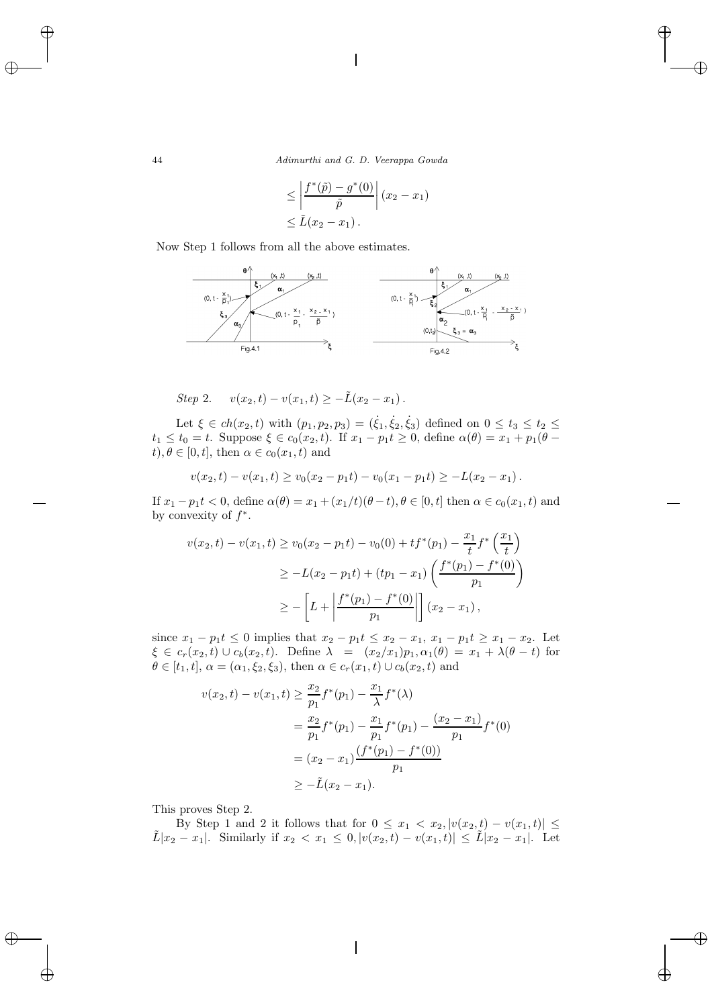44 *Adimurthi and G. D. Veerappa Gowda*

$$
\leq \left| \frac{f^*(\tilde{p}) - g^*(0)}{\tilde{p}} \right| (x_2 - x_1)
$$
  

$$
\leq \tilde{L}(x_2 - x_1).
$$

Now Step 1 follows from all the above estimates.



Step 2. 
$$
v(x_2,t) - v(x_1,t) \geq -\tilde{L}(x_2-x_1)
$$
.

Let  $\xi \in ch(x_2, t)$  with  $(p_1, p_2, p_3) = (\dot{\xi}_1, \dot{\xi}_2, \dot{\xi}_3)$  defined on  $0 \le t_3 \le t_2 \le$  $t_1 \leq t_0 = t$ . Suppose  $\xi \in c_0(x_2, t)$ . If  $x_1 - p_1 t \geq 0$ , define  $\alpha(\theta) = x_1 + p_1(\theta$  $t, \theta \in [0, t]$ , then  $\alpha \in c_0(x_1, t)$  and

$$
v(x_2,t)-v(x_1,t)\geq v_0(x_2-p_1t)-v_0(x_1-p_1t)\geq -L(x_2-x_1).
$$

If  $x_1 - p_1 t < 0$ , define  $\alpha(\theta) = x_1 + (x_1/t)(\theta - t)$ ,  $\theta \in [0, t]$  then  $\alpha \in c_0(x_1, t)$  and by convexity of  $f^*$ .

$$
v(x_2, t) - v(x_1, t) \ge v_0(x_2 - p_1 t) - v_0(0) + t f^*(p_1) - \frac{x_1}{t} f^* \left(\frac{x_1}{t}\right)
$$
  
\n
$$
\ge -L(x_2 - p_1 t) + (tp_1 - x_1) \left(\frac{f^*(p_1) - f^*(0)}{p_1}\right)
$$
  
\n
$$
\ge -\left[L + \left|\frac{f^*(p_1) - f^*(0)}{p_1}\right|\right](x_2 - x_1),
$$

since  $x_1 - p_1 t \leq 0$  implies that  $x_2 - p_1 t \leq x_2 - x_1$ ,  $x_1 - p_1 t \geq x_1 - x_2$ . Let  $\xi \in c_r(x_2, t) \cup c_b(x_2, t)$ . Define  $\lambda = (x_2/x_1)p_1, \alpha_1(\theta) = x_1 + \lambda(\theta - t)$  for  $\theta \in [t_1, t], \alpha = (\alpha_1, \xi_2, \xi_3)$ , then  $\alpha \in c_r(x_1, t) \cup c_b(x_2, t)$  and

$$
v(x_2, t) - v(x_1, t) \ge \frac{x_2}{p_1} f^*(p_1) - \frac{x_1}{\lambda} f^*(\lambda)
$$
  
=  $\frac{x_2}{p_1} f^*(p_1) - \frac{x_1}{p_1} f^*(p_1) - \frac{(x_2 - x_1)}{p_1} f^*(0)$   
=  $(x_2 - x_1) \frac{(f^*(p_1) - f^*(0))}{p_1}$   
 $\ge -\tilde{L}(x_2 - x_1).$ 

This proves Step 2.

By Step 1 and 2 it follows that for  $0 \leq x_1 < x_2, |v(x_2, t) - v(x_1, t)| \leq$  $\tilde{L}|x_2 - x_1|$ . Similarly if  $x_2 < x_1 \leq 0$ ,  $|v(x_2, t) - v(x_1, t)| \leq \tilde{L}|x_2 - x_1|$ . Let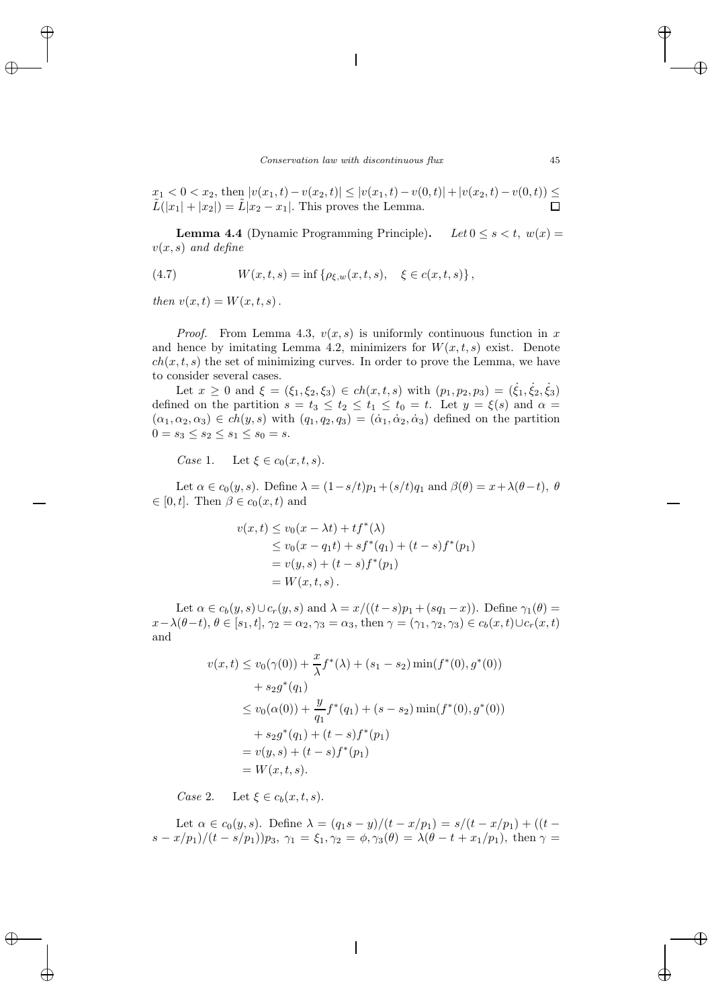$x_1 < 0 < x_2$ , then  $|v(x_1,t) - v(x_2,t)| \leq |v(x_1,t) - v(0,t)| + |v(x_2,t) - v(0,t)| \leq$  $\tilde{L}(|x_1| + |x_2|) = \tilde{L}|x_2 - x_1|$ . This proves the Lemma.

**Lemma 4.4** (Dynamic Programming Principle). *Let*  $0 \le s \le t$ ,  $w(x) =$ v(x, s) *and define*

(4.7) 
$$
W(x,t,s) = \inf \{ \rho_{\xi,w}(x,t,s), \xi \in c(x,t,s) \},
$$

*then*  $v(x,t) = W(x,t,s)$ .

*Proof.* From Lemma 4.3,  $v(x, s)$  is uniformly continuous function in x and hence by imitating Lemma 4.2, minimizers for  $W(x, t, s)$  exist. Denote  $ch(x, t, s)$  the set of minimizing curves. In order to prove the Lemma, we have to consider several cases.

Let  $x \ge 0$  and  $\xi = (\xi_1, \xi_2, \xi_3) \in ch(x, t, s)$  with  $(p_1, p_2, p_3) = (\dot{\xi}_1, \dot{\xi}_2, \dot{\xi}_3)$ defined on the partition  $s = t_3 \le t_2 \le t_1 \le t_0 = t$ . Let  $y = \xi(s)$  and  $\alpha =$  $(\alpha_1, \alpha_2, \alpha_3) \in ch(y, s)$  with  $(q_1, q_2, q_3) = (\dot{\alpha}_1, \dot{\alpha}_2, \dot{\alpha}_3)$  defined on the partition  $0 = s_3 \leq s_2 \leq s_1 \leq s_0 = s.$ 

*Case* 1. Let  $\xi \in c_0(x, t, s)$ .

Let  $\alpha \in c_0(y, s)$ . Define  $\lambda = (1 - s/t)p_1 + (s/t)q_1$  and  $\beta(\theta) = x + \lambda(\theta - t)$ ,  $\theta$  $\in [0, t]$ . Then  $\beta \in c_0(x, t)$  and

$$
v(x,t) \le v_0(x - \lambda t) + t f^*(\lambda)
$$
  
\n
$$
\le v_0(x - q_1 t) + s f^*(q_1) + (t - s) f^*(p_1)
$$
  
\n
$$
= v(y,s) + (t - s) f^*(p_1)
$$
  
\n
$$
= W(x,t,s).
$$

Let  $\alpha \in c_b(y, s) \cup c_r(y, s)$  and  $\lambda = x/((t-s)p_1 + (sq_1 - x))$ . Define  $\gamma_1(\theta) =$  $x-\lambda(\theta-t)$ ,  $\theta \in [s_1, t]$ ,  $\gamma_2 = \alpha_2$ ,  $\gamma_3 = \alpha_3$ , then  $\gamma = (\gamma_1, \gamma_2, \gamma_3) \in c_b(x, t) \cup c_r(x, t)$ and

$$
v(x,t) \le v_0(\gamma(0)) + \frac{x}{\lambda} f^*(\lambda) + (s_1 - s_2) \min(f^*(0), g^*(0))
$$
  
+  $s_2 g^*(q_1)$   

$$
\le v_0(\alpha(0)) + \frac{y}{q_1} f^*(q_1) + (s - s_2) \min(f^*(0), g^*(0))
$$
  
+  $s_2 g^*(q_1) + (t - s) f^*(p_1)$   
=  $v(y, s) + (t - s) f^*(p_1)$   
=  $W(x, t, s).$ 

*Case* 2. Let  $\xi \in c_b(x, t, s)$ .

Let  $\alpha \in c_0(y, s)$ . Define  $\lambda = (q_1s - y)/(t - x/p_1) = s/(t - x/p_1) + ((t$  $s - x/p_1$  $\left( (t - s/p_1) p_3, \, \gamma_1 = \xi_1, \gamma_2 = \phi, \gamma_3(\theta) = \lambda(\theta - t + x_1/p_1), \, \text{then } \gamma =$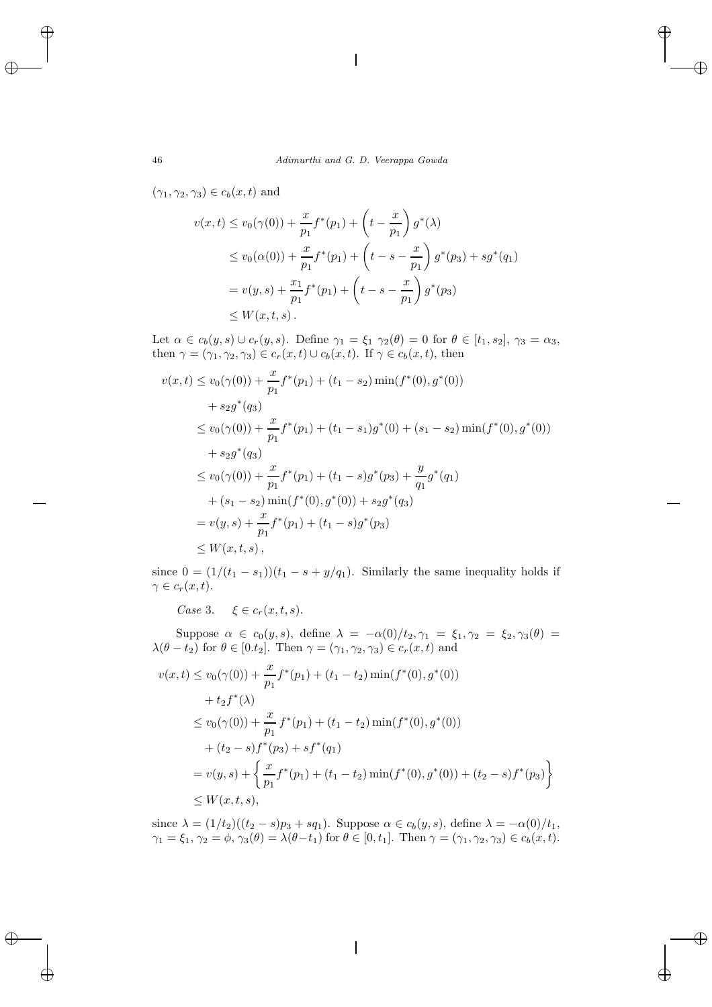$(\gamma_1, \gamma_2, \gamma_3) \in c_b(x, t)$  and

$$
v(x,t) \le v_0(\gamma(0)) + \frac{x}{p_1} f^*(p_1) + \left(t - \frac{x}{p_1}\right) g^*(\lambda)
$$
  
\n
$$
\le v_0(\alpha(0)) + \frac{x}{p_1} f^*(p_1) + \left(t - s - \frac{x}{p_1}\right) g^*(p_3) + s g^*(q_1)
$$
  
\n
$$
= v(y,s) + \frac{x_1}{p_1} f^*(p_1) + \left(t - s - \frac{x}{p_1}\right) g^*(p_3)
$$
  
\n
$$
\le W(x,t,s).
$$

Let  $\alpha \in c_b(y, s) \cup c_r(y, s)$ . Define  $\gamma_1 = \xi_1 \gamma_2(\theta) = 0$  for  $\theta \in [t_1, s_2], \gamma_3 = \alpha_3$ , then  $\gamma = (\gamma_1, \gamma_2, \gamma_3) \in c_r(x, t) \cup c_b(x, t)$ . If  $\gamma \in c_b(x, t)$ , then

$$
v(x,t) \le v_0(\gamma(0)) + \frac{x}{p_1} f^*(p_1) + (t_1 - s_2) \min(f^*(0), g^*(0))
$$
  
+  $s_2 g^*(q_3)$   

$$
\le v_0(\gamma(0)) + \frac{x}{p_1} f^*(p_1) + (t_1 - s_1) g^*(0) + (s_1 - s_2) \min(f^*(0), g^*(0))
$$
  
+  $s_2 g^*(q_3)$   

$$
\le v_0(\gamma(0)) + \frac{x}{p_1} f^*(p_1) + (t_1 - s) g^*(p_3) + \frac{y}{q_1} g^*(q_1)
$$
  
+  $(s_1 - s_2) \min(f^*(0), g^*(0)) + s_2 g^*(q_3)$   
=  $v(y, s) + \frac{x}{p_1} f^*(p_1) + (t_1 - s) g^*(p_3)$   

$$
\le W(x, t, s),
$$

since  $0 = (1/(t_1 - s_1))(t_1 - s + y/q_1)$ . Similarly the same inequality holds if  $\gamma \in c_r(x, t)$ .

*Case* 3.  $\xi \in c_r(x,t,s)$ .

Suppose  $\alpha \in c_0(y, s)$ , define  $\lambda = -\alpha(0)/t_2, \gamma_1 = \xi_1, \gamma_2 = \xi_2, \gamma_3(\theta) =$  $\lambda(\theta - t_2)$  for  $\theta \in [0.t_2]$ . Then  $\gamma = (\gamma_1, \gamma_2, \gamma_3) \in c_r(x, t)$  and

$$
v(x,t) \le v_0(\gamma(0)) + \frac{x}{p_1} f^*(p_1) + (t_1 - t_2) \min(f^*(0), g^*(0))
$$
  
+  $t_2 f^*(\lambda)$   

$$
\le v_0(\gamma(0)) + \frac{x}{p_1} f^*(p_1) + (t_1 - t_2) \min(f^*(0), g^*(0))
$$
  
+  $(t_2 - s) f^*(p_3) + sf^*(q_1)$   
=  $v(y, s) + \left\{ \frac{x}{p_1} f^*(p_1) + (t_1 - t_2) \min(f^*(0), g^*(0)) + (t_2 - s) f^*(p_3) \right\}$   

$$
\le W(x, t, s),
$$

since  $\lambda = (1/t_2)((t_2 - s)p_3 + sq_1)$ . Suppose  $\alpha \in c_b(y, s)$ , define  $\lambda = -\alpha(0)/t_1$ ,  $\gamma_1 = \xi_1, \gamma_2 = \phi, \gamma_3(\theta) = \lambda(\theta - t_1)$  for  $\theta \in [0, t_1]$ . Then  $\gamma = (\gamma_1, \gamma_2, \gamma_3) \in c_b(x, t)$ .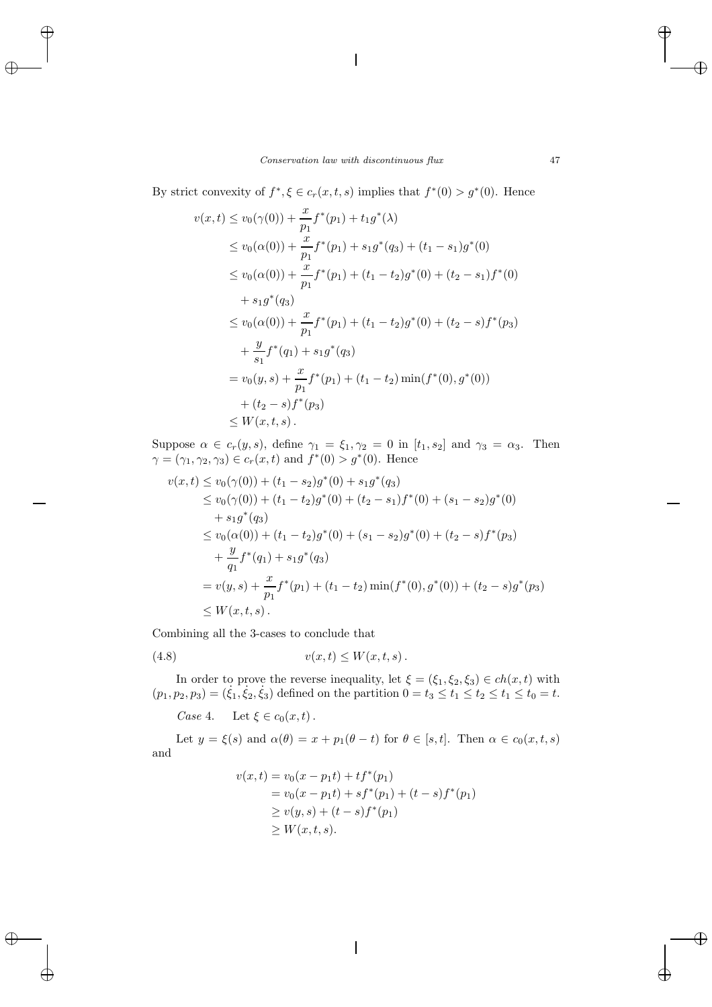By strict convexity of  $f^*, \xi \in c_r(x, t, s)$  implies that  $f^*(0) > g^*(0)$ . Hence

$$
v(x,t) \le v_0(\gamma(0)) + \frac{x}{p_1} f^*(p_1) + t_1 g^*(\lambda)
$$
  
\n
$$
\le v_0(\alpha(0)) + \frac{x}{p_1} f^*(p_1) + s_1 g^*(q_3) + (t_1 - s_1) g^*(0)
$$
  
\n
$$
\le v_0(\alpha(0)) + \frac{x}{p_1} f^*(p_1) + (t_1 - t_2) g^*(0) + (t_2 - s_1) f^*(0)
$$
  
\n
$$
+ s_1 g^*(q_3)
$$
  
\n
$$
\le v_0(\alpha(0)) + \frac{x}{p_1} f^*(p_1) + (t_1 - t_2) g^*(0) + (t_2 - s) f^*(p_3)
$$
  
\n
$$
+ \frac{y}{s_1} f^*(q_1) + s_1 g^*(q_3)
$$
  
\n
$$
= v_0(y, s) + \frac{x}{p_1} f^*(p_1) + (t_1 - t_2) \min(f^*(0), g^*(0))
$$
  
\n
$$
+ (t_2 - s) f^*(p_3)
$$
  
\n
$$
\le W(x, t, s).
$$

Suppose  $\alpha \in c_r(y, s)$ , define  $\gamma_1 = \xi_1, \gamma_2 = 0$  in  $[t_1, s_2]$  and  $\gamma_3 = \alpha_3$ . Then  $\gamma = (\gamma_1, \gamma_2, \gamma_3) \in c_r(x, t)$  and  $f^*(0) > g^*(0)$ . Hence

$$
v(x,t) \le v_0(\gamma(0)) + (t_1 - s_2)g^*(0) + s_1g^*(q_3)
$$
  
\n
$$
\le v_0(\gamma(0)) + (t_1 - t_2)g^*(0) + (t_2 - s_1)f^*(0) + (s_1 - s_2)g^*(0)
$$
  
\n
$$
+ s_1g^*(q_3)
$$
  
\n
$$
\le v_0(\alpha(0)) + (t_1 - t_2)g^*(0) + (s_1 - s_2)g^*(0) + (t_2 - s)f^*(p_3)
$$
  
\n
$$
+ \frac{y}{q_1}f^*(q_1) + s_1g^*(q_3)
$$
  
\n
$$
= v(y,s) + \frac{x}{p_1}f^*(p_1) + (t_1 - t_2)\min(f^*(0), g^*(0)) + (t_2 - s)g^*(p_3)
$$
  
\n
$$
\le W(x,t,s).
$$

Combining all the 3-cases to conclude that

$$
(4.8) \t v(x,t) \le W(x,t,s).
$$

In order to prove the reverse inequality, let  $\xi = (\xi_1, \xi_2, \xi_3) \in ch(x, t)$  with  $(p_1, p_2, p_3) = (\dot{\xi}_1, \dot{\xi}_2, \dot{\xi}_3)$  defined on the partition  $0 = t_3 \le t_1 \le t_2 \le t_1 \le t_0 = t$ .

*Case* 4. Let  $\xi \in c_0(x, t)$ .

Let  $y = \xi(s)$  and  $\alpha(\theta) = x + p_1(\theta - t)$  for  $\theta \in [s, t]$ . Then  $\alpha \in c_0(x, t, s)$ and

$$
v(x,t) = v_0(x - p_1t) + tf^*(p_1)
$$
  
=  $v_0(x - p_1t) + sf^*(p_1) + (t - s)f^*(p_1)$   
 $\geq v(y,s) + (t - s)f^*(p_1)$   
 $\geq W(x,t,s).$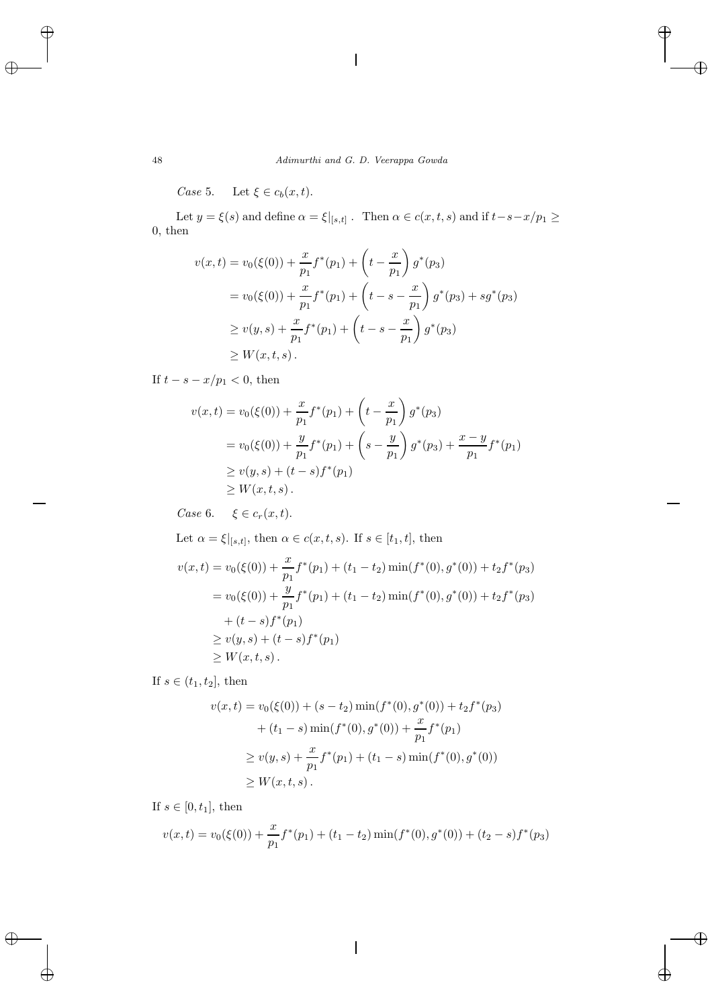*Case* 5. Let  $\xi \in c_b(x, t)$ .

Let  $y = \xi(s)$  and define  $\alpha = \xi|_{[s,t]}$ . Then  $\alpha \in c(x,t,s)$  and if  $t-s-x/p_1 \ge$ 0, then

$$
v(x,t) = v_0(\xi(0)) + \frac{x}{p_1} f^*(p_1) + \left(t - \frac{x}{p_1}\right) g^*(p_3)
$$
  
=  $v_0(\xi(0)) + \frac{x}{p_1} f^*(p_1) + \left(t - s - \frac{x}{p_1}\right) g^*(p_3) + sg^*(p_3)$   
 $\ge v(y,s) + \frac{x}{p_1} f^*(p_1) + \left(t - s - \frac{x}{p_1}\right) g^*(p_3)$   
 $\ge W(x,t,s).$ 

If  $t - s - x/p_1 < 0$ , then

$$
v(x,t) = v_0(\xi(0)) + \frac{x}{p_1} f^*(p_1) + \left(t - \frac{x}{p_1}\right) g^*(p_3)
$$
  
=  $v_0(\xi(0)) + \frac{y}{p_1} f^*(p_1) + \left(s - \frac{y}{p_1}\right) g^*(p_3) + \frac{x - y}{p_1} f^*(p_1)$   
 $\ge v(y,s) + (t - s) f^*(p_1)$   
 $\ge W(x,t,s).$ 

*Case* 6.  $\xi \in c_r(x, t)$ .

Let  $\alpha = \xi|_{[s,t]}$ , then  $\alpha \in c(x,t,s)$ . If  $s \in [t_1,t]$ , then

$$
v(x,t) = v_0(\xi(0)) + \frac{x}{p_1} f^*(p_1) + (t_1 - t_2) \min(f^*(0), g^*(0)) + t_2 f^*(p_3)
$$
  
=  $v_0(\xi(0)) + \frac{y}{p_1} f^*(p_1) + (t_1 - t_2) \min(f^*(0), g^*(0)) + t_2 f^*(p_3)$   
+  $(t - s) f^*(p_1)$   
 $\ge v(y, s) + (t - s) f^*(p_1)$   
 $\ge W(x, t, s).$ 

If  $s \in (t_1, t_2]$ , then

$$
v(x,t) = v_0(\xi(0)) + (s - t_2) \min(f^*(0), g^*(0)) + t_2 f^*(p_3)
$$
  
+  $(t_1 - s) \min(f^*(0), g^*(0)) + \frac{x}{p_1} f^*(p_1)$   
 $\ge v(y, s) + \frac{x}{p_1} f^*(p_1) + (t_1 - s) \min(f^*(0), g^*(0))$   
 $\ge W(x, t, s).$ 

If  $s \in [0, t_1]$ , then

$$
v(x,t) = v_0(\xi(0)) + \frac{x}{p_1} f^*(p_1) + (t_1 - t_2) \min(f^*(0), g^*(0)) + (t_2 - s) f^*(p_3)
$$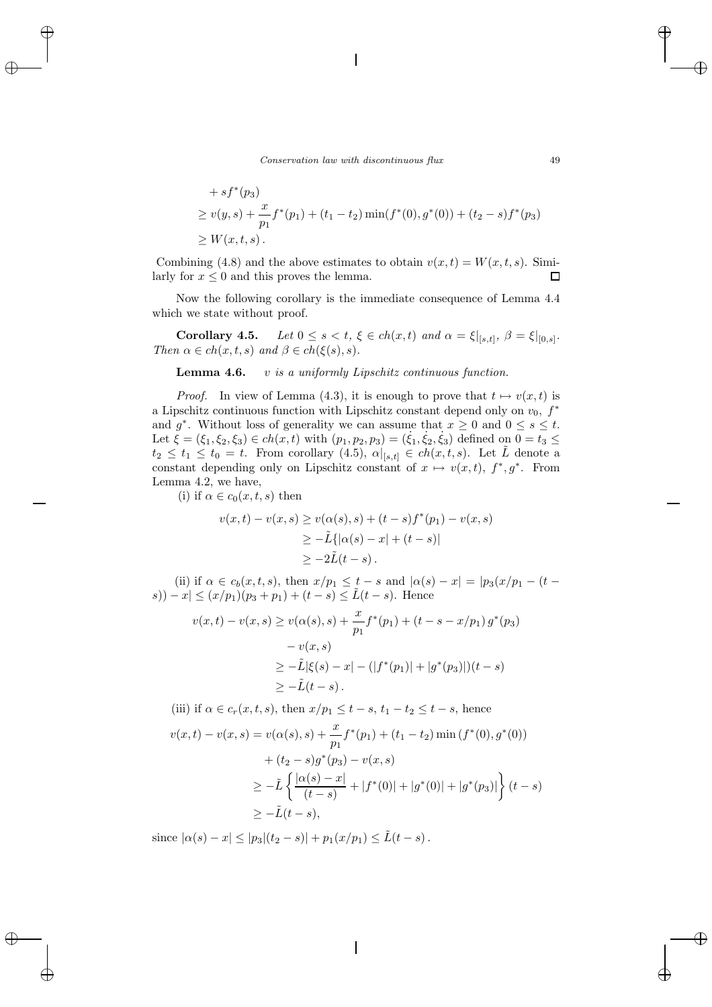+ 
$$
sf^*(p_3)
$$
  
\n $\geq v(y,s) + \frac{x}{p_1}f^*(p_1) + (t_1 - t_2) \min(f^*(0), g^*(0)) + (t_2 - s)f^*(p_3)$   
\n $\geq W(x,t,s).$ 

Combining (4.8) and the above estimates to obtain  $v(x, t) = W(x, t, s)$ . Similarly for  $x \leq 0$  and this proves the lemma.  $\Box$ 

Now the following corollary is the immediate consequence of Lemma 4.4 which we state without proof.

**Corollary 4.5.** *Let*  $0 \le s < t$ ,  $\xi \in ch(x,t)$  *and*  $\alpha = \xi|_{[s,t]}, \beta = \xi|_{[0,s]}$ *. Then*  $\alpha \in ch(x, t, s)$  *and*  $\beta \in ch(\xi(s), s)$ *.* 

**Lemma 4.6.** v *is a uniformly Lipschitz continuous function.*

*Proof.* In view of Lemma (4.3), it is enough to prove that  $t \mapsto v(x, t)$  is a Lipschitz continuous function with Lipschitz constant depend only on  $v_0$ ,  $f^*$ and  $g^*$ . Without loss of generality we can assume that  $x \geq 0$  and  $0 \leq s \leq t$ . Let  $\xi = (\xi_1, \xi_2, \xi_3) \in ch(x, t)$  with  $(p_1, p_2, p_3) = (\dot{\xi}_1, \dot{\xi}_2, \dot{\xi}_3)$  defined on  $0 = t_3 \leq$  $t_2 \leq t_1 \leq t_0 = t$ . From corollary  $(4.5)$ ,  $\alpha|_{[s,t]} \in ch(x,t,s)$ . Let  $\tilde{L}$  denote a constant depending only on Lipschitz constant of  $x \mapsto v(x,t)$ ,  $f^*, g^*$ . From Lemma 4.2, we have,

(i) if  $\alpha \in c_0(x, t, s)$  then

$$
v(x,t) - v(x,s) \ge v(\alpha(s),s) + (t-s)f^*(p_1) - v(x,s)
$$
  
\n
$$
\ge -\tilde{L}\{|\alpha(s) - x| + (t-s)|
$$
  
\n
$$
\ge -2\tilde{L}(t-s).
$$

(ii) if  $\alpha \in c_b(x, t, s)$ , then  $x/p_1 \leq t - s$  and  $|\alpha(s) - x| = |p_3(x/p_1 - (t$ s)) – x| ≤ (x/p<sub>1</sub>)(p<sub>3</sub> + p<sub>1</sub>) + (t – s) ≤  $\tilde{L}(t - s)$ . Hence

$$
v(x,t) - v(x,s) \ge v(\alpha(s),s) + \frac{x}{p_1} f^*(p_1) + (t - s - x/p_1) g^*(p_3)
$$
  

$$
- v(x,s)
$$
  

$$
\ge -\tilde{L}|\xi(s) - x| - (|f^*(p_1)| + |g^*(p_3)|)(t - s)
$$
  

$$
\ge -\tilde{L}(t - s).
$$

(iii) if 
$$
\alpha \in c_r(x, t, s)
$$
, then  $x/p_1 \le t - s$ ,  $t_1 - t_2 \le t - s$ , hence  
\n
$$
v(x, t) - v(x, s) = v(\alpha(s), s) + \frac{x}{p_1} f^*(p_1) + (t_1 - t_2) \min(f^*(0), g^*(0))
$$
\n
$$
+ (t_2 - s) g^*(p_3) - v(x, s)
$$
\n
$$
\ge -\tilde{L} \left\{ \frac{|\alpha(s) - x|}{(t - s)} + |f^*(0)| + |g^*(0)| + |g^*(p_3)| \right\} (t - s)
$$
\n
$$
\ge -\tilde{L}(t - s),
$$

since  $|\alpha(s) - x| \leq |p_3|(t_2 - s)| + p_1(x/p_1) \leq \tilde{L}(t - s)$ .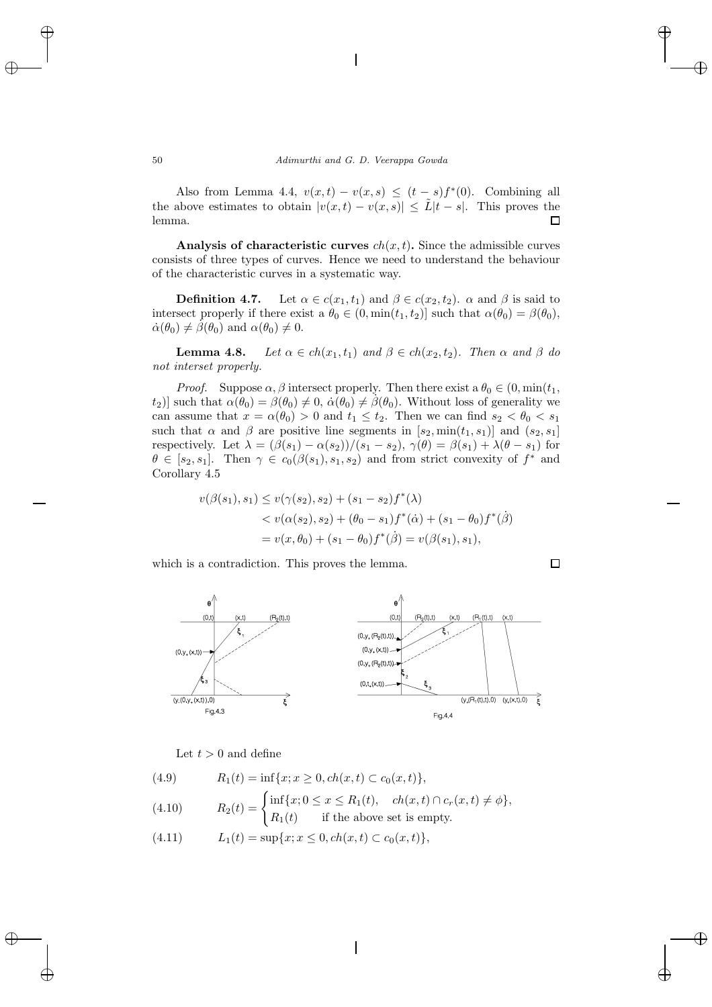Also from Lemma 4.4,  $v(x,t) - v(x,s) \leq (t-s)f^{*}(0)$ . Combining all the above estimates to obtain  $|v(x,t) - v(x,s)| \leq L|t-s|$ . This proves the lemma. П

**Analysis of characteristic curves**  $ch(x, t)$ . Since the admissible curves consists of three types of curves. Hence we need to understand the behaviour of the characteristic curves in a systematic way.

**Definition 4.7.** Let  $\alpha \in c(x_1, t_1)$  and  $\beta \in c(x_2, t_2)$ .  $\alpha$  and  $\beta$  is said to intersect properly if there exist a  $\theta_0 \in (0, \min(t_1, t_2)]$  such that  $\alpha(\theta_0) = \beta(\theta_0)$ ,  $\dot{\alpha}(\theta_0) \neq \dot{\beta}(\theta_0)$  and  $\alpha(\theta_0) \neq 0$ .

**Lemma 4.8.** *Let*  $\alpha \in ch(x_1, t_1)$  *and*  $\beta \in ch(x_2, t_2)$ *. Then*  $\alpha$  *and*  $\beta$  *do not interset properly.*

*Proof.* Suppose  $\alpha$ ,  $\beta$  intersect properly. Then there exist a  $\theta_0 \in (0, \min(t_1,$  $(t_2)$ ] such that  $\alpha(\theta_0) = \beta(\theta_0) \neq 0$ ,  $\dot{\alpha}(\theta_0) \neq \dot{\beta}(\theta_0)$ . Without loss of generality we can assume that  $x = \alpha(\theta_0) > 0$  and  $t_1 \leq t_2$ . Then we can find  $s_2 < \theta_0 < s_1$ such that  $\alpha$  and  $\beta$  are positive line segments in  $[s_2, \min(t_1, s_1)]$  and  $(s_2, s_1]$ respectively. Let  $\lambda = (\beta(s_1) - \alpha(s_2))/(s_1 - s_2)$ ,  $\gamma(\theta) = \beta(s_1) + \lambda(\theta - s_1)$  for  $\theta \in [s_2, s_1]$ . Then  $\gamma \in c_0(\beta(s_1), s_1, s_2)$  and from strict convexity of  $f^*$  and Corollary 4.5

$$
v(\beta(s_1), s_1) \le v(\gamma(s_2), s_2) + (s_1 - s_2)f^*(\lambda)
$$
  
< 
$$
< v(\alpha(s_2), s_2) + (\theta_0 - s_1)f^*(\alpha) + (s_1 - \theta_0)f^*(\beta)
$$
  

$$
= v(x, \theta_0) + (s_1 - \theta_0)f^*(\beta) = v(\beta(s_1), s_1),
$$

which is a contradiction. This proves the lemma.



Let  $t > 0$  and define

(4.9) 
$$
R_1(t) = \inf\{x; x \ge 0, ch(x, t) \subset c_0(x, t)\},
$$

(4.10) 
$$
R_2(t) = \begin{cases} \inf\{x; 0 \le x \le R_1(t), & ch(x, t) \cap c_r(x, t) \ne \phi\}, \\ R_1(t) & \text{if the above set is empty.} \end{cases}
$$

(4.11)  $L_1(t) = \sup\{x; x \leq 0, ch(x, t) \subset c_0(x, t)\},$ 

$$
\Box
$$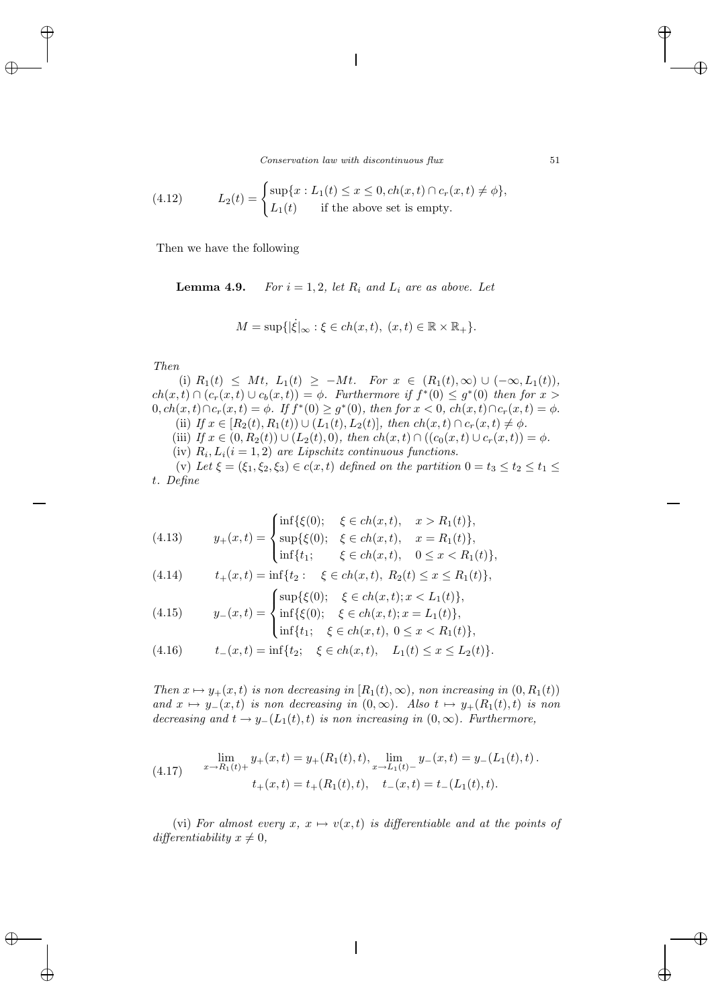*Conservation law with discontinuous flux* 51

(4.12) 
$$
L_2(t) = \begin{cases} \sup\{x : L_1(t) \le x \le 0, ch(x, t) \cap c_r(x, t) \ne \phi\}, \\ L_1(t) & \text{if the above set is empty.} \end{cases}
$$

Then we have the following

**Lemma 4.9.** *For*  $i = 1, 2$ *, let*  $R_i$  *and*  $L_i$  *are as above. Let* 

$$
M = \sup\{|\dot{\xi}|_{\infty} : \xi \in ch(x, t), \ (x, t) \in \mathbb{R} \times \mathbb{R}_+\}.
$$

*Then*

(i)  $R_1(t) \leq Mt$ ,  $L_1(t) \geq -Mt$ . For  $x \in (R_1(t), \infty) \cup (-\infty, L_1(t))$ ,  $ch(x,t) \cap (c_r(x,t) \cup c_b(x,t)) = \phi$ . Furthermore if  $f^*(0) \leq g^*(0)$  then for  $x >$  $0, ch(x, t) \cap c_r(x, t) = \phi$ . If  $f^*(0) \geq g^*(0)$ , then for  $x < 0$ ,  $ch(x, t) \cap c_r(x, t) = \phi$ . (ii) *If*  $x \in [R_2(t), R_1(t)) \cup (L_1(t), L_2(t)]$ , then  $ch(x, t) \cap c_r(x, t) \neq \emptyset$ . (iii) *If*  $x \in (0, R_2(t)) \cup (L_2(t), 0)$ *, then*  $ch(x, t) \cap ((c_0(x, t) \cup c_r(x, t)) = \phi$ *.* (iv)  $R_i, L_i(i = 1, 2)$  *are Lipschitz continuous functions.* (v) Let  $\xi = (\xi_1, \xi_2, \xi_3) \in c(x, t)$  defined on the partition  $0 = t_3 \le t_2 \le t_1 \le$ 

t*. Define*

(4.13) 
$$
y_{+}(x,t) = \begin{cases} \inf\{\xi(0); & \xi \in ch(x,t), x > R_1(t)\}, \\ \sup\{\xi(0); \xi \in ch(x,t), x = R_1(t)\}, \\ \inf\{t_1; & \xi \in ch(x,t), 0 \le x < R_1(t)\}, \end{cases}
$$

(4.14) 
$$
t_+(x,t) = \inf\{t_2: \xi \in ch(x,t), R_2(t) \le x \le R_1(t)\},\
$$

(4.15) 
$$
y_{-}(x,t) = \begin{cases} \sup\{\xi(0); \quad \xi \in ch(x,t); x < L_1(t)\}, \\ \inf\{\xi(0); \quad \xi \in ch(x,t); x = L_1(t)\}, \\ \inf\{t_1; \quad \xi \in ch(x,t), 0 \le x < R_1(t)\}, \end{cases}
$$

(4.16) 
$$
t_{-}(x,t) = \inf\{t_2; \quad \xi \in ch(x,t), \quad L_1(t) \le x \le L_2(t)\}.
$$

*Then*  $x \mapsto y_+(x,t)$  *is non decreasing in*  $[R_1(t), \infty)$ *, non increasing in*  $(0, R_1(t))$ *and*  $x \mapsto y_-(x,t)$  *is non decreasing in*  $(0,\infty)$ *. Also*  $t \mapsto y_+(R_1(t),t)$  *is non decreasing and*  $t \rightarrow y_-(L_1(t), t)$  *is non increasing in*  $(0, \infty)$ *. Furthermore,* 

(4.17) 
$$
\lim_{x \to R_1(t) +} y_+(x,t) = y_+(R_1(t),t), \lim_{x \to L_1(t) -} y_-(x,t) = y_-(L_1(t),t).
$$

$$
t_+(x,t) = t_+(R_1(t),t), \quad t_-(x,t) = t_-(L_1(t),t).
$$

(vi) For almost every  $x, x \mapsto v(x,t)$  is differentiable and at the points of  $differentialality$   $x \neq 0$ ,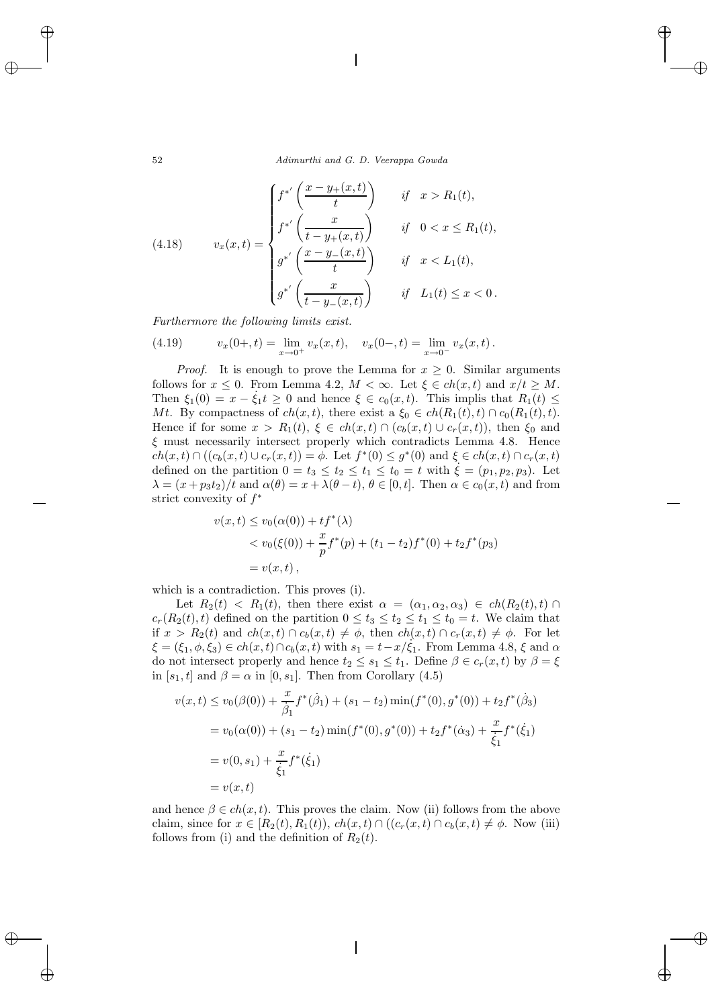52 *Adimurthi and G. D. Veerappa Gowda*

(4.18) 
$$
v_x(x,t) = \begin{cases} f^{*'}\left(\frac{x-y_+(x,t)}{t}\right) & \text{if } x > R_1(t), \\ f^{*'}\left(\frac{x}{t-y_+(x,t)}\right) & \text{if } 0 < x \le R_1(t), \\ g^{*'}\left(\frac{x-y_-(x,t)}{t}\right) & \text{if } x < L_1(t), \\ g^{*'}\left(\frac{x}{t-y_-(x,t)}\right) & \text{if } L_1(t) \le x < 0. \end{cases}
$$

*Furthermore the following limits exist.*

(4.19) 
$$
v_x(0+,t) = \lim_{x \to 0^+} v_x(x,t), \quad v_x(0-,t) = \lim_{x \to 0^-} v_x(x,t).
$$

*Proof.* It is enough to prove the Lemma for  $x \geq 0$ . Similar arguments follows for  $x \leq 0$ . From Lemma 4.2,  $M < \infty$ . Let  $\xi \in ch(x, t)$  and  $x/t \geq M$ . Then  $\xi_1(0) = x - \dot{\xi}_1 t \ge 0$  and hence  $\xi \in c_0(x, t)$ . This implis that  $R_1(t) \le$ Mt. By compactness of  $ch(x, t)$ , there exist a  $\xi_0 \in ch(R_1(t), t) \cap c_0(R_1(t), t)$ . Hence if for some  $x>R_1(t), \xi \in ch(x,t) \cap (c_b(x,t) \cup c_r(x,t)),$  then  $\xi_0$  and  $\xi$  must necessarily intersect properly which contradicts Lemma 4.8. Hence  $ch(x, t) \cap ((c_b(x, t) \cup c_r(x, t)) = \phi$ . Let  $f^*(0) \leq g^*(0)$  and  $\xi \in ch(x, t) \cap c_r(x, t)$ defined on the partition  $0 = t_3 \le t_2 \le t_1 \le t_0 = t$  with  $\xi = (p_1, p_2, p_3)$ . Let  $\lambda = (x + p_3t_2)/t$  and  $\alpha(\theta) = x + \lambda(\theta - t), \theta \in [0, t]$ . Then  $\alpha \in c_0(x, t)$  and from strict convexity of  $f^*$ 

$$
v(x,t) \le v_0(\alpha(0)) + tf^*(\lambda)
$$
  
< 
$$
< v_0(\xi(0)) + \frac{x}{p}f^*(p) + (t_1 - t_2)f^*(0) + t_2f^*(p_3)
$$
  

$$
= v(x,t),
$$

which is a contradiction. This proves (i).

Let  $R_2(t) < R_1(t)$ , then there exist  $\alpha = (\alpha_1, \alpha_2, \alpha_3) \in ch(R_2(t), t)$  $c_r(R_2(t), t)$  defined on the partition  $0 \le t_3 \le t_2 \le t_1 \le t_0 = t$ . We claim that if  $x > R_2(t)$  and  $ch(x,t) \cap c_b(x,t) \neq \phi$ , then  $ch(x,t) \cap c_r(x,t) \neq \phi$ . For let  $\xi = (\xi_1, \phi, \xi_3) \in ch(x, t) \cap c_b(x, t)$  with  $s_1 = t - x/\xi_1$ . From Lemma 4.8,  $\xi$  and  $\alpha$ do not intersect properly and hence  $t_2 \leq s_1 \leq t_1$ . Define  $\beta \in c_r(x, t)$  by  $\beta = \xi$ in [ $s_1, t$ ] and  $\beta = \alpha$  in [0,  $s_1$ ]. Then from Corollary (4.5)

$$
v(x,t) \le v_0(\beta(0)) + \frac{x}{\beta_1} f^*(\dot{\beta}_1) + (s_1 - t_2) \min(f^*(0), g^*(0)) + t_2 f^*(\dot{\beta}_3)
$$
  
=  $v_0(\alpha(0)) + (s_1 - t_2) \min(f^*(0), g^*(0)) + t_2 f^*(\dot{\alpha}_3) + \frac{x}{\dot{\xi}_1} f^*(\dot{\xi}_1)$   
=  $v(0, s_1) + \frac{x}{\dot{\xi}_1} f^*(\dot{\xi}_1)$   
=  $v(x,t)$ 

and hence  $\beta \in ch(x, t)$ . This proves the claim. Now (ii) follows from the above claim, since for  $x \in [R_2(t), R_1(t)), ch(x, t) \cap ((c_r(x, t) \cap c_b(x, t) \neq \phi)$ . Now (iii) follows from (i) and the definition of  $R_2(t)$ .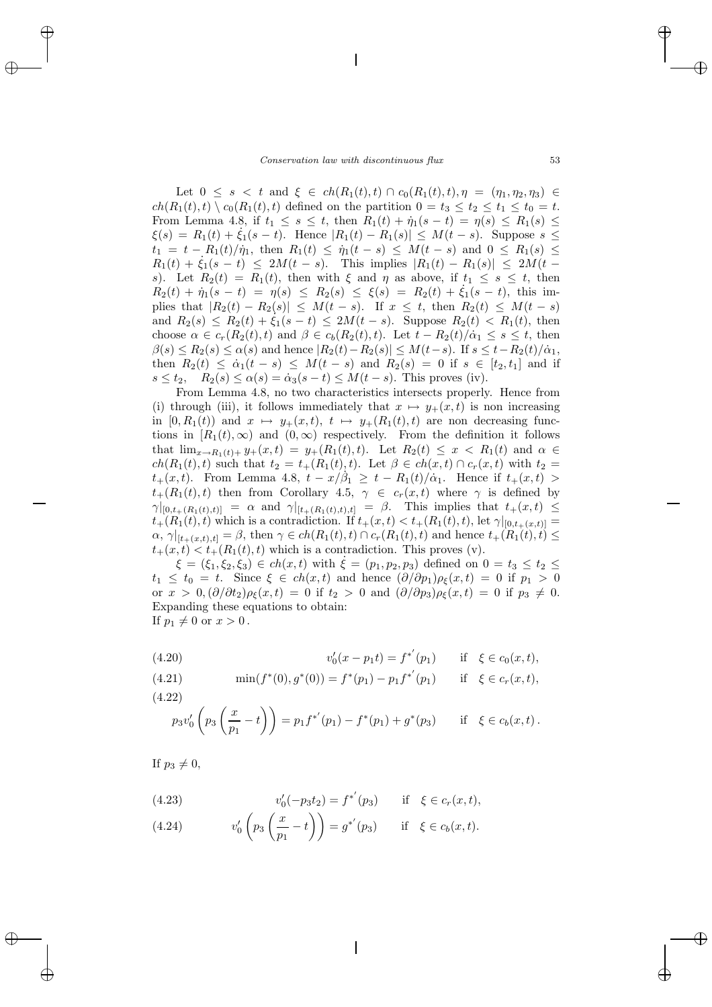Let  $0 \leq s \leq t$  and  $\xi \in ch(R_1(t), t) \cap c_0(R_1(t), t), \eta = (\eta_1, \eta_2, \eta_3) \in$  $ch(R_1(t), t) \setminus c_0(R_1(t), t)$  defined on the partition  $0 = t_3 \le t_2 \le t_1 \le t_0 = t$ . From Lemma 4.8, if  $t_1 \leq s \leq t$ , then  $R_1(t) + \dot{\eta}_1(s - t) = \eta(s) \leq R_1(s) \leq$  $\xi(s) = R_1(t) + \dot{\xi}_1(s-t)$ . Hence  $|R_1(t) - R_1(s)| \leq M(t-s)$ . Suppose  $s \leq$  $t_1 = t - R_1(t)/\dot{\eta}_1$ , then  $R_1(t) \leq \dot{\eta}_1(t - s) \leq M(t - s)$  and  $0 \leq R_1(s) \leq$  $R_1(t) + \dot{\xi}_1(s-t) \leq 2M(t-s)$ . This implies  $|R_1(t) - R_1(s)| \leq 2M(t-s)$ . s). Let  $R_2(t) = R_1(t)$ , then with  $\xi$  and  $\eta$  as above, if  $t_1 \leq s \leq t$ , then  $R_2(t) + \eta_1(s - t) = \eta(s) \le R_2(s) \le \xi(s) = R_2(t) + \xi_1(s - t)$ , this implies that  $|R_2(t) - R_2(s)| \leq M(t-s)$ . If  $x \leq t$ , then  $R_2(t) \leq M(t-s)$ and  $R_2(s) \le R_2(t) + \xi_1(s-t) \le 2M(t-s)$ . Suppose  $R_2(t) < R_1(t)$ , then choose  $\alpha \in c_r(R_2(t), t)$  and  $\beta \in c_b(R_2(t), t)$ . Let  $t - R_2(t)/\dot{\alpha}_1 \leq s \leq t$ , then  $\beta(s) \leq R_2(s) \leq \alpha(s)$  and hence  $|R_2(t) - R_2(s)| \leq M(t-s)$ . If  $s \leq t - R_2(t)/\alpha_1$ , then  $R_2(t) \leq \dot{\alpha}_1(t-s) \leq M(t-s)$  and  $R_2(s) = 0$  if  $s \in [t_2, t_1]$  and if  $s \le t_2$ ,  $R_2(s) \le \alpha(s) = \dot{\alpha}_3(s-t) \le M(t-s)$ . This proves (iv).

From Lemma 4.8, no two characteristics intersects properly. Hence from (i) through (iii), it follows immediately that  $x \mapsto y_+(x,t)$  is non increasing in  $[0, R_1(t))$  and  $x \mapsto y_+(x, t), t \mapsto y_+(R_1(t), t)$  are non decreasing functions in  $[R_1(t), \infty)$  and  $(0, \infty)$  respectively. From the definition it follows that  $\lim_{x \to R_1(t) + y_+(x,t) = y_+(R_1(t), t)$ . Let  $R_2(t) \leq x < R_1(t)$  and  $\alpha \in$  $ch(R_1(t), t)$  such that  $t_2 = t_+(R_1(t), t)$ . Let  $\beta \in ch(x, t) \cap c_r(x, t)$  with  $t_2 =$  $t_+(x,t)$ . From Lemma 4.8,  $t-x/\beta_1 \geq t - R_1(t)/\alpha_1$ . Hence if  $t_+(x,t)$  $t_{+}(R_1(t), t)$  then from Corollary 4.5,  $\gamma \in c_r(x, t)$  where  $\gamma$  is defined by  $\gamma|_{[0,t_+(R_1(t),t)]} = \alpha$  and  $\gamma|_{[t_+(R_1(t),t),t]} = \beta$ . This implies that  $t_+(x,t) \leq$  $t_{+}(R_1(t), t)$  which is a contradiction. If  $t_{+}(x, t) < t_{+}(R_1(t), t)$ , let  $\gamma|_{[0, t_{+}(x,t)]} =$  $\alpha$ ,  $\gamma|_{[t+(x,t),t]} = \beta$ , then  $\gamma \in ch(R_1(t),t) \cap c_r(R_1(t),t)$  and hence  $t_+(R_1(t),t) \leq$  $t_{+}(x,t) < t_{+}(R_1(t),t)$  which is a contradiction. This proves (v).

 $\xi = (\xi_1, \xi_2, \xi_3) \in ch(x, t)$  with  $\xi = (p_1, p_2, p_3)$  defined on  $0 = t_3 \le t_2 \le$  $t_1 \leq t_0 = t$ . Since  $\xi \in ch(x,t)$  and hence  $(\partial/\partial p_1)\rho_{\xi}(x,t) = 0$  if  $p_1 > 0$ or  $x > 0, (\partial/\partial t_2)\rho_{\xi}(x,t) = 0$  if  $t_2 > 0$  and  $(\partial/\partial p_3)\rho_{\xi}(x,t) = 0$  if  $p_3 \neq 0$ . Expanding these equations to obtain: If  $p_1 \neq 0$  or  $x > 0$ .

(4.20) 
$$
v'_0(x - p_1 t) = f^{*'}(p_1) \quad \text{if } \xi \in c_0(x, t),
$$

(4.21) 
$$
\min(f^*(0), g^*(0)) = f^*(p_1) - p_1 f^{*'}(p_1) \quad \text{if } \xi \in c_r(x, t),
$$

(4.22)  
\n
$$
p_3v'_0(p_3(\frac{x}{p_1}-t)) = p_1f^{*'}(p_1) - f^{*}(p_1) + g^{*}(p_3)
$$
 if  $\xi \in c_b(x,t)$ .

If  $p_3 \neq 0$ ,

(4.23) 
$$
v'_0(-p_3t_2) = f^{*'}(p_3) \quad \text{if } \xi \in c_r(x,t),
$$

(4.24) 
$$
v'_0 \left( p_3 \left( \frac{x}{p_1} - t \right) \right) = g^{*'}(p_3) \quad \text{if } \xi \in c_b(x, t).
$$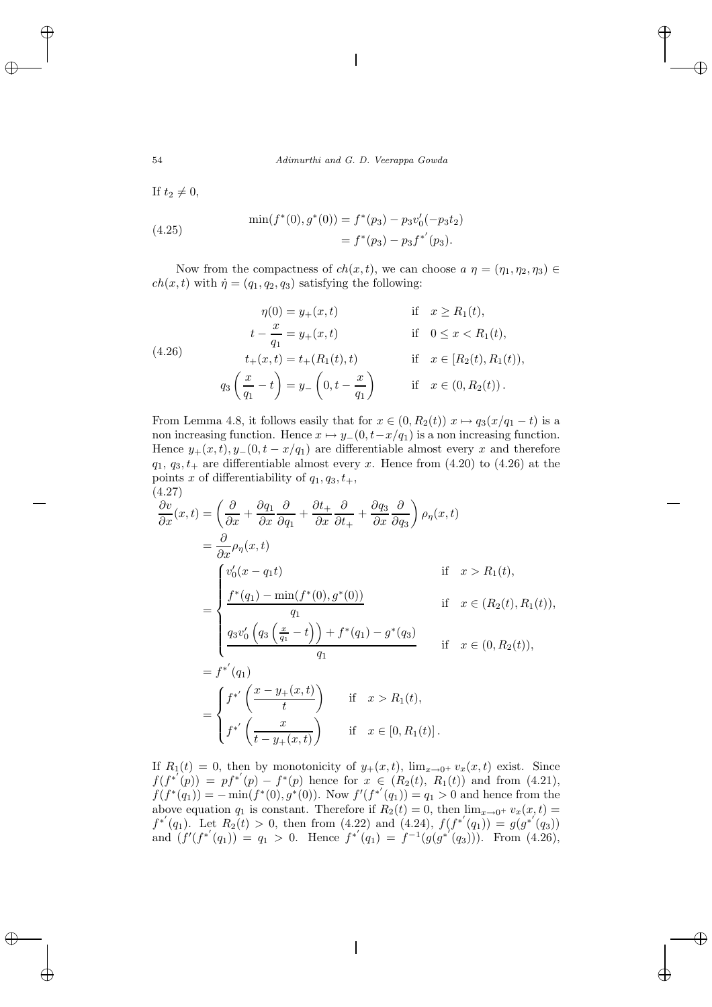If  $t_2 \neq 0$ ,

(4.25) 
$$
\min(f^*(0), g^*(0)) = f^*(p_3) - p_3 v'_0(-p_3 t_2)
$$

$$
= f^*(p_3) - p_3 f^{*'}(p_3).
$$

Now from the compactness of  $ch(x, t)$ , we can choose  $a \eta = (\eta_1, \eta_2, \eta_3) \in$  $ch(x, t)$  with  $\dot{\eta} = (q_1, q_2, q_3)$  satisfying the following:

(4.26)  
\n
$$
\eta(0) = y_{+}(x, t) \quad \text{if } x \ge R_1(t),
$$
\n
$$
t - \frac{x}{q_1} = y_{+}(x, t) \quad \text{if } 0 \le x < R_1(t),
$$
\n
$$
t_{+}(x, t) = t_{+}(R_1(t), t) \quad \text{if } x \in [R_2(t), R_1(t)),
$$
\n
$$
q_3\left(\frac{x}{q_1} - t\right) = y_{-}\left(0, t - \frac{x}{q_1}\right) \quad \text{if } x \in (0, R_2(t)).
$$

From Lemma 4.8, it follows easily that for  $x \in (0, R_2(t))$   $x \mapsto q_3(x/q_1 - t)$  is a non increasing function. Hence  $x \mapsto y_-(0, t-x/q_1)$  is a non increasing function. Hence  $y_+(x,t), y_-(0,t-x/q_1)$  are differentiable almost every x and therefore  $q_1, q_3, t_+$  are differentiable almost every x. Hence from  $(4.20)$  to  $(4.26)$  at the points x of differentiability of  $q_1, q_3, t_+$ , (4.27)

$$
\frac{\partial v}{\partial x}(x,t) = \left(\frac{\partial}{\partial x} + \frac{\partial q_1}{\partial x}\frac{\partial}{\partial q_1} + \frac{\partial t_+}{\partial x}\frac{\partial}{\partial t_+} + \frac{\partial q_3}{\partial x}\frac{\partial}{\partial q_3}\right)\rho_\eta(x,t)
$$
  
\n
$$
= \frac{\partial}{\partial x}\rho_\eta(x,t)
$$
  
\nif  $x > R_1(t)$ ,  
\n
$$
\frac{\int f^*(q_1) - \min(f^*(0), g^*(0))}{q_1}
$$
  
\nif  $x \in (R_2(t), R_1(t))$ ,  
\nif  $x \in (R_2(t), R_1(t))$ ,  
\n
$$
= f^{*'}(q_1)
$$
  
\n
$$
= f^{*'}(q_1)
$$
  
\n
$$
= \begin{cases} f^{*'}\left(\frac{x - y_+(x,t)}{t}\right) & \text{if } x > R_1(t), \\ f^{*'}\left(\frac{x}{t - y_+(x,t)}\right) & \text{if } x \in [0, R_1(t)]. \end{cases}
$$

If  $R_1(t) = 0$ , then by monotonicity of  $y_+(x,t)$ ,  $\lim_{x\to 0^+} v_x(x,t)$  exist. Since  $f(f^{*'}(p)) = pf^{*'}(p) - f^{*}(p)$  hence for  $x \in (R_2(t), R_1(t))$  and from (4.21),  $f(f^*(q_1)) = -\min(f^*(0), g^*(0))$ . Now  $f'(f^{*'}(q_1)) = q_1 > 0$  and hence from the above equation  $q_1$  is constant. Therefore if  $R_2(t) = 0$ , then  $\lim_{x\to 0^+} v_x(x,t) =$  $f^{*'}(q_1)$ . Let  $R_2(t) > 0$ , then from (4.22) and (4.24),  $f(f^{*'}(q_1)) = g(g^{*'}(q_3))$ and  $(f'(f^{*'}(q_1)) = q_1 > 0$ . Hence  $f^{*'}(q_1) = f^{-1}(g(g^{*'}(q_3)))$ . From (4.26),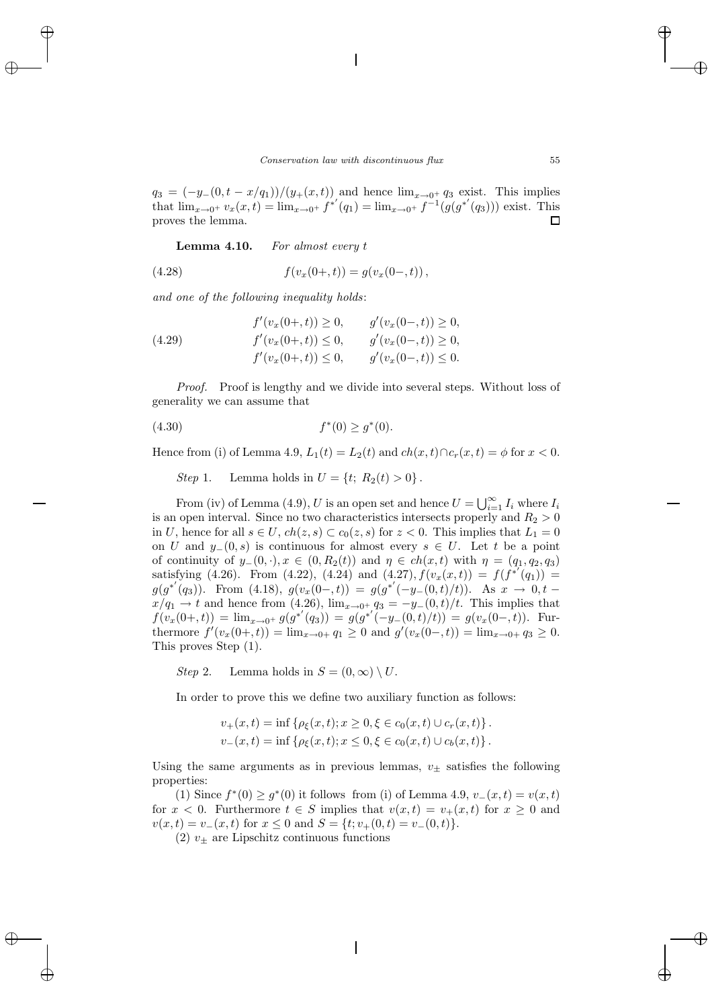$q_3 = (-y_-(0, t - x/q_1))/(y_+(x, t))$  and hence  $\lim_{x\to 0^+} q_3$  exist. This implies that  $\lim_{x\to 0^+} v_x(x,t) = \lim_{x\to 0^+} f^{*'}(q_1) = \lim_{x\to 0^+} f^{-1}(g(g^{*'}(q_3)))$  exist. This proves the lemma. П

**Lemma 4.10.** *For almost every* t

(4.28) 
$$
f(v_x(0+,t)) = g(v_x(0-,t)),
$$

*and one of the following inequality holds*:

(4.29) 
$$
f'(v_x(0+,t)) \ge 0, \qquad g'(v_x(0-,t)) \ge 0,
$$

$$
f'(v_x(0+,t)) \le 0, \qquad g'(v_x(0-,t)) \ge 0,
$$

$$
f'(v_x(0+,t)) \le 0, \qquad g'(v_x(0-,t)) \le 0.
$$

*Proof.* Proof is lengthy and we divide into several steps. Without loss of generality we can assume that

$$
(4.30) \t\t f^*(0) \ge g^*(0).
$$

Hence from (i) of Lemma 4.9,  $L_1(t) = L_2(t)$  and  $ch(x, t) \cap c_r(x, t) = \phi$  for  $x < 0$ .

*Step* 1. Lemma holds in  $U = \{t; R_2(t) > 0\}$ .

From (iv) of Lemma (4.9), U is an open set and hence  $U = \bigcup_{i=1}^{\infty} I_i$  where  $I_i$ is an open interval. Since no two characteristics intersects properly and  $R_2 > 0$ in U, hence for all  $s \in U$ ,  $ch(z, s) \subset c_0(z, s)$  for  $z < 0$ . This implies that  $L_1 = 0$ on U and  $y_-(0, s)$  is continuous for almost every  $s \in U$ . Let t be a point of continuity of  $y_-(0, \cdot), x \in (0, R_2(t))$  and  $\eta \in ch(x, t)$  with  $\eta = (q_1, q_2, q_3)$ satisfying (4.26). From (4.22), (4.24) and (4.27),  $f(v_x(x,t)) = f(f^{*'}(q_1)) =$  $g(g^{*'}(q_3))$ . From (4.18),  $g(v_x(0-,t)) = g(g^{*'}(-y_-(0,t)/t))$ . As  $x \to 0, t$  $x/q_1 \rightarrow t$  and hence from (4.26),  $\lim_{x\rightarrow 0^+} q_3 = -y_-(0,t)/t$ . This implies that  $f(v_x(0+,t)) = \lim_{x\to 0^+} g(g^{*'}(q_3)) = g(g^{*'}(-y_-(0,t)/t)) = g(v_x(0-,t)).$  Furthermore  $f'(v_x(0+,t)) = \lim_{x\to 0+} q_1 \ge 0$  and  $g'(v_x(0-,t)) = \lim_{x\to 0+} q_3 \ge 0$ . This proves Step (1).

*Step* 2. Lemma holds in  $S = (0, \infty) \setminus U$ .

In order to prove this we define two auxiliary function as follows:

$$
v_{+}(x,t) = \inf \{ \rho_{\xi}(x,t); x \ge 0, \xi \in c_{0}(x,t) \cup c_{r}(x,t) \}.
$$
  

$$
v_{-}(x,t) = \inf \{ \rho_{\xi}(x,t); x \le 0, \xi \in c_{0}(x,t) \cup c_{b}(x,t) \}.
$$

Using the same arguments as in previous lemmas,  $v_{+}$  satisfies the following properties:

(1) Since  $f^*(0) \geq g^*(0)$  it follows from (i) of Lemma 4.9,  $v_-(x,t) = v(x,t)$ for  $x < 0$ . Furthermore  $t \in S$  implies that  $v(x,t) = v_+(x,t)$  for  $x \ge 0$  and  $v(x, t) = v_-(x, t)$  for  $x \le 0$  and  $S = \{t; v_+(0, t) = v_-(0, t)\}.$ 

(2)  $v_{+}$  are Lipschitz continuous functions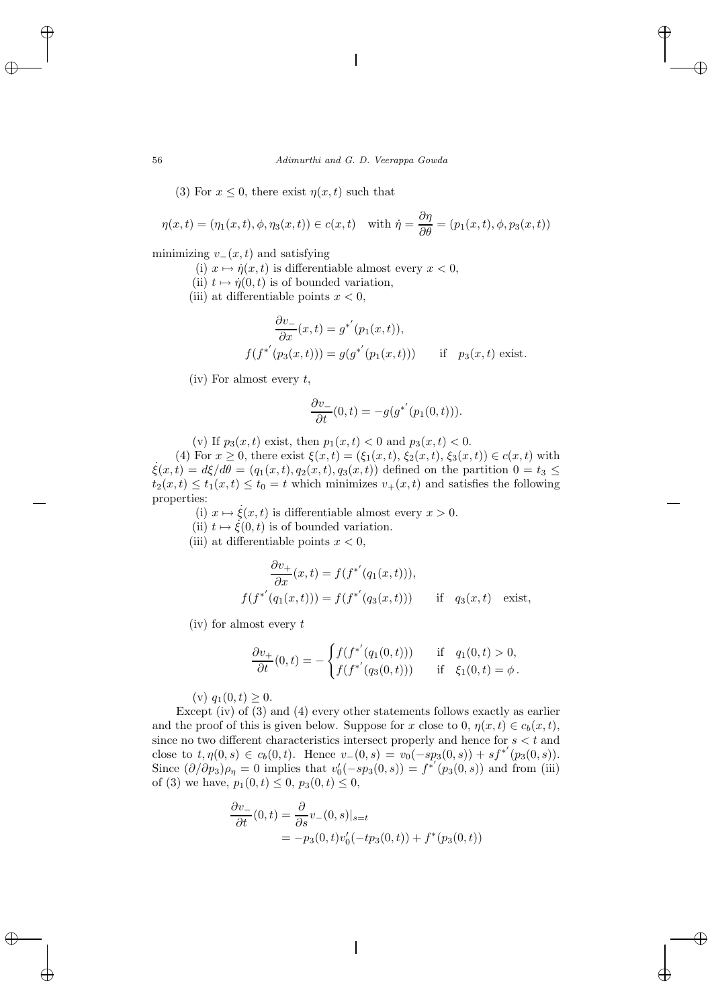(3) For  $x \leq 0$ , there exist  $\eta(x, t)$  such that

$$
\eta(x,t) = (\eta_1(x,t), \phi, \eta_3(x,t)) \in c(x,t) \quad \text{with } \dot{\eta} = \frac{\partial \eta}{\partial \theta} = (p_1(x,t), \phi, p_3(x,t))
$$

minimizing  $v_-(x, t)$  and satisfying

- (i)  $x \mapsto \dot{\eta}(x, t)$  is differentiable almost every  $x < 0$ ,
- (ii)  $t \mapsto \dot{\eta}(0, t)$  is of bounded variation,
- (iii) at differentiable points  $x < 0$ ,

$$
\frac{\partial v_{-}}{\partial x}(x,t) = g^{*'}(p_{1}(x,t)),
$$
  

$$
f(f^{*'}(p_{3}(x,t))) = g(g^{*'}(p_{1}(x,t))) \quad \text{if} \quad p_{3}(x,t) \text{ exist.}
$$

(iv) For almost every  $t$ ,

$$
\frac{\partial v_-}{\partial t}(0,t) = -g(g^{*'}(p_1(0,t))).
$$

(v) If 
$$
p_3(x,t)
$$
 exist, then  $p_1(x,t) < 0$  and  $p_3(x,t) < 0$ .

(4) For  $x \ge 0$ , there exist  $\xi(x, t) = (\xi_1(x, t), \xi_2(x, t), \xi_3(x, t)) \in c(x, t)$  with  $\xi(x, t) = d\xi/d\theta = (g_1(x, t), g_2(x, t), g_3(x, t))$  defined on the partition  $0 = t_3$  $\xi(x,t) = d\xi/d\theta = (q_1(x,t), q_2(x,t), q_3(x,t))$  defined on the partition  $0 = t_3 \leq$  $t_2(x,t) \le t_1(x,t) \le t_0 = t$  which minimizes  $v_+(x,t)$  and satisfies the following properties:

(i)  $x \mapsto \dot{\xi}(x, t)$  is differentiable almost every  $x > 0$ .

- (ii)  $t \mapsto \xi(0, t)$  is of bounded variation.
- (iii) at differentiable points  $x < 0$ ,

$$
\frac{\partial v_+}{\partial x}(x,t) = f(f^{*'}(q_1(x,t))),
$$
  

$$
f(f^{*'}(q_1(x,t))) = f(f^{*'}(q_3(x,t))) \quad \text{if} \quad q_3(x,t) \quad \text{exist},
$$

 $(iv)$  for almost every t

$$
\frac{\partial v_+}{\partial t}(0,t) = -\begin{cases} f(f^{*'}(q_1(0,t))) & \text{if } q_1(0,t) > 0, \\ f(f^{*'}(q_3(0,t))) & \text{if } \xi_1(0,t) = \phi. \end{cases}
$$

(v)  $q_1(0, t) \geq 0$ .

Except (iv) of (3) and (4) every other statements follows exactly as earlier and the proof of this is given below. Suppose for x close to 0,  $\eta(x, t) \in c_b(x, t)$ , since no two different characteristics intersect properly and hence for  $s < t$  and close to  $t, \eta(0, s) \in c_b(0, t)$ . Hence  $v_-(0, s) = v_0(-sp_3(0, s)) + sf^{*'}(p_3(0, s))$ . Since  $(\partial/\partial p_3)\rho_\eta = 0$  implies that  $v'_0(-sp_3(0, s)) = f^{*'}(p_3(0, s))$  and from (iii) of (3) we have,  $p_1(0, t) \le 0$ ,  $p_3(0, t) \le 0$ ,

$$
\frac{\partial v_-}{\partial t}(0,t) = \frac{\partial}{\partial s}v_-(0,s)|_{s=t}
$$
  
=  $-p_3(0,t)v'_0(-tp_3(0,t)) + f^*(p_3(0,t))$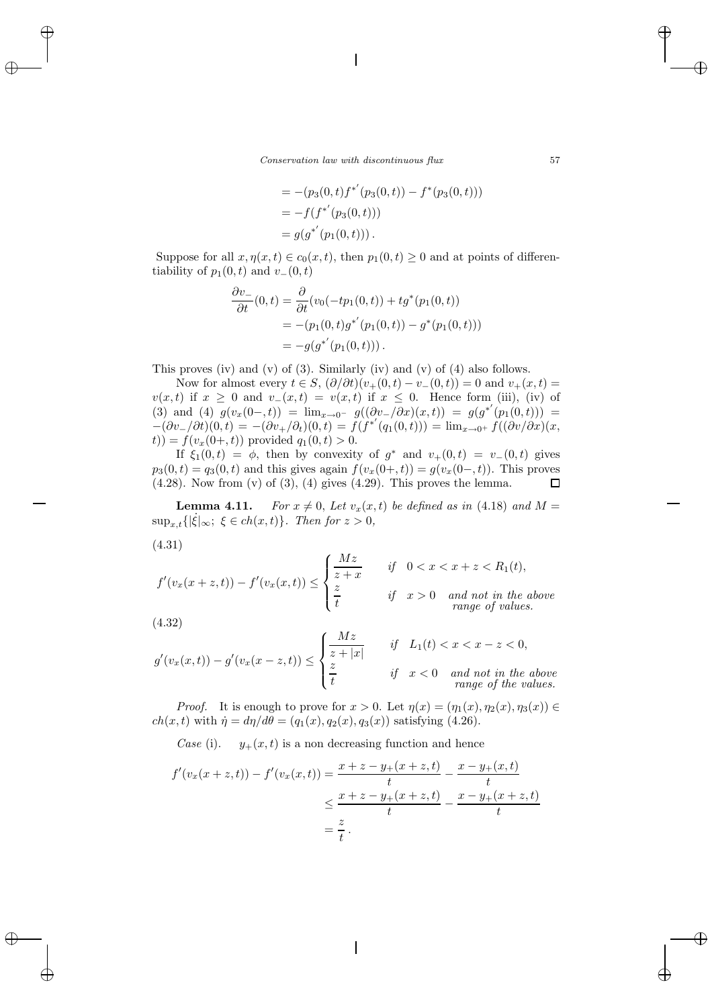$$
= -(p_3(0, t) f^{*'}(p_3(0, t)) - f^{*}(p_3(0, t)))
$$
  
=  $-f(f^{*'}(p_3(0, t)))$   
=  $g(g^{*'}(p_1(0, t)))$ .

Suppose for all  $x, \eta(x, t) \in c_0(x, t)$ , then  $p_1(0, t) \geq 0$  and at points of differentiability of  $p_1(0, t)$  and  $v_-(0, t)$ 

$$
\frac{\partial v_-}{\partial t}(0,t) = \frac{\partial}{\partial t}(v_0(-tp_1(0,t)) + tg^*(p_1(0,t))
$$
  
= -(p\_1(0,t)g^{\*'}(p\_1(0,t)) - g^\*(p\_1(0,t)))  
= -g(g^{\*'}(p\_1(0,t))).

This proves (iv) and (v) of (3). Similarly (iv) and (v) of (4) also follows.

Now for almost every  $t \in S$ ,  $(\partial/\partial t)(v_+(0,t) - v_-(0,t)) = 0$  and  $v_+(x,t) =$  $v(x, t)$  if  $x \geq 0$  and  $v_-(x, t) = v(x, t)$  if  $x \leq 0$ . Hence form (iii), (iv) of (3) and (4)  $g(v_x(0-,t)) = \lim_{x\to 0^-} g((\partial v_-/\partial x)(x,t)) = g(g^{*'}(p_1(0,t))) =$  $-(\partial v_-/\partial t)(0,t) = -(\partial v_+/\partial_t)(0,t) = f(f^{*'}(q_1(0,t))) = \lim_{x\to 0^+} f((\partial v/\partial x)(x,$  $(t)$ ) =  $f(v_x(0+, t))$  provided  $q_1(0, t) > 0$ .

If  $\xi_1(0,t) = \phi$ , then by convexity of  $g^*$  and  $v_+(0,t) = v_-(0,t)$  gives  $p_3(0, t) = q_3(0, t)$  and this gives again  $f(v_x(0+, t)) = g(v_x(0-, t))$ . This proves  $(4.28)$ . Now from  $(v)$  of  $(3)$ ,  $(4)$  gives  $(4.29)$ . This proves the lemma. 口

**Lemma 4.11.** For  $x \neq 0$ , Let  $v_x(x, t)$  be defined as in (4.18) and  $M =$  $\sup_{x,t} \{ |\dot{\xi}|_{\infty}; \xi \in ch(x,t) \}.$  Then for  $z > 0$ ,

(4.31)

$$
f'(v_x(x+z,t)) - f'(v_x(x,t)) \le \begin{cases} \frac{Mz}{z+x} & \text{if } 0 < x < x+z < R_1(t), \\ \frac{z}{t} & \text{if } x > 0 \quad \text{and not in the above} \\ \text{range of values.} \end{cases}
$$

$$
(4.32)
$$

$$
g'(v_x(x,t)) - g'(v_x(x-z,t)) \le \begin{cases} \frac{Mz}{z+|x|} & \text{if} \quad L_1(t) < x < x-z < 0, \\ \frac{z}{t} & \text{if} \quad x < 0 \quad \text{and not in the above} \\ \text{range of the values.} \end{cases}
$$

*Proof.* It is enough to prove for  $x > 0$ . Let  $\eta(x) = (\eta_1(x), \eta_2(x), \eta_3(x)) \in$  $ch(x, t)$  with  $\dot{\eta} = d\eta/d\theta = (q_1(x), q_2(x), q_3(x))$  satisfying (4.26).

*Case* (i).  $y_+(x,t)$  is a non decreasing function and hence

$$
f'(v_x(x+z,t)) - f'(v_x(x,t)) = \frac{x+z-y_+(x+z,t)}{t} - \frac{x-y_+(x,t)}{t}
$$
  

$$
\leq \frac{x+z-y_+(x+z,t)}{t} - \frac{x-y_+(x+z,t)}{t}
$$
  

$$
= \frac{z}{t}.
$$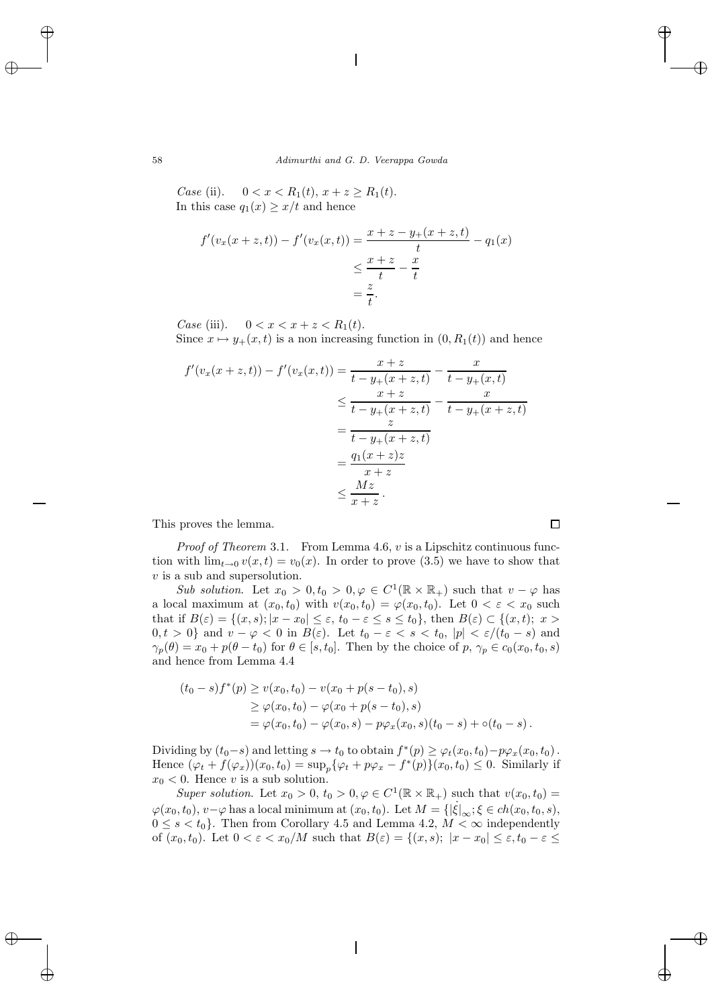*Case* (ii).  $0 < x < R_1(t), x + z \ge R_1(t)$ . In this case  $q_1(x) \geq x/t$  and hence

$$
f'(v_x(x+z,t)) - f'(v_x(x,t)) = \frac{x+z-y_+(x+z,t)}{t} - q_1(x)
$$
  

$$
\leq \frac{x+z}{t} - \frac{x}{t}
$$
  

$$
= \frac{z}{t}.
$$

*Case* (iii).  $0 < x < x + z < R_1(t)$ .

Since  $x \mapsto y_+(x,t)$  is a non increasing function in  $(0, R_1(t))$  and hence

$$
f'(v_x(x+z,t)) - f'(v_x(x,t)) = \frac{x+z}{t-y_+(x+z,t)} - \frac{x}{t-y_+(x,t)}
$$
  
\n
$$
\leq \frac{x+z}{t-y_+(x+z,t)} - \frac{x}{t-y_+(x+z,t)}
$$
  
\n
$$
= \frac{z}{t-y_+(x+z,t)}
$$
  
\n
$$
= \frac{q_1(x+z)z}{x+z}
$$
  
\n
$$
\leq \frac{Mz}{x+z}.
$$

This proves the lemma.

*Proof of Theorem* 3.1. From Lemma 4.6, v is a Lipschitz continuous function with  $\lim_{t\to 0} v(x,t) = v_0(x)$ . In order to prove (3.5) we have to show that v is a sub and supersolution.

*Sub solution*. Let  $x_0 > 0, t_0 > 0, \varphi \in C^1(\mathbb{R} \times \mathbb{R}_+)$  such that  $v - \varphi$  has a local maximum at  $(x_0, t_0)$  with  $v(x_0, t_0) = \varphi(x_0, t_0)$ . Let  $0 < \varepsilon < x_0$  such that if  $B(\varepsilon) = \{(x, s); |x - x_0| \le \varepsilon, t_0 - \varepsilon \le s \le t_0\}$ , then  $B(\varepsilon) \subset \{(x, t); x >$  $0, t > 0$ } and  $v - \varphi < 0$  in  $B(\varepsilon)$ . Let  $t_0 - \varepsilon < s < t_0$ ,  $|p| < \varepsilon/(t_0 - s)$  and  $\gamma_p(\theta) = x_0 + p(\theta - t_0)$  for  $\theta \in [s, t_0]$ . Then by the choice of  $p, \gamma_p \in c_0(x_0, t_0, s)$ and hence from Lemma 4.4

$$
(t_0 - s) f^*(p) \ge v(x_0, t_0) - v(x_0 + p(s - t_0), s)
$$
  
\n
$$
\ge \varphi(x_0, t_0) - \varphi(x_0 + p(s - t_0), s)
$$
  
\n
$$
= \varphi(x_0, t_0) - \varphi(x_0, s) - p\varphi_x(x_0, s)(t_0 - s) + o(t_0 - s).
$$

Dividing by  $(t_0-s)$  and letting  $s \to t_0$  to obtain  $f^*(p) \geq \varphi_t(x_0, t_0) - p\varphi_x(x_0, t_0)$ . Hence  $(\varphi_t + f(\varphi_x))(x_0, t_0) = \sup_p {\varphi_t + p\varphi_x - f^*(p)}(x_0, t_0) \leq 0$ . Similarly if  $x_0 < 0$ . Hence v is a sub solution.

*Super solution*. Let  $x_0 > 0$ ,  $t_0 > 0$ ,  $\varphi \in C^1(\mathbb{R} \times \mathbb{R}_+)$  such that  $v(x_0, t_0) =$  $\varphi(x_0, t_0), v - \varphi$  has a local minimum at  $(x_0, t_0)$ . Let  $M = \{ |\xi|_{\infty}; \xi \in ch(x_0, t_0, s),$  $0 \leq s \leq t_0$ . Then from Corollary 4.5 and Lemma 4.2,  $M \leq \infty$  independently of  $(x_0, t_0)$ . Let  $0 < \varepsilon < x_0/M$  such that  $B(\varepsilon) = \{(x, s); |x - x_0| \le \varepsilon, t_0 - \varepsilon \le$ 

 $\Box$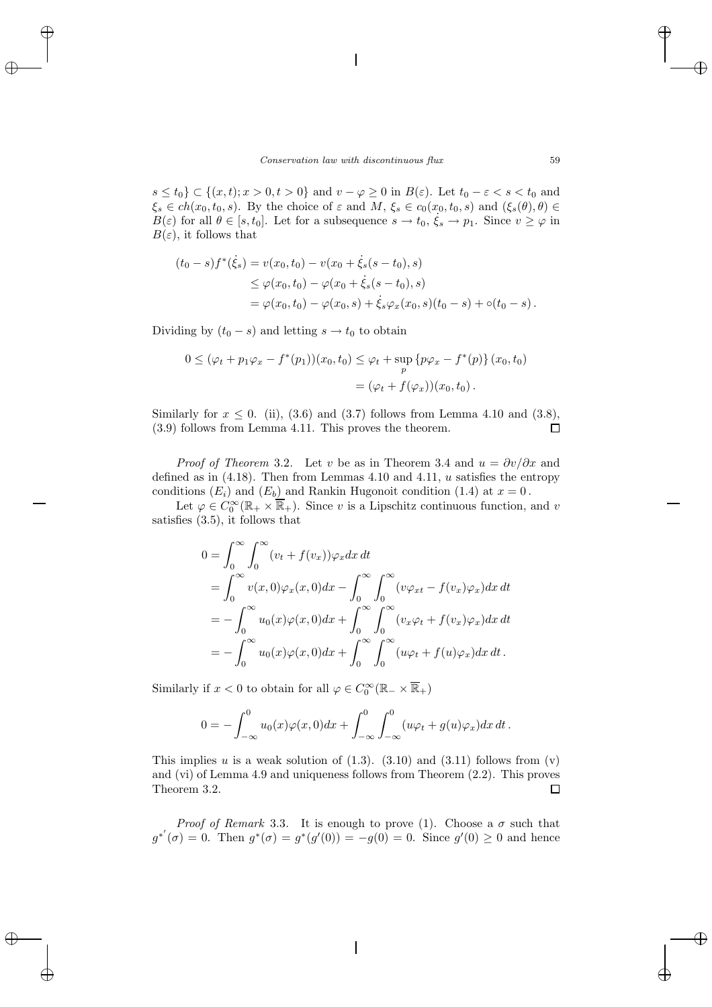$s \leq t_0$   $\subset \{(x, t); x > 0, t > 0\}$  and  $v - \varphi \geq 0$  in  $B(\varepsilon)$ . Let  $t_0 - \varepsilon < s < t_0$  and  $\xi_s \in ch(x_0, t_0, s)$ . By the choice of  $\varepsilon$  and  $M, \xi_s \in c_0(x_0, t_0, s)$  and  $(\xi_s(\theta), \theta) \in$  $B(\varepsilon)$  for all  $\theta \in [s, t_0]$ . Let for a subsequence  $s \to t_0$ ,  $\xi_s \to p_1$ . Since  $v \ge \varphi$  in  $B(\varepsilon)$ , it follows that

$$
(t_0 - s) f^*(\dot{\xi}_s) = v(x_0, t_0) - v(x_0 + \dot{\xi}_s(s - t_0), s)
$$
  
\n
$$
\leq \varphi(x_0, t_0) - \varphi(x_0 + \dot{\xi}_s(s - t_0), s)
$$
  
\n
$$
= \varphi(x_0, t_0) - \varphi(x_0, s) + \dot{\xi}_s \varphi_x(x_0, s)(t_0 - s) + o(t_0 - s).
$$

Dividing by  $(t_0 - s)$  and letting  $s \to t_0$  to obtain

$$
0 \leq (\varphi_t + p_1 \varphi_x - f^*(p_1))(x_0, t_0) \leq \varphi_t + \sup_p \{p\varphi_x - f^*(p)\}(x_0, t_0)
$$
  
= 
$$
(\varphi_t + f(\varphi_x))(x_0, t_0).
$$

Similarly for  $x \leq 0$ . (ii), (3.6) and (3.7) follows from Lemma 4.10 and (3.8), (3.9) follows from Lemma 4.11. This proves the theorem.  $\Box$ 

*Proof of Theorem* 3.2. Let v be as in Theorem 3.4 and  $u = \frac{\partial v}{\partial x}$  and defined as in  $(4.18)$ . Then from Lemmas 4.10 and 4.11, u satisfies the entropy conditions  $(E_i)$  and  $(E_b)$  and Rankin Hugonoit condition (1.4) at  $x = 0$ .

Let  $\varphi \in C_0^{\infty}(\mathbb{R}_+ \times \overline{\mathbb{R}}_+)$ . Since v is a Lipschitz continuous function, and v satisfies (3.5), it follows that

$$
0 = \int_0^\infty \int_0^\infty (v_t + f(v_x)) \varphi_x dx dt
$$
  
= 
$$
\int_0^\infty v(x, 0) \varphi_x(x, 0) dx - \int_0^\infty \int_0^\infty (v \varphi_{xt} - f(v_x) \varphi_x) dx dt
$$
  
= 
$$
-\int_0^\infty u_0(x) \varphi(x, 0) dx + \int_0^\infty \int_0^\infty (v_x \varphi_t + f(v_x) \varphi_x) dx dt
$$
  
= 
$$
-\int_0^\infty u_0(x) \varphi(x, 0) dx + \int_0^\infty \int_0^\infty (u \varphi_t + f(u) \varphi_x) dx dt.
$$

Similarly if  $x < 0$  to obtain for all  $\varphi \in C_0^{\infty}(\mathbb{R}_+ \times \overline{\mathbb{R}}_+)$ 

$$
0 = -\int_{-\infty}^{0} u_0(x)\varphi(x,0)dx + \int_{-\infty}^{0} \int_{-\infty}^{0} (u\varphi_t + g(u)\varphi_x)dx dt.
$$

This implies u is a weak solution of  $(1.3)$ .  $(3.10)$  and  $(3.11)$  follows from  $(v)$ and (vi) of Lemma 4.9 and uniqueness follows from Theorem (2.2). This proves Theorem 3.2.  $\Box$ 

*Proof of Remark* 3.3. It is enough to prove (1). Choose a  $\sigma$  such that  $g^{*'}(\sigma) = 0$ . Then  $g^{*}(\sigma) = g^{*}(g'(0)) = -g(0) = 0$ . Since  $g'(0) \geq 0$  and hence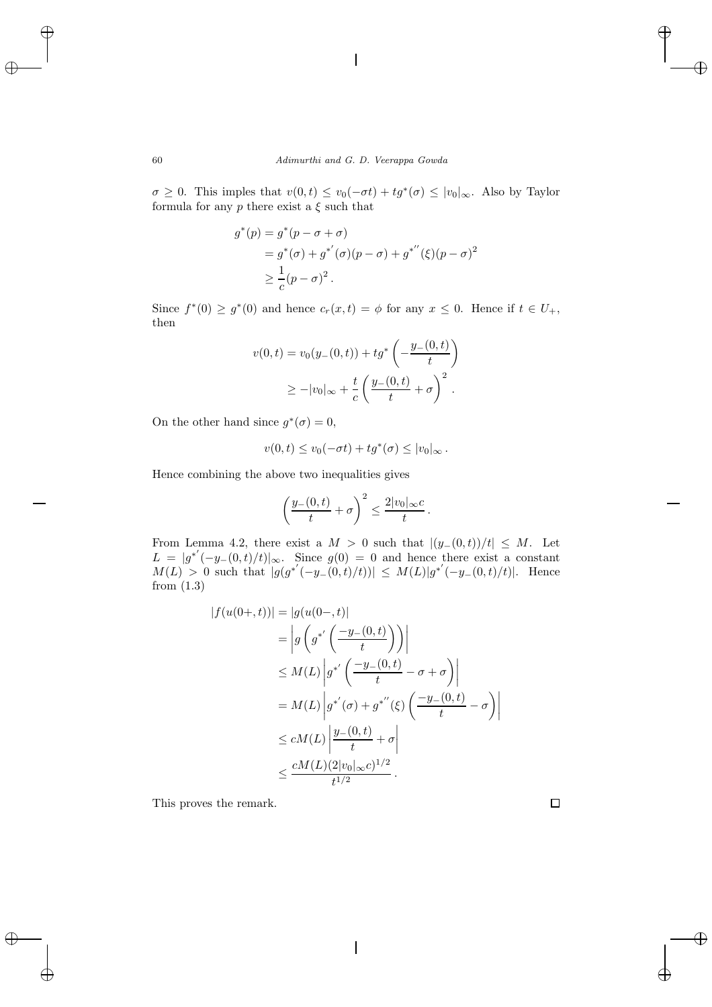$\sigma \geq 0$ . This imples that  $v(0, t) \leq v_0(-\sigma t) + t g^*(\sigma) \leq |v_0|_{\infty}$ . Also by Taylor formula for any  $p$  there exist a  $\xi$  such that

$$
g^*(p) = g^*(p - \sigma + \sigma)
$$
  
=  $g^*(\sigma) + g^{*'}(\sigma)(p - \sigma) + g^{*''}(\xi)(p - \sigma)^2$   
 $\geq \frac{1}{c}(p - \sigma)^2$ .

Since  $f^*(0) \ge g^*(0)$  and hence  $c_r(x,t) = \phi$  for any  $x \le 0$ . Hence if  $t \in U_+$ , then

$$
v(0, t) = v_0(y_-(0, t)) + t g^* \left( -\frac{y_-(0, t)}{t} \right)
$$
  
 
$$
\geq -|v_0|_{\infty} + \frac{t}{c} \left( \frac{y_-(0, t)}{t} + \sigma \right)^2.
$$

On the other hand since  $g^*(\sigma)=0$ ,

$$
v(0,t) \le v_0(-\sigma t) + t g^*(\sigma) \le |v_0|_{\infty}.
$$

Hence combining the above two inequalities gives

$$
\left(\frac{y_{-}(0,t)}{t}+\sigma\right)^2\leq \frac{2|v_0|_{\infty}c}{t}.
$$

From Lemma 4.2, there exist a  $M > 0$  such that  $|(y_-(0,t))/t| \leq M$ . Let  $L = |g^{*'}(-y_-(0,t)/t)|_{\infty}$ . Since  $g(0) = 0$  and hence there exist a constant  $M(L) > 0$  such that  $|g(g^{*'}(-y_-(0,t)/t))| \leq M(L)|g^{*'}(-y_-(0,t)/t)|$ . Hence from (1.3)

$$
|f(u(0+,t))| = |g(u(0-,t)|)
$$
  
\n
$$
= |g(g^{*'}\left(\frac{-y_{-}(0,t)}{t}\right))|
$$
  
\n
$$
\leq M(L) |g^{*'}\left(\frac{-y_{-}(0,t)}{t} - \sigma + \sigma\right)|
$$
  
\n
$$
= M(L) |g^{*'}(\sigma) + g^{*''}(\xi) \left(\frac{-y_{-}(0,t)}{t} - \sigma\right)|
$$
  
\n
$$
\leq cM(L) | \frac{y_{-}(0,t)}{t} + \sigma |
$$
  
\n
$$
\leq \frac{cM(L)(2|v_{0}|_{\infty}c)^{1/2}}{t^{1/2}}.
$$

This proves the remark.

 $\Box$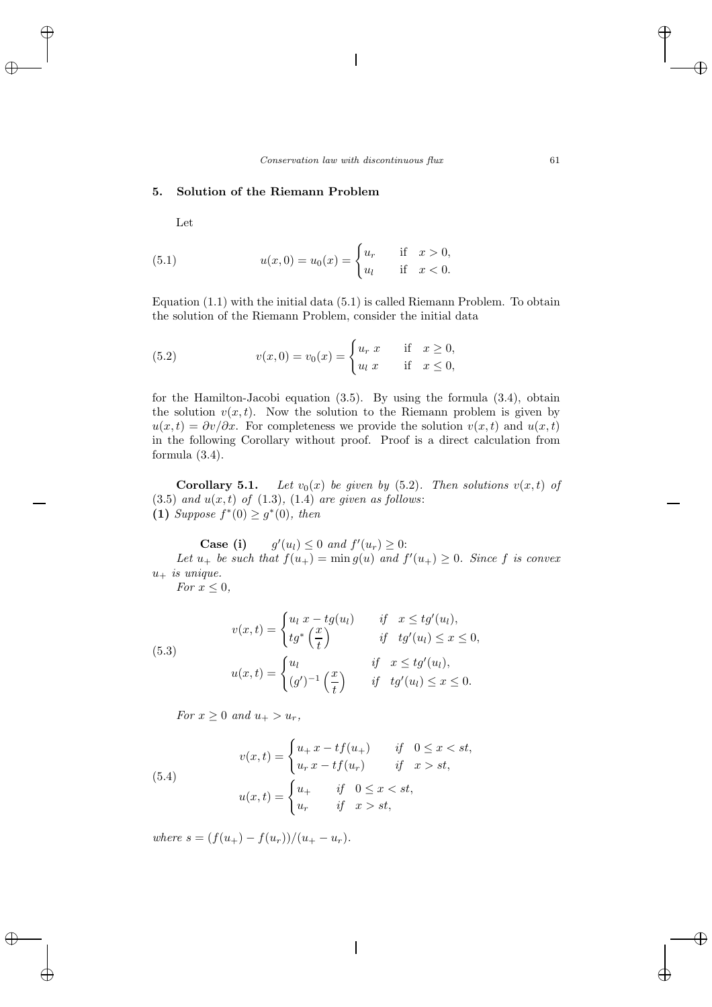## **5. Solution of the Riemann Problem**

Let

(5.1) 
$$
u(x,0) = u_0(x) = \begin{cases} u_r & \text{if } x > 0, \\ u_l & \text{if } x < 0. \end{cases}
$$

Equation (1.1) with the initial data (5.1) is called Riemann Problem. To obtain the solution of the Riemann Problem, consider the initial data

(5.2) 
$$
v(x, 0) = v_0(x) = \begin{cases} u_r \ x & \text{if } x \ge 0, \\ u_l \ x & \text{if } x \le 0, \end{cases}
$$

for the Hamilton-Jacobi equation (3.5). By using the formula (3.4), obtain the solution  $v(x, t)$ . Now the solution to the Riemann problem is given by  $u(x,t) = \partial v/\partial x$ . For completeness we provide the solution  $v(x,t)$  and  $u(x,t)$ in the following Corollary without proof. Proof is a direct calculation from formula (3.4).

**Corollary 5.1.** *Let*  $v_0(x)$  *be given by* (5.2)*. Then solutions*  $v(x, t)$  *of*  $(3.5)$  *and*  $u(x,t)$  *of*  $(1.3)$ *,*  $(1.4)$  *are given as follows:* **(1)** *Suppose*  $f^*(0) \ge g^*(0)$ *, then* 

Case (i)  $(u_l) \leq 0$  *and*  $f'(u_r) \geq 0$ : Let  $u_+$  be such that  $f(u_+) = \min g(u)$  and  $f'(u_+) \geq 0$ . Since f is convex  $u_+$  *is unique.* 

*For*  $x \leq 0$ *,* 

(5.3)  

$$
v(x,t) = \begin{cases} u_l x - t g(u_l) & \text{if } x \leq t g'(u_l), \\ t g^* \left(\frac{x}{t}\right) & \text{if } t g'(u_l) \leq x \leq 0, \end{cases}
$$

$$
u(x,t) = \begin{cases} u_l & \text{if } x \leq t g'(u_l), \\ (g')^{-1} \left(\frac{x}{t}\right) & \text{if } t g'(u_l) \leq x \leq 0. \end{cases}
$$

*For*  $x \geq 0$  *and*  $u_{+} > u_{r}$ ,

(5.4)  

$$
v(x,t) = \begin{cases} u_+ x - tf(u_+) & \text{if } 0 \le x < st, \\ u_r x - tf(u_r) & \text{if } x > st, \end{cases}
$$

$$
u(x,t) = \begin{cases} u_+ & \text{if } 0 \le x < st, \\ u_r & \text{if } x > st, \end{cases}
$$

*where*  $s = (f(u_+) - f(u_r))/(u_+ - u_r)$ .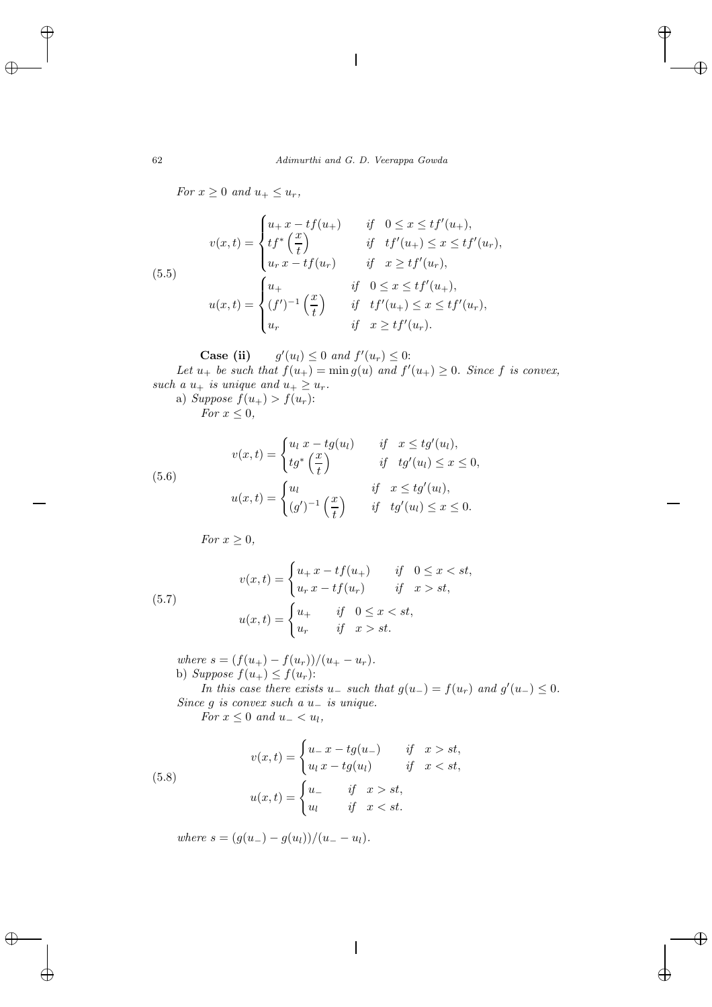*For*  $x \geq 0$  *and*  $u_+ \leq u_r$ *,* 

(5.5)  

$$
v(x,t) = \begin{cases} u_{+}x - tf(u_{+}) & \text{if } 0 \le x \le tf'(u_{+}), \\ tf^{*}(\frac{x}{t}) & \text{if } tf'(u_{+}) \le x \le tf'(u_{r}), \\ u_{r}x - tf(u_{r}) & \text{if } x \ge tf'(u_{r}), \end{cases}
$$

$$
u(x,t) = \begin{cases} u_{+} & \text{if } 0 \le x \le tf'(u_{+}), \\ (f')^{-1}(\frac{x}{t}) & \text{if } tf'(u_{+}) \le x \le tf'(u_{r}), \\ u_{r} & \text{if } x \ge tf'(u_{r}). \end{cases}
$$

Case (ii) 
$$
g'(u_l) \leq 0
$$
 and  $f'(u_r) \leq 0$ :

Let  $u_+$  be such that  $f(u_+) = \min g(u)$  and  $f'(u_+) \geq 0$ . Since f is convex,  $such\ a\ u_{+}\ is\ unique\ and\ u_{+}\geq u_{r}.$ 

a) Suppose 
$$
f(u_+) > f(u_r)
$$
:  
For  $x \le 0$ ,

(5.6)  

$$
v(x,t) = \begin{cases} u_l x - t g(u_l) & \text{if } x \leq t g'(u_l), \\ t g^* \left(\frac{x}{t}\right) & \text{if } t g'(u_l) \leq x \leq 0, \end{cases}
$$

$$
u(x,t) = \begin{cases} u_l & \text{if } x \leq t g'(u_l), \\ (g')^{-1} \left(\frac{x}{t}\right) & \text{if } t g'(u_l) \leq x \leq 0. \end{cases}
$$

*For*  $x \geq 0$ *,* 

(5.7) 
$$
v(x,t) = \begin{cases} u_+ x - tf(u_+) & \text{if } 0 \le x < st, \\ u_r x - tf(u_r) & \text{if } x > st, \end{cases}
$$

$$
u(x,t) = \begin{cases} u_+ & \text{if } 0 \le x < st, \\ u_r & \text{if } x > st. \end{cases}
$$

*where*  $s = (f(u_+) - f(u_r))/(u_+ - u_r)$ *.* b) Suppose  $f(u_+) \leq f(u_r)$ :

*In this case there exists*  $u_$  *such that*  $g(u_-) = f(u_r)$  *and*  $g'(u_-) \leq 0$ *. Since* g *is convex such a* u<sup>−</sup> *is unique. For*  $x \leq 0$  *and*  $u_{-} < u_{l}$ *,* 

(5.8)  

$$
v(x,t) = \begin{cases} u_{-}x - tg(u_{-}) & \text{if } x > st, \\ u_{l}x - tg(u_{l}) & \text{if } x < st, \end{cases}
$$

$$
u(x,t) = \begin{cases} u_{-} & \text{if } x > st, \\ u_{l} & \text{if } x < st. \end{cases}
$$

*where*  $s = (g(u_{-}) - g(u_{l}))/(u_{-} - u_{l}).$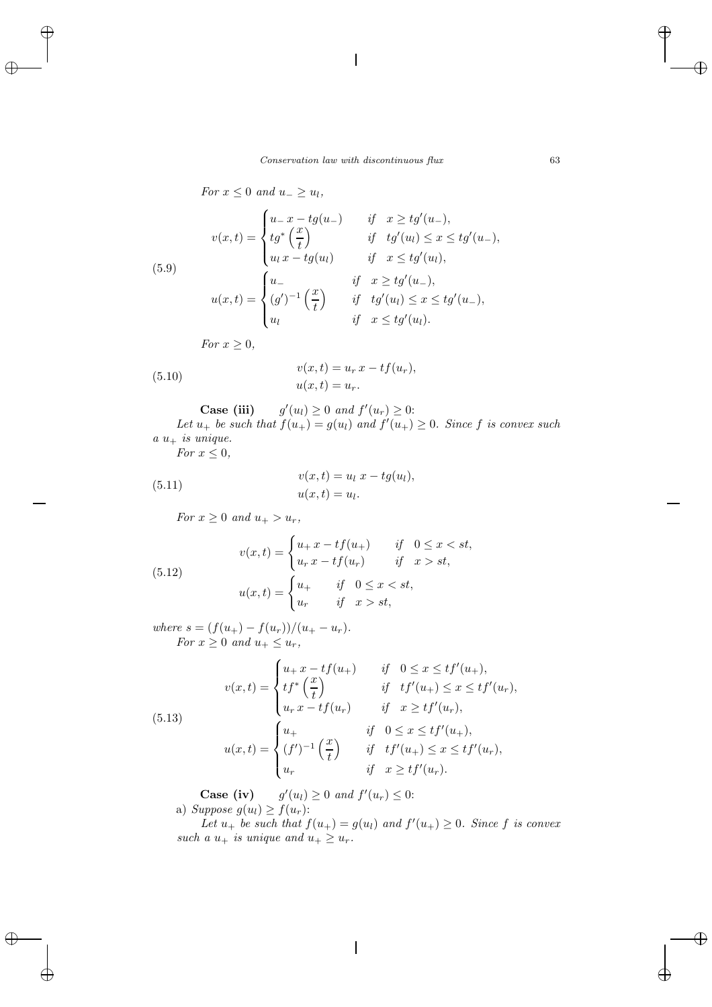*For*  $x \leq 0$  *and*  $u_{-} \geq u_{l}$ *,* 

(5.9)  

$$
v(x,t) = \begin{cases} u_{-}x - tg(u_{-}) & \text{if } x \geq tg'(u_{-}), \\ tg^{*}(\frac{x}{t}) & \text{if } tg'(u_{l}) \leq x \leq tg'(u_{-}), \\ u_{l}x - tg(u_{l}) & \text{if } x \leq tg'(u_{l}), \end{cases}
$$

$$
u(x,t) = \begin{cases} u_{-} & \text{if } x \geq tg'(u_{-}), \\ (g')^{-1}(\frac{x}{t}) & \text{if } tg'(u_{l}) \leq x \leq tg'(u_{-}), \\ u_{l} & \text{if } x \leq tg'(u_{l}). \end{cases}
$$

*For*  $x \geq 0$ *,* 

(5.10) 
$$
v(x,t) = u_r x - t f(u_r), u(x,t) = u_r.
$$

Case (iii) 
$$
g'(u_l) \ge 0
$$
 and  $f'(u_r) \ge 0$ :

Let  $u_+$  be such that  $f(u_+) = g(u_l)$  and  $f'(u_+) \geq 0$ . Since f is convex such  $a u_+$  *is unique.* 

*For*  $x \leq 0$ *,* 

(5.11) 
$$
v(x,t) = u_l \ x - t g(u_l), u(x,t) = u_l.
$$

*For*  $x \ge 0$  *and*  $u_+ > u_r$ ,

(5.12)  

$$
v(x,t) = \begin{cases} u_+ x - t f(u_+) & \text{if } 0 \le x < st, \\ u_r x - t f(u_r) & \text{if } x > st, \end{cases}
$$

$$
u(x,t) = \begin{cases} u_+ & \text{if } 0 \le x < st, \\ u_r & \text{if } x > st, \end{cases}
$$

*where*  $s = (f(u_+) - f(u_r))/(u_+ - u_r)$ *. For*  $x \geq 0$  *and*  $u_+ \leq u_r$ ,

(5.13)  

$$
v(x,t) = \begin{cases} u_+ x - tf(u_+) & \text{if } 0 \le x \le tf'(u_+), \\ tf^* \left(\frac{x}{t}\right) & \text{if } tf'(u_+) \le x \le tf'(u_r), \\ u_r x - tf(u_r) & \text{if } x \ge tf'(u_r), \end{cases}
$$

$$
u(x,t) = \begin{cases} u_+ & \text{if } 0 \le x \le tf'(u_+), \\ (f')^{-1} \left(\frac{x}{t}\right) & \text{if } tf'(u_+) \le x \le tf'(u_r), \\ u_r & \text{if } x \ge tf'(u_r). \end{cases}
$$

**Case (iv)**  $g'(u_l) \geq 0$  and  $f'(u_r) \leq 0$ : a) Suppose  $g(u_l) \geq f(u_r)$ :

Let  $u_+$  be such that  $f(u_+) = g(u_l)$  and  $f'(u_+) \geq 0$ . Since f is convex *such a*  $u_+$  *is unique and*  $u_+ \geq u_r$ *.*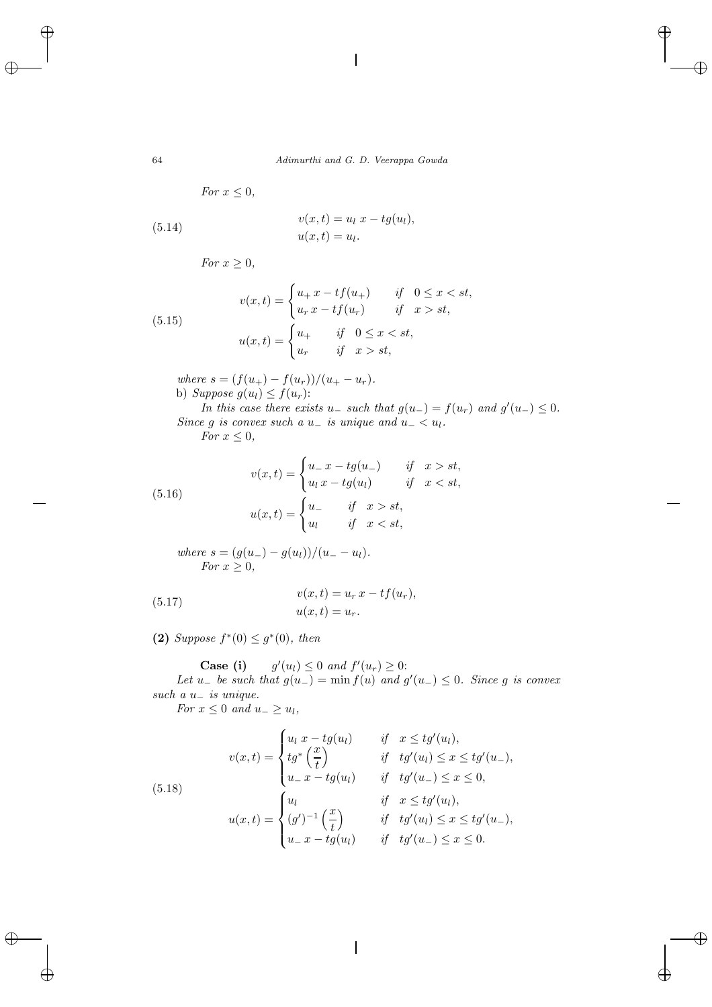$$
For x \leq 0,
$$

(5.14) 
$$
v(x,t) = u_l \ x - t g(u_l),
$$

$$
u(x,t) = u_l.
$$

*For*  $x \geq 0$ *,* 

(5.15) 
$$
v(x,t) = \begin{cases} u_+ x - tf(u_+) & \text{if } 0 \le x < st, \\ u_r x - tf(u_r) & \text{if } x > st, \end{cases}
$$

$$
u(x,t) = \begin{cases} u_+ & \text{if } 0 \le x < st, \\ u_r & \text{if } x > st, \end{cases}
$$

*where*  $s = (f(u_{+}) - f(u_{r}))/(u_{+} - u_{r}).$ b) *Suppose*  $g(u_l) \leq f(u_r)$ :

*In this case there exists*  $u_$  *such that*  $g(u_-) = f(u_r)$  *and*  $g'(u_-) \leq 0$ *. Since* g *is convex such a*  $u_$  *is unique and*  $u_$   $\lt u$ . *For*  $x \leq 0$ *,* 

$$
For x \leq 0,
$$

(5.16)  

$$
v(x,t) = \begin{cases} u_x - tg(u_x) & \text{if } x > st, \\ u_l x - tg(u_l) & \text{if } x < st, \end{cases}
$$

$$
u(x,t) = \begin{cases} u_x & \text{if } x > st, \\ u_l & \text{if } x < st, \end{cases}
$$

where 
$$
s = (g(u_-) - g(u_l))/(u_- - u_l)
$$
.  
For  $x \ge 0$ ,

(5.17) 
$$
v(x,t) = u_r x - t f(u_r), u(x,t) = u_r.
$$

**(2)** *Suppose*  $f^*(0) \leq g^*(0)$ *, then* 

**Case (i)**  $g'(u_l) \leq 0$  and  $f'(u_r) \geq 0$ :

*Let*  $u_$  *be such that*  $g(u_$  *j* = min  $f(u)$  *and*  $g'(u_)$  ≤ 0*. Since* g *is convex such a* u<sup>−</sup> *is unique.*

*For*  $x \leq 0$  *and*  $u_{-} \geq u_{l}$ *,* 

(5.18)  

$$
v(x,t) = \begin{cases} u_l x - t g(u_l) & \text{if } x \leq t g'(u_l), \\ t g^* \left(\frac{x}{t}\right) & \text{if } t g'(u_l) \leq x \leq t g'(u_-), \\ u_- x - t g(u_l) & \text{if } t g'(u_-) \leq x \leq 0, \end{cases}
$$

$$
u(x,t) = \begin{cases} u_l & \text{if } x \leq t g'(u_l), \\ (g')^{-1} \left(\frac{x}{t}\right) & \text{if } t g'(u_l) \leq x \leq t g'(u_-), \\ u_- x - t g(u_l) & \text{if } t g'(u_-) \leq x \leq 0. \end{cases}
$$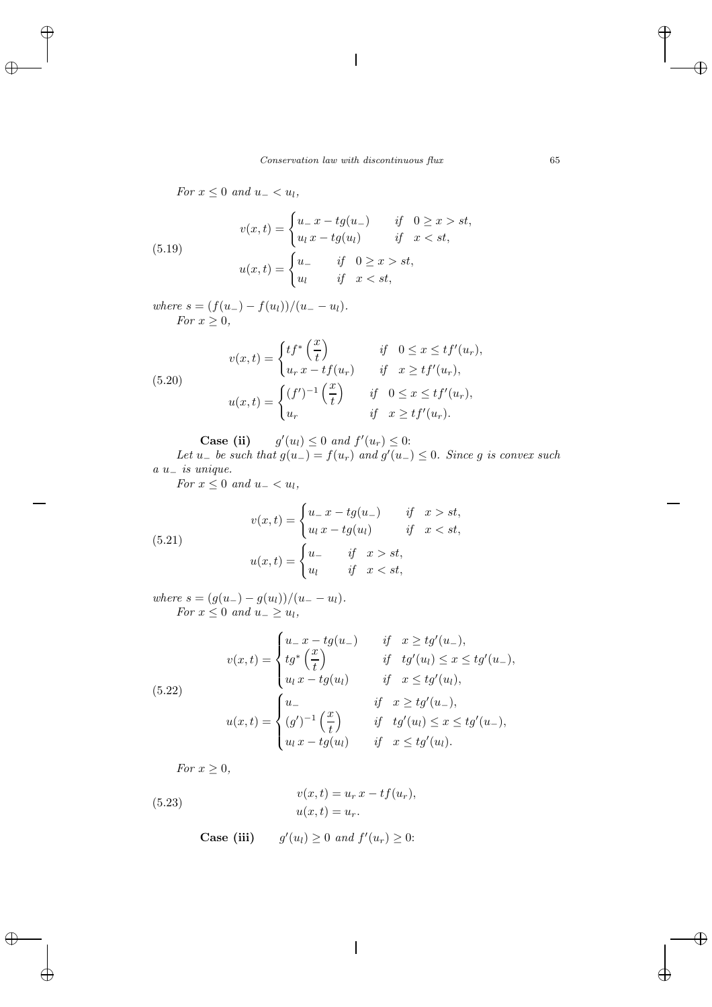*For*  $x \leq 0$  *and*  $u_{-} < u_{l}$ *,* 

(5.19) 
$$
v(x,t) = \begin{cases} u_{-}x - tg(u_{-}) & \text{if } 0 \ge x > st, \\ u_{l}x - tg(u_{l}) & \text{if } x < st, \end{cases}
$$

$$
u(x,t) = \begin{cases} u_{-} & \text{if } 0 \ge x > st, \\ u_{l} & \text{if } x < st, \end{cases}
$$

*where*  $s = (f(u_-) - f(u_l))/(u_- - u_l)$ . *For*  $x \geq 0$ ,

(5.20)  

$$
v(x,t) = \begin{cases} tf^* \left(\frac{x}{t}\right) & \text{if } 0 \le x \le tf'(u_r), \\ u_r x - tf(u_r) & \text{if } x \ge tf'(u_r), \end{cases}
$$

$$
u(x,t) = \begin{cases} (f')^{-1} \left(\frac{x}{t}\right) & \text{if } 0 \le x \le tf'(u_r), \\ u_r & \text{if } x \ge tf'(u_r). \end{cases}
$$

**Case (ii)**  $g'(u_l) \leq 0$  and  $f'(u_r) \leq 0$ :

*Let*  $u_−$  *be such that*  $g(u_−) = f(u_7)$  *and*  $g'(u_−) ≤ 0$ *. Since* g *is convex such a* u<sup>−</sup> *is unique.*

*For*  $x \leq 0$  *and*  $u_{-} < u_{l}$ *,* 

(5.21) 
$$
v(x,t) = \begin{cases} u_x - tg(u_x) & \text{if } x > st, \\ u_l x - tg(u_l) & \text{if } x < st, \end{cases}
$$

$$
u(x,t) = \begin{cases} u_x & \text{if } x > st, \\ u_l & \text{if } x < st, \end{cases}
$$

*where*  $s = (g(u_-) - g(u_l))/(u_- - u_l)$ . *For*  $x \leq 0$  *and*  $u_{-} \geq u_{l}$ *,* 

(5.22)  

$$
v(x,t) = \begin{cases} u_{-}x - tg(u_{-}) & \text{if } x \geq tg'(u_{-}), \\ tg^{*}(\frac{x}{t}) & \text{if } tg'(u_{1}) \leq x \leq tg'(u_{-}), \\ u_{l}x - tg(u_{l}) & \text{if } x \leq tg'(u_{l}), \end{cases}
$$

$$
u(x,t) = \begin{cases} u_{-} & \text{if } x \geq tg'(u_{-}), \\ (g')^{-1}(\frac{x}{t}) & \text{if } tg'(u_{l}) \leq x \leq tg'(u_{-}), \\ u_{l}x - tg(u_{l}) & \text{if } x \leq tg'(u_{l}). \end{cases}
$$

*For*  $x \geq 0$ *,* 

(5.23) 
$$
v(x,t) = u_r x - t f(u_r), u(x,t) = u_r.
$$

**Case (iii)**  $g'(u_l) \geq 0$  and  $f'(u_r) \geq 0$ :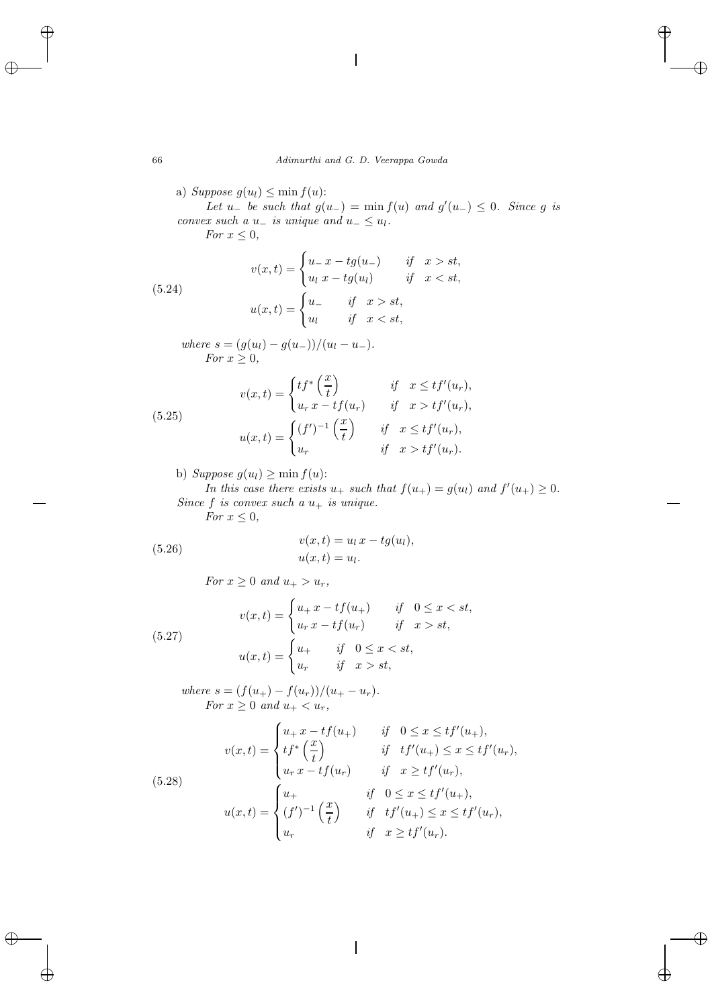a) Suppose  $g(u_l) \leq \min f(u)$ :

*Let*  $u_-\,$  *be such that*  $g(u_-) = \min f(u)$  *and*  $g'(u_-) \leq 0$ *. Since* g *is convex such a*  $u_-\,$  *is unique and*  $u_-\leq u_l$ *. For*  $x \leq 0$ *,* 

(5.24)  

$$
v(x,t) = \begin{cases} u_x - tg(u_x) & \text{if } x > st, \\ u_l x - tg(u_l) & \text{if } x < st, \end{cases}
$$

$$
u(x,t) = \begin{cases} u_x & \text{if } x > st, \\ u_l & \text{if } x < st, \end{cases}
$$

*where*  $s = (g(u_l) - g(u_-))/(u_l - u_-)$ *. For*  $x \geq 0$ ,

(5.25)  

$$
v(x,t) = \begin{cases} tf^* \left(\frac{x}{t}\right) & \text{if } x \leq tf'(u_r), \\ u_r x - tf(u_r) & \text{if } x > tf'(u_r), \end{cases}
$$

$$
u(x,t) = \begin{cases} (f')^{-1} \left(\frac{x}{t}\right) & \text{if } x \leq tf'(u_r), \\ u_r & \text{if } x > tf'(u_r). \end{cases}
$$

b) *Suppose*  $g(u_l) \geq \min f(u)$ :

*In this case there exists*  $u_+$  *such that*  $f(u_+) = g(u_l)$  *and*  $f'(u_+) \geq 0$ *. Since*  $f$  *is convex such a*  $u_+$  *is unique.* 

*For*  $x \leq 0$ *,* 

(5.26) 
$$
v(x,t) = u_l x - t g(u_l), u(x,t) = u_l.
$$

*For*  $x \geq 0$  *and*  $u_+ > u_r$ *,* 

(5.27) 
$$
v(x,t) = \begin{cases} u_+ x - tf(u_+) & \text{if } 0 \le x < st, \\ u_r x - tf(u_r) & \text{if } x > st, \end{cases}
$$

$$
u(x,t) = \begin{cases} u_+ & \text{if } 0 \le x < st, \\ u_r & \text{if } x > st, \end{cases}
$$

*where*  $s = (f(u_{+}) - f(u_{r}))/(u_{+} - u_{r}).$ *For*  $x \geq 0$  *and*  $u_+ < u_r$ ,

(5.28)  

$$
v(x,t) = \begin{cases} u_{+}x - tf(u_{+}) & \text{if } 0 \le x \le tf'(u_{+}), \\ tf^{*}(\frac{x}{t}) & \text{if } tf'(u_{+}) \le x \le tf'(u_{r}), \\ u_{r}x - tf(u_{r}) & \text{if } x \ge tf'(u_{r}), \end{cases}
$$

$$
u(x,t) = \begin{cases} u_{+} & \text{if } 0 \le x \le tf'(u_{+}), \\ (f')^{-1}(\frac{x}{t}) & \text{if } tf'(u_{+}) \le x \le tf'(u_{r}), \\ u_{r} & \text{if } x \ge tf'(u_{r}). \end{cases}
$$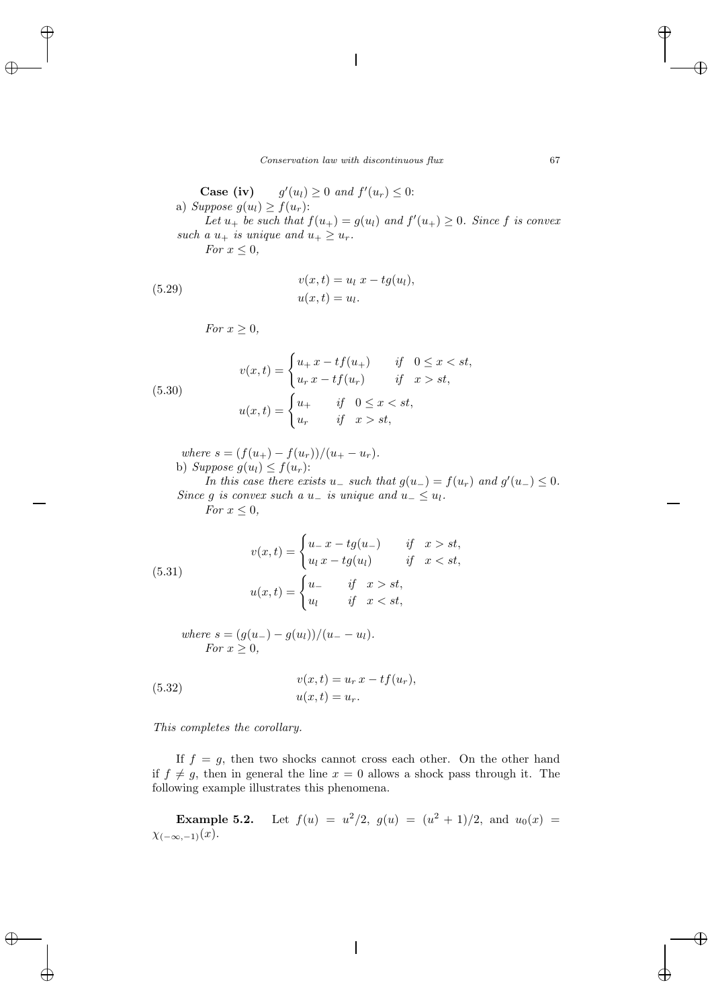Case (iv)  $(u_l) \geq 0$  and  $f'(u_r) \leq 0$ : a) Suppose  $g(u_l) \geq f(u_r)$ : Let  $u_+$  be such that  $f(u_+) = g(u_l)$  and  $f'(u_+) \geq 0$ . Since f is convex *such a*  $u_+$  *is unique and*  $u_+ \geq u_r$ . *For*  $x \leq 0$ *,* 

(5.29) 
$$
v(x,t) = u_l \ x - t g(u_l), u(x,t) = u_l.
$$

*For*  $x \geq 0$ *,* 

(5.30)  

$$
v(x,t) = \begin{cases} u_+ x - tf(u_+) & \text{if } 0 \le x < st, \\ u_r x - tf(u_r) & \text{if } x > st, \end{cases}
$$

$$
u(x,t) = \begin{cases} u_+ & \text{if } 0 \le x < st, \\ u_r & \text{if } x > st, \end{cases}
$$

*where*  $s = (f(u_+) - f(u_r))/(u_+ - u_r)$ . b) Suppose  $g(u_l) \leq f(u_r)$ :

*In this case there exists*  $u_$  *such that*  $g(u_-) = f(u_r)$  *and*  $g'(u_-) \leq 0$ *. Since* g *is convex such a*  $u_$  *is unique and*  $u_$   $\leq u$ *l. For*  $x \leq 0$ *,* 

(5.31)  

$$
v(x,t) = \begin{cases} u_x - tg(u_x) & \text{if } x > st, \\ u_l x - tg(u_l) & \text{if } x < st, \end{cases}
$$

$$
u(x,t) = \begin{cases} u_x & \text{if } x > st, \\ u_l & \text{if } x < st, \end{cases}
$$

*where*  $s = (g(u_-) - g(u_l))/(u_- - u_l)$ . *For*  $x > 0$ *,* 

(5.32) 
$$
v(x,t) = u_r x - t f(u_r), u(x,t) = u_r.
$$

*This completes the corollary.*

If  $f = g$ , then two shocks cannot cross each other. On the other hand if  $f \neq g$ , then in general the line  $x = 0$  allows a shock pass through it. The following example illustrates this phenomena.

**Example 5.2.** Let  $f(u) = u^2/2$ ,  $g(u) = (u^2 + 1)/2$ , and  $u_0(x) =$  $\chi_{(-\infty,-1)}(x)$ .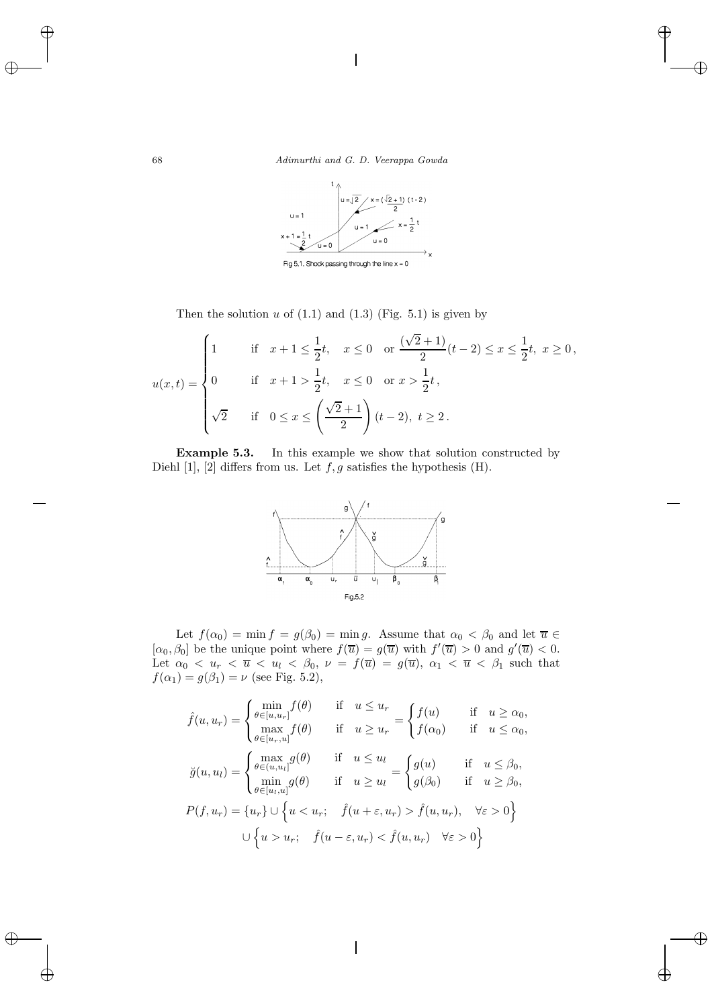

Then the solution  $u$  of  $(1.1)$  and  $(1.3)$  (Fig. 5.1) is given by

$$
u(x,t) = \begin{cases} 1 & \text{if } x+1 \leq \frac{1}{2}t, \quad x \leq 0 \quad \text{or } \frac{(\sqrt{2}+1)}{2}(t-2) \leq x \leq \frac{1}{2}t, \quad x \geq 0, \\ 0 & \text{if } x+1 > \frac{1}{2}t, \quad x \leq 0 \quad \text{or } x > \frac{1}{2}t, \\ \sqrt{2} & \text{if } 0 \leq x \leq \left(\frac{\sqrt{2}+1}{2}\right)(t-2), \quad t \geq 2. \end{cases}
$$

**Example 5.3.** In this example we show that solution constructed by Diehl [1], [2] differs from us. Let  $f, g$  satisfies the hypothesis (H).



Let  $f(\alpha_0) = \min f = g(\beta_0) = \min g$ . Assume that  $\alpha_0 < \beta_0$  and let  $\overline{u} \in$  $[\alpha_0, \beta_0]$  be the unique point where  $f(\overline{u}) = g(\overline{u})$  with  $f'(\overline{u}) > 0$  and  $g'(\overline{u}) < 0$ . Let  $\alpha_0 < u_r < \overline{u} < u_l < \beta_0$ ,  $\nu = f(\overline{u}) = g(\overline{u})$ ,  $\alpha_1 < \overline{u} < \beta_1$  such that  $f(\alpha_1) = g(\beta_1) = \nu$  (see Fig. 5.2),

$$
\hat{f}(u, u_r) = \begin{cases}\n\min_{\theta \in [u, u_r]} f(\theta) & \text{if } u \le u_r \\
\max_{\theta \in [u_r, u]} f(\theta) & \text{if } u \ge u_r\n\end{cases} = \begin{cases}\nf(u) & \text{if } u \ge \alpha_0, \\
f(\alpha_0) & \text{if } u \le \alpha_0,\n\end{cases}
$$
\n
$$
\check{g}(u, u_l) = \begin{cases}\n\max_{\theta \in (u, u_l]} g(\theta) & \text{if } u \le u_l \\
\min_{\theta \in [u_l, u]} g(\theta) & \text{if } u \ge u_l\n\end{cases} = \begin{cases}\ng(u) & \text{if } u \le \beta_0, \\
g(\beta_0) & \text{if } u \ge \beta_0,\n\end{cases}
$$
\n
$$
P(f, u_r) = \{u_r\} \cup \left\{u < u_r; \quad \hat{f}(u + \varepsilon, u_r) > \hat{f}(u, u_r), \quad \forall \varepsilon > 0\right\}
$$
\n
$$
\cup \left\{u > u_r; \quad \hat{f}(u - \varepsilon, u_r) < \hat{f}(u, u_r) \quad \forall \varepsilon > 0\right\}
$$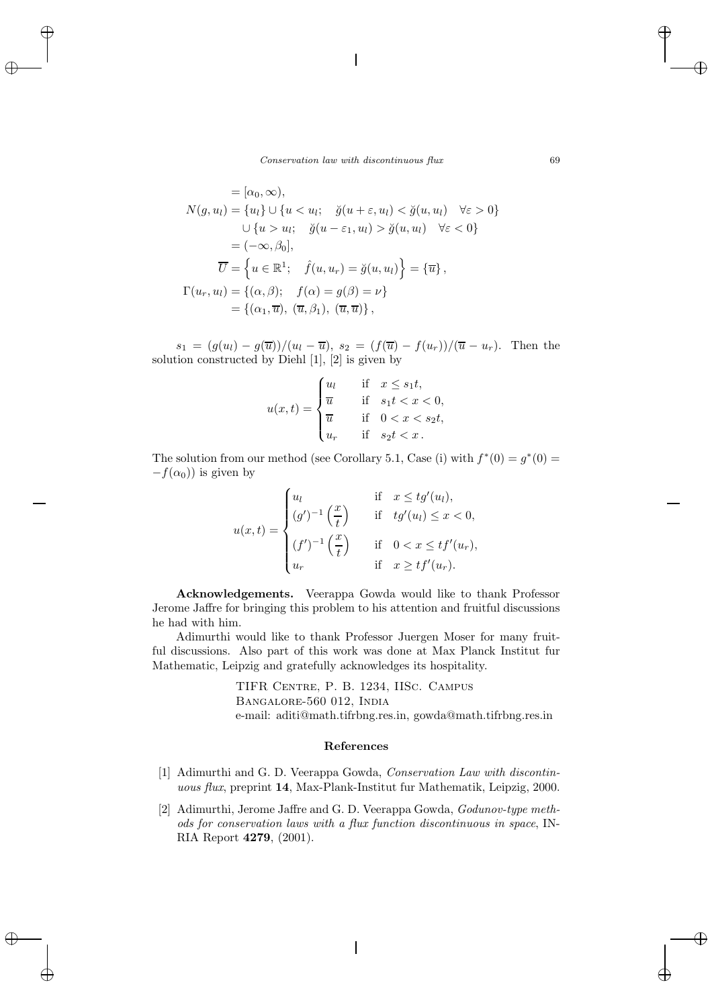$$
= [\alpha_0, \infty),
$$
  
\n
$$
N(g, u_l) = \{u_l\} \cup \{u < u_l; \quad \check{g}(u + \varepsilon, u_l) < \check{g}(u, u_l) \quad \forall \varepsilon > 0\}
$$
  
\n
$$
\cup \{u > u_l; \quad \check{g}(u - \varepsilon_1, u_l) > \check{g}(u, u_l) \quad \forall \varepsilon < 0\}
$$
  
\n
$$
= (-\infty, \beta_0],
$$
  
\n
$$
\overline{U} = \{u \in \mathbb{R}^1; \quad \hat{f}(u, u_r) = \check{g}(u, u_l)\} = \{\overline{u}\},
$$
  
\n
$$
\Gamma(u_r, u_l) = \{(\alpha, \beta); \quad f(\alpha) = g(\beta) = \nu\}
$$
  
\n
$$
= \{(\alpha_1, \overline{u}), (\overline{u}, \beta_1), (\overline{u}, \overline{u})\},
$$

 $s_1 = (g(u_l) - g(\overline{u}))/u_l - \overline{u}), s_2 = (f(\overline{u}) - f(u_r))/(\overline{u} - u_r).$  Then the solution constructed by Diehl [1], [2] is given by

$$
u(x,t) = \begin{cases} u_l & \text{if } x \le s_1 t, \\ \overline{u} & \text{if } s_1 t < x < 0, \\ \overline{u} & \text{if } 0 < x < s_2 t, \\ u_r & \text{if } s_2 t < x \end{cases}
$$

The solution from our method (see Corollary 5.1, Case (i) with  $f^*(0) = g^*(0) =$  $-f(\alpha_0)$  is given by

$$
u(x,t) = \begin{cases} u_l & \text{if } x \leq tg'(u_l), \\ (g')^{-1}\left(\frac{x}{t}\right) & \text{if } tg'(u_l) \leq x < 0, \\ (f')^{-1}\left(\frac{x}{t}\right) & \text{if } 0 < x \leq tf'(u_r), \\ u_r & \text{if } x \geq tf'(u_r). \end{cases}
$$

**Acknowledgements.** Veerappa Gowda would like to thank Professor Jerome Jaffre for bringing this problem to his attention and fruitful discussions he had with him.

Adimurthi would like to thank Professor Juergen Moser for many fruitful discussions. Also part of this work was done at Max Planck Institut fur Mathematic, Leipzig and gratefully acknowledges its hospitality.

> TIFR Centre, P. B. 1234, IISc. Campus Bangalore-560 012, India e-mail: aditi@math.tifrbng.res.in, gowda@math.tifrbng.res.in

### **References**

- [1] Adimurthi and G. D. Veerappa Gowda, *Conservation Law with discontinuous flux*, preprint **14**, Max-Plank-Institut fur Mathematik, Leipzig, 2000.
- [2] Adimurthi, Jerome Jaffre and G. D. Veerappa Gowda, *Godunov-type methods for conservation laws with a flux function discontinuous in space*, IN-RIA Report **4279**, (2001).